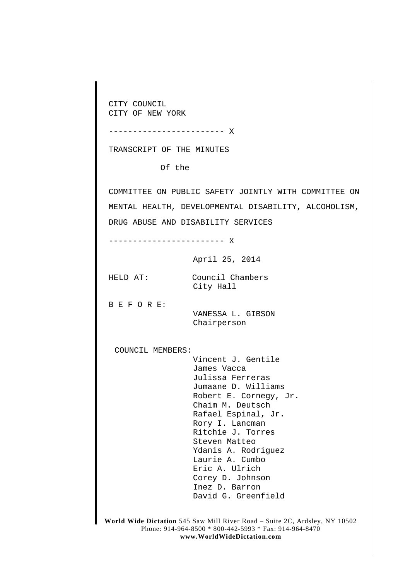CITY COUNCIL CITY OF NEW YORK

TRANSCRIPT OF THE MINUTES

------------------------ X

Of the

COMMITTEE ON PUBLIC SAFETY JOINTLY WITH COMMITTEE ON MENTAL HEALTH, DEVELOPMENTAL DISABILITY, ALCOHOLISM, DRUG ABUSE AND DISABILITY SERVICES

------------------------ X

April 25, 2014

HELD AT: Council Chambers City Hall

B E F O R E:

VANESSA L. GIBSON Chairperson

COUNCIL MEMBERS:

Vincent J. Gentile James Vacca Julissa Ferreras Jumaane D. Williams Robert E. Cornegy, Jr. Chaim M. Deutsch Rafael Espinal, Jr. Rory I. Lancman Ritchie J. Torres Steven Matteo Ydanis A. Rodriguez Laurie A. Cumbo Eric A. Ulrich Corey D. Johnson Inez D. Barron David G. Greenfield

**World Wide Dictation** 545 Saw Mill River Road – Suite 2C, Ardsley, NY 10502 Phone: 914-964-8500 \* 800-442-5993 \* Fax: 914-964-8470 **www.WorldWideDictation.com**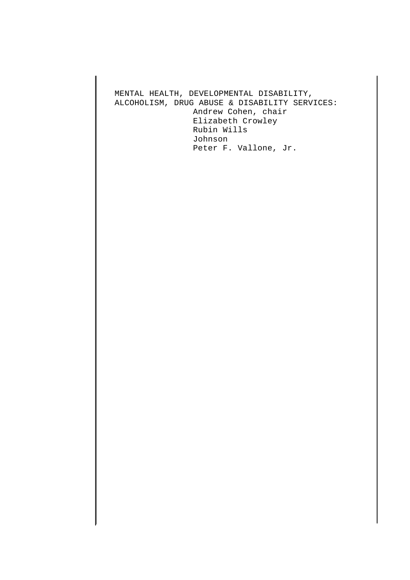MENTAL HEALTH, DEVELOPMENTAL DISABILITY, ALCOHOLISM, DRUG ABUSE & DISABILITY SERVICES: Andrew Cohen, chair Elizabeth Crowley Rubin Wills Johnson Peter F. Vallone, Jr.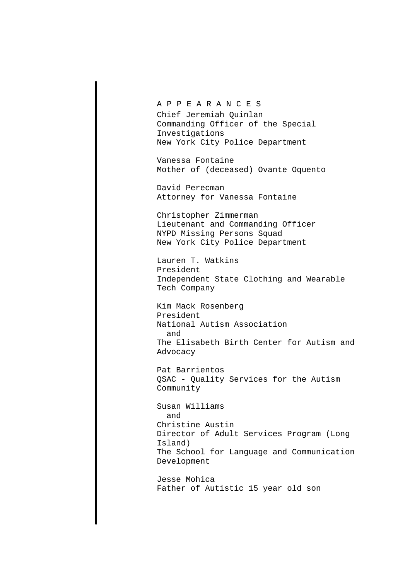## A P P E A R A N C E S

Chief Jeremiah Quinlan Commanding Officer of the Special Investigations New York City Police Department

Vanessa Fontaine Mother of (deceased) Ovante Oquento

David Perecman Attorney for Vanessa Fontaine

Christopher Zimmerman Lieutenant and Commanding Officer NYPD Missing Persons Squad New York City Police Department

Lauren T. Watkins President Independent State Clothing and Wearable Tech Company

Kim Mack Rosenberg President National Autism Association and The Elisabeth Birth Center for Autism and Advocacy

Pat Barrientos QSAC - Quality Services for the Autism Community

Susan Williams and Christine Austin Director of Adult Services Program (Long Island) The School for Language and Communication Development

Jesse Mohica Father of Autistic 15 year old son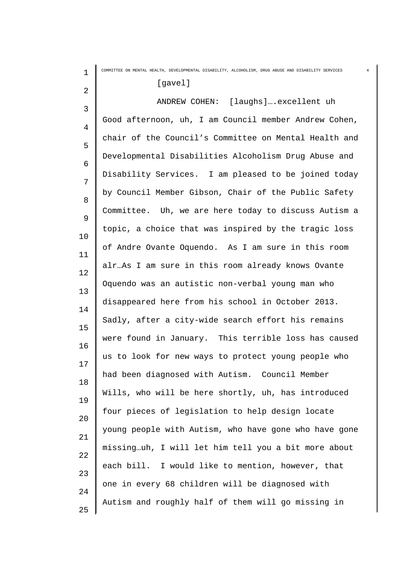| $\mathbf{1}$ | COMMITTEE ON MENTAL HEALTH, DEVELOPMENTAL DISABILITY, ALCOHOLISM, DRUG ABUSE AND DISABILITY SERVICES |  |
|--------------|------------------------------------------------------------------------------------------------------|--|
| 2            | [gavel]                                                                                              |  |
| 3            | ANDREW COHEN: [laughs] excellent uh                                                                  |  |
| 4            | Good afternoon, uh, I am Council member Andrew Cohen,                                                |  |
| 5            | chair of the Council's Committee on Mental Health and                                                |  |
| 6            | Developmental Disabilities Alcoholism Drug Abuse and                                                 |  |
| 7            | Disability Services. I am pleased to be joined today                                                 |  |
| 8            | by Council Member Gibson, Chair of the Public Safety                                                 |  |
|              | Committee. Uh, we are here today to discuss Autism a                                                 |  |
| 9            | topic, a choice that was inspired by the tragic loss                                                 |  |
| 10           | of Andre Ovante Oquendo. As I am sure in this room                                                   |  |
| 11           | alrAs I am sure in this room already knows Ovante                                                    |  |
| 12           | Oquendo was an autistic non-verbal young man who                                                     |  |
| 13           | disappeared here from his school in October 2013.                                                    |  |
| 14           | Sadly, after a city-wide search effort his remains                                                   |  |
| 15           | were found in January. This terrible loss has caused                                                 |  |
| 16           | us to look for new ways to protect young people who                                                  |  |
| 17           | had been diagnosed with Autism. Council Member                                                       |  |
| 18           | Wills, who will be here shortly, uh, has introduced                                                  |  |
| 19           | four pieces of legislation to help design locate                                                     |  |
| 20           | young people with Autism, who have gone who have gone                                                |  |
| 21           | missinguh, I will let him tell you a bit more about                                                  |  |
| 22           | each bill. I would like to mention, however, that                                                    |  |
| 23           | one in every 68 children will be diagnosed with                                                      |  |
| 24           | Autism and roughly half of them will go missing in                                                   |  |
| 25           |                                                                                                      |  |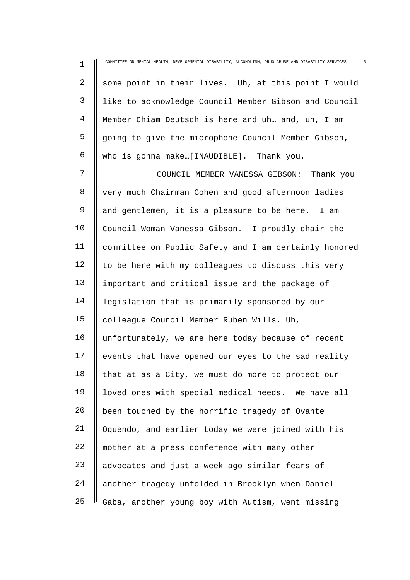| $\mathbf 1$    | COMMITTEE ON MENTAL HEALTH, DEVELOPMENTAL DISABILITY, ALCOHOLISM, DRUG ABUSE AND DISABILITY SERVICES<br>5 |
|----------------|-----------------------------------------------------------------------------------------------------------|
| $\overline{a}$ | some point in their lives. Uh, at this point I would                                                      |
| 3              | like to acknowledge Council Member Gibson and Council                                                     |
| 4              | Member Chiam Deutsch is here and uh and, uh, I am                                                         |
| 5              | going to give the microphone Council Member Gibson,                                                       |
| 6              | who is gonna make[INAUDIBLE]. Thank you.                                                                  |
| 7              | COUNCIL MEMBER VANESSA GIBSON:<br>Thank you                                                               |
| 8              | very much Chairman Cohen and good afternoon ladies                                                        |
| 9              | and gentlemen, it is a pleasure to be here. I am                                                          |
| 10             | Council Woman Vanessa Gibson. I proudly chair the                                                         |
| 11             | committee on Public Safety and I am certainly honored                                                     |
| 12             | to be here with my colleagues to discuss this very                                                        |
| 13             | important and critical issue and the package of                                                           |
| 14             | legislation that is primarily sponsored by our                                                            |
| 15             | colleague Council Member Ruben Wills. Uh,                                                                 |
| 16             | unfortunately, we are here today because of recent                                                        |
| 17             | events that have opened our eyes to the sad reality                                                       |
| 18             | that at as a City, we must do more to protect our                                                         |
| 19             | loved ones with special medical needs. We have all                                                        |
| 20             | been touched by the horrific tragedy of Ovante                                                            |
| 21             | Oquendo, and earlier today we were joined with his                                                        |
| 22             | mother at a press conference with many other                                                              |
| 23             | advocates and just a week ago similar fears of                                                            |
| 24             | another tragedy unfolded in Brooklyn when Daniel                                                          |
| 25             | Gaba, another young boy with Autism, went missing                                                         |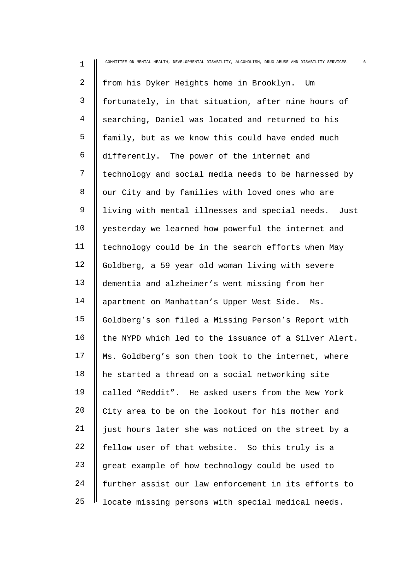| $\mathbf 1$  | COMMITTEE ON MENTAL HEALTH, DEVELOPMENTAL DISABILITY, ALCOHOLISM, DRUG ABUSE AND DISABILITY SERVICES<br>6 |
|--------------|-----------------------------------------------------------------------------------------------------------|
| 2            | from his Dyker Heights home in Brooklyn.<br>Um                                                            |
| $\mathsf{3}$ | fortunately, in that situation, after nine hours of                                                       |
| 4            | searching, Daniel was located and returned to his                                                         |
| 5            | family, but as we know this could have ended much                                                         |
| 6            | differently. The power of the internet and                                                                |
| 7            | technology and social media needs to be harnessed by                                                      |
| 8            | our City and by families with loved ones who are                                                          |
| 9            | living with mental illnesses and special needs. Just                                                      |
| 10           | yesterday we learned how powerful the internet and                                                        |
| 11           | technology could be in the search efforts when May                                                        |
| 12           | Goldberg, a 59 year old woman living with severe                                                          |
| 13           | dementia and alzheimer's went missing from her                                                            |
| 14           | apartment on Manhattan's Upper West Side. Ms.                                                             |
| 15           | Goldberg's son filed a Missing Person's Report with                                                       |
| 16           | the NYPD which led to the issuance of a Silver Alert.                                                     |
| 17           | Ms. Goldberg's son then took to the internet, where                                                       |
| 18           | he started a thread on a social networking site                                                           |
| 19           | called "Reddit". He asked users from the New York                                                         |
| 20           | City area to be on the lookout for his mother and                                                         |
| 21           | just hours later she was noticed on the street by a                                                       |
| 22           | fellow user of that website. So this truly is a                                                           |
| 23           | great example of how technology could be used to                                                          |
| 24           | further assist our law enforcement in its efforts to                                                      |
| 25           | locate missing persons with special medical needs.                                                        |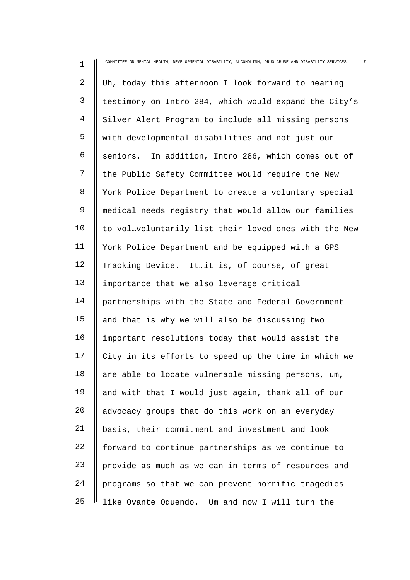| 1              | COMMITTEE ON MENTAL HEALTH, DEVELOPMENTAL DISABILITY, ALCOHOLISM, DRUG ABUSE AND DISABILITY SERVICES |
|----------------|------------------------------------------------------------------------------------------------------|
| $\overline{a}$ | Uh, today this afternoon I look forward to hearing                                                   |
| 3              | testimony on Intro 284, which would expand the City's                                                |
| 4              | Silver Alert Program to include all missing persons                                                  |
| 5              | with developmental disabilities and not just our                                                     |
| 6              | seniors. In addition, Intro 286, which comes out of                                                  |
| 7              | the Public Safety Committee would require the New                                                    |
| 8              | York Police Department to create a voluntary special                                                 |
| 9              | medical needs registry that would allow our families                                                 |
| 10             | to volvoluntarily list their loved ones with the New                                                 |
| 11             | York Police Department and be equipped with a GPS                                                    |
| 12             | Tracking Device. It it is, of course, of great                                                       |
| 13             | importance that we also leverage critical                                                            |
| 14             | partnerships with the State and Federal Government                                                   |
| 15             | and that is why we will also be discussing two                                                       |
| 16             | important resolutions today that would assist the                                                    |
| 17             | City in its efforts to speed up the time in which we                                                 |
| 18             | are able to locate vulnerable missing persons, um,                                                   |
| 19             | and with that I would just again, thank all of our                                                   |
| 20             | advocacy groups that do this work on an everyday                                                     |
| 21             | basis, their commitment and investment and look                                                      |
| 22             | forward to continue partnerships as we continue to                                                   |
| 23             | provide as much as we can in terms of resources and                                                  |
| 24             | programs so that we can prevent horrific tragedies                                                   |
| 25             | like Ovante Oquendo. Um and now I will turn the                                                      |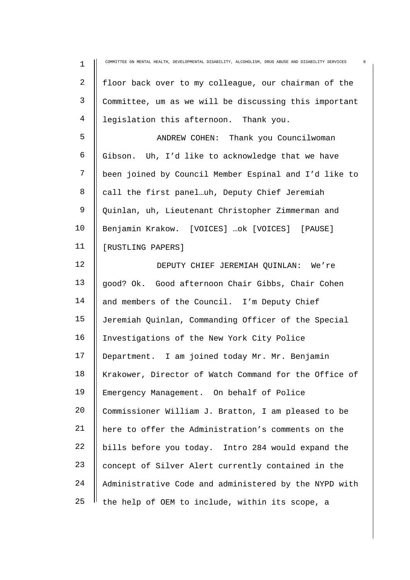| $\mathbf 1$    | 8<br>COMMITTEE ON MENTAL HEALTH, DEVELOPMENTAL DISABILITY, ALCOHOLISM, DRUG ABUSE AND DISABILITY SERVICES |
|----------------|-----------------------------------------------------------------------------------------------------------|
| $\overline{a}$ | floor back over to my colleague, our chairman of the                                                      |
| 3              | Committee, um as we will be discussing this important                                                     |
| 4              | legislation this afternoon. Thank you.                                                                    |
| 5              | ANDREW COHEN: Thank you Councilwoman                                                                      |
| 6              | Gibson. Uh, I'd like to acknowledge that we have                                                          |
| 7              | been joined by Council Member Espinal and I'd like to                                                     |
| 8              | call the first paneluh, Deputy Chief Jeremiah                                                             |
| 9              | Quinlan, uh, Lieutenant Christopher Zimmerman and                                                         |
| 10             | Benjamin Krakow. [VOICES] ok [VOICES] [PAUSE]                                                             |
| 11             | [RUSTLING PAPERS]                                                                                         |
| 12             | DEPUTY CHIEF JEREMIAH QUINLAN: We're                                                                      |
| 13             | good? Ok. Good afternoon Chair Gibbs, Chair Cohen                                                         |
| 14             | and members of the Council. I'm Deputy Chief                                                              |
| 15             | Jeremiah Quinlan, Commanding Officer of the Special                                                       |
| 16             | Investigations of the New York City Police                                                                |
| 17             | Department. I am joined today Mr. Mr. Benjamin                                                            |
| 18             | Krakower, Director of Watch Command for the Office of                                                     |
| 19             | Emergency Management. On behalf of Police                                                                 |
| 20             | Commissioner William J. Bratton, I am pleased to be                                                       |
| 21             | here to offer the Administration's comments on the                                                        |
| 22             | bills before you today. Intro 284 would expand the                                                        |
| 23             | concept of Silver Alert currently contained in the                                                        |
| 24             | Administrative Code and administered by the NYPD with                                                     |
| 25             | the help of OEM to include, within its scope, a                                                           |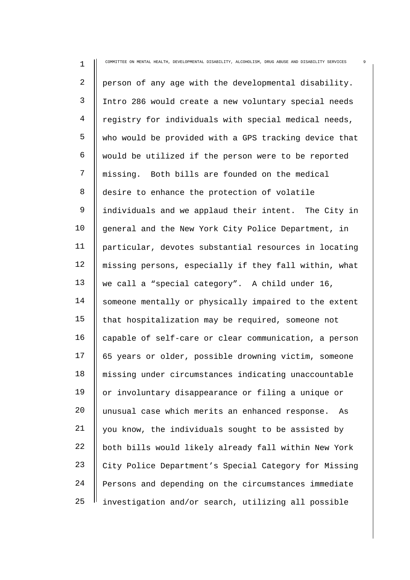| 1              | COMMITTEE ON MENTAL HEALTH, DEVELOPMENTAL DISABILITY, ALCOHOLISM, DRUG ABUSE AND DISABILITY SERVICES |
|----------------|------------------------------------------------------------------------------------------------------|
| $\overline{2}$ | person of any age with the developmental disability.                                                 |
| 3              | Intro 286 would create a new voluntary special needs                                                 |
| 4              | registry for individuals with special medical needs,                                                 |
| 5              | who would be provided with a GPS tracking device that                                                |
| 6              | would be utilized if the person were to be reported                                                  |
| 7              | missing. Both bills are founded on the medical                                                       |
| 8              | desire to enhance the protection of volatile                                                         |
| $\mathsf 9$    | individuals and we applaud their intent. The City in                                                 |
| 10             | general and the New York City Police Department, in                                                  |
| 11             | particular, devotes substantial resources in locating                                                |
| 12             | missing persons, especially if they fall within, what                                                |
| 13             | we call a "special category". A child under 16,                                                      |
| 14             | someone mentally or physically impaired to the extent                                                |
| 15             | that hospitalization may be required, someone not                                                    |
| 16             | capable of self-care or clear communication, a person                                                |
| 17             | 65 years or older, possible drowning victim, someone                                                 |
| 18             | missing under circumstances indicating unaccountable                                                 |
| 19             | or involuntary disappearance or filing a unique or                                                   |
| 20             | unusual case which merits an enhanced response.<br>As                                                |
| 21             | you know, the individuals sought to be assisted by                                                   |
| 22             | both bills would likely already fall within New York                                                 |
| 23             | City Police Department's Special Category for Missing                                                |
| 24             | Persons and depending on the circumstances immediate                                                 |
| 25             | investigation and/or search, utilizing all possible                                                  |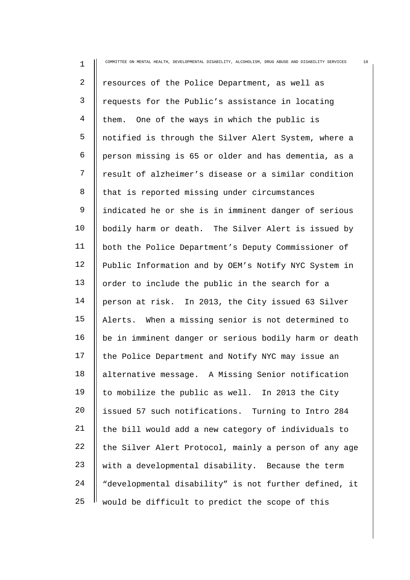| $\mathbf 1$  | COMMITTEE ON MENTAL HEALTH, DEVELOPMENTAL DISABILITY, ALCOHOLISM, DRUG ABUSE AND DISABILITY SERVICES<br>10 |
|--------------|------------------------------------------------------------------------------------------------------------|
| 2            | resources of the Police Department, as well as                                                             |
| $\mathsf{3}$ | requests for the Public's assistance in locating                                                           |
| 4            | One of the ways in which the public is<br>them.                                                            |
| 5            | notified is through the Silver Alert System, where a                                                       |
| 6            | person missing is 65 or older and has dementia, as a                                                       |
| 7            | result of alzheimer's disease or a similar condition                                                       |
| 8            | that is reported missing under circumstances                                                               |
| 9            | indicated he or she is in imminent danger of serious                                                       |
| 10           | bodily harm or death. The Silver Alert is issued by                                                        |
| 11           | both the Police Department's Deputy Commissioner of                                                        |
| 12           | Public Information and by OEM's Notify NYC System in                                                       |
| 13           | order to include the public in the search for a                                                            |
| 14           | person at risk. In 2013, the City issued 63 Silver                                                         |
| 15           | Alerts. When a missing senior is not determined to                                                         |
| 16           | be in imminent danger or serious bodily harm or death                                                      |
| 17           | the Police Department and Notify NYC may issue an                                                          |
| 18           | alternative message. A Missing Senior notification                                                         |
| 19           | to mobilize the public as well. In 2013 the City                                                           |
| 20           | issued 57 such notifications. Turning to Intro 284                                                         |
| 21           | the bill would add a new category of individuals to                                                        |
| 22           | the Silver Alert Protocol, mainly a person of any age                                                      |
| 23           | with a developmental disability. Because the term                                                          |
| 24           | "developmental disability" is not further defined, it                                                      |
| 25           | would be difficult to predict the scope of this                                                            |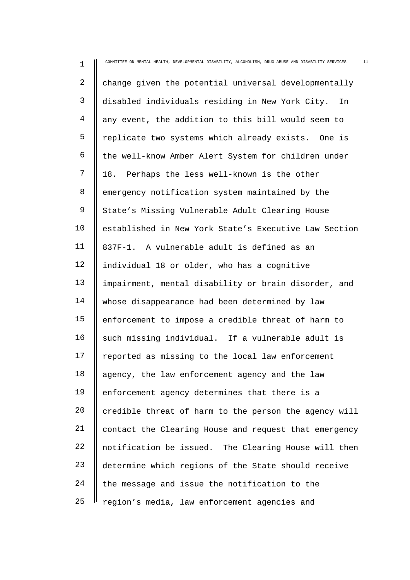| $\mathbf 1$    | COMMITTEE ON MENTAL HEALTH, DEVELOPMENTAL DISABILITY, ALCOHOLISM, DRUG ABUSE AND DISABILITY SERVICES<br>11 |
|----------------|------------------------------------------------------------------------------------------------------------|
| $\overline{2}$ | change given the potential universal developmentally                                                       |
| $\mathsf{3}$   | disabled individuals residing in New York City.<br>In                                                      |
| 4              | any event, the addition to this bill would seem to                                                         |
| 5              | replicate two systems which already exists. One is                                                         |
| 6              | the well-know Amber Alert System for children under                                                        |
| 7              | 18. Perhaps the less well-known is the other                                                               |
| 8              | emergency notification system maintained by the                                                            |
| 9              | State's Missing Vulnerable Adult Clearing House                                                            |
| 10             | established in New York State's Executive Law Section                                                      |
| 11             | 837F-1. A vulnerable adult is defined as an                                                                |
| 12             | individual 18 or older, who has a cognitive                                                                |
| 13             | impairment, mental disability or brain disorder, and                                                       |
| 14             | whose disappearance had been determined by law                                                             |
| 15             | enforcement to impose a credible threat of harm to                                                         |
| 16             | such missing individual. If a vulnerable adult is                                                          |
| 17             | reported as missing to the local law enforcement                                                           |
| 18             | agency, the law enforcement agency and the law                                                             |
| 19             | enforcement agency determines that there is a                                                              |
| 20             | credible threat of harm to the person the agency will                                                      |
| 21             | contact the Clearing House and request that emergency                                                      |
| 22             | notification be issued. The Clearing House will then                                                       |
| 23             | determine which regions of the State should receive                                                        |
| 24             | the message and issue the notification to the                                                              |
| 25             | region's media, law enforcement agencies and                                                               |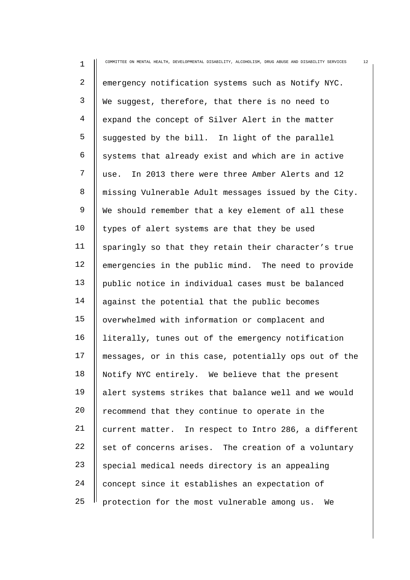| $\mathbf 1$ | 12<br>COMMITTEE ON MENTAL HEALTH, DEVELOPMENTAL DISABILITY, ALCOHOLISM, DRUG ABUSE AND DISABILITY SERVICES |
|-------------|------------------------------------------------------------------------------------------------------------|
| 2           | emergency notification systems such as Notify NYC.                                                         |
| 3           | We suggest, therefore, that there is no need to                                                            |
| 4           | expand the concept of Silver Alert in the matter                                                           |
| 5           | suggested by the bill. In light of the parallel                                                            |
| 6           | systems that already exist and which are in active                                                         |
| 7           | In 2013 there were three Amber Alerts and 12<br>use.                                                       |
| 8           | missing Vulnerable Adult messages issued by the City.                                                      |
| 9           | We should remember that a key element of all these                                                         |
| 10          | types of alert systems are that they be used                                                               |
| 11          | sparingly so that they retain their character's true                                                       |
| 12          | emergencies in the public mind. The need to provide                                                        |
| 13          | public notice in individual cases must be balanced                                                         |
| 14          | against the potential that the public becomes                                                              |
| 15          | overwhelmed with information or complacent and                                                             |
| 16          | literally, tunes out of the emergency notification                                                         |
| 17          | messages, or in this case, potentially ops out of the                                                      |
| 18          | Notify NYC entirely. We believe that the present                                                           |
| 19          | alert systems strikes that balance well and we would                                                       |
| 20          | recommend that they continue to operate in the                                                             |
| 21          | current matter. In respect to Intro 286, a different                                                       |
| 22          | set of concerns arises. The creation of a voluntary                                                        |
| 23          | special medical needs directory is an appealing                                                            |
| 24          | concept since it establishes an expectation of                                                             |
| 25          | protection for the most vulnerable among us.<br>We                                                         |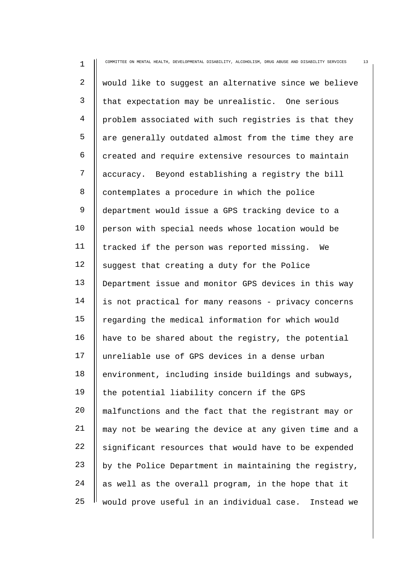| $\mathbf 1$    | COMMITTEE ON MENTAL HEALTH, DEVELOPMENTAL DISABILITY, ALCOHOLISM, DRUG ABUSE AND DISABILITY SERVICES<br>13 |
|----------------|------------------------------------------------------------------------------------------------------------|
| $\overline{a}$ | would like to suggest an alternative since we believe                                                      |
| 3              | that expectation may be unrealistic. One serious                                                           |
| $\overline{4}$ | problem associated with such registries is that they                                                       |
| 5              | are generally outdated almost from the time they are                                                       |
| 6              | created and require extensive resources to maintain                                                        |
| 7              | accuracy. Beyond establishing a registry the bill                                                          |
| 8              | contemplates a procedure in which the police                                                               |
| $\mathsf 9$    | department would issue a GPS tracking device to a                                                          |
| 10             | person with special needs whose location would be                                                          |
| 11             | tracked if the person was reported missing.<br>We                                                          |
| 12             | suggest that creating a duty for the Police                                                                |
| 13             | Department issue and monitor GPS devices in this way                                                       |
| 14             | is not practical for many reasons - privacy concerns                                                       |
| 15             | regarding the medical information for which would                                                          |
| 16             | have to be shared about the registry, the potential                                                        |
| 17             | unreliable use of GPS devices in a dense urban                                                             |
| 18             | environment, including inside buildings and subways,                                                       |
| 19             | the potential liability concern if the GPS                                                                 |
| 20             | malfunctions and the fact that the registrant may or                                                       |
| 21             | may not be wearing the device at any given time and a                                                      |
| 22             | significant resources that would have to be expended                                                       |
| 23             | by the Police Department in maintaining the registry,                                                      |
| 24             | as well as the overall program, in the hope that it                                                        |
| 25             | would prove useful in an individual case.<br>Instead we                                                    |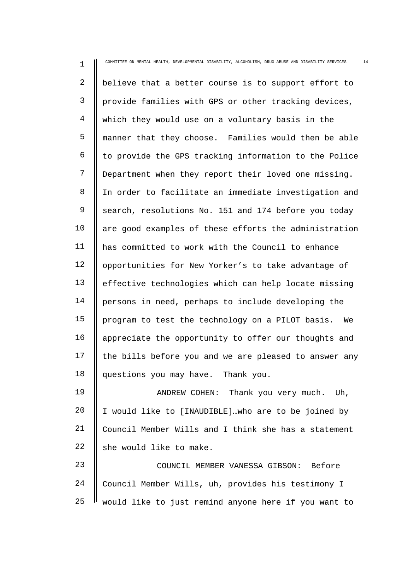1 2 3 4 5 6 7 8 9 10 11 12 13 14 15 16 17 18 19 20 21 22 23 COMMITTEE ON MENTAL HEALTH, DEVELOPMENTAL DISABILITY, ALCOHOLISM, DRUG ABUSE AND DISABILITY SERVICES 14 believe that a better course is to support effort to provide families with GPS or other tracking devices, which they would use on a voluntary basis in the manner that they choose. Families would then be able to provide the GPS tracking information to the Police Department when they report their loved one missing. In order to facilitate an immediate investigation and search, resolutions No. 151 and 174 before you today are good examples of these efforts the administration has committed to work with the Council to enhance opportunities for New Yorker's to take advantage of effective technologies which can help locate missing persons in need, perhaps to include developing the program to test the technology on a PILOT basis. We appreciate the opportunity to offer our thoughts and the bills before you and we are pleased to answer any questions you may have. Thank you. ANDREW COHEN: Thank you very much. Uh, I would like to [INAUDIBLE]…who are to be joined by Council Member Wills and I think she has a statement she would like to make. COUNCIL MEMBER VANESSA GIBSON: Before

24 25 Council Member Wills, uh, provides his testimony I would like to just remind anyone here if you want to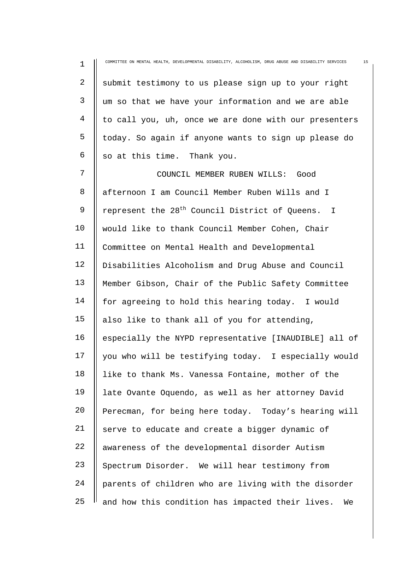| $\mathbf 1$ | 15<br>COMMITTEE ON MENTAL HEALTH, DEVELOPMENTAL DISABILITY, ALCOHOLISM, DRUG ABUSE AND DISABILITY SERVICES |
|-------------|------------------------------------------------------------------------------------------------------------|
| 2           | submit testimony to us please sign up to your right                                                        |
| 3           | um so that we have your information and we are able                                                        |
| 4           | to call you, uh, once we are done with our presenters                                                      |
| 5           | today. So again if anyone wants to sign up please do                                                       |
| 6           | so at this time. Thank you.                                                                                |
| 7           | COUNCIL MEMBER RUBEN WILLS: Good                                                                           |
| 8           | afternoon I am Council Member Ruben Wills and I                                                            |
| 9           | represent the 28 <sup>th</sup> Council District of Queens. I                                               |
| 10          | would like to thank Council Member Cohen, Chair                                                            |
| 11          | Committee on Mental Health and Developmental                                                               |
| 12          | Disabilities Alcoholism and Drug Abuse and Council                                                         |
| 13          | Member Gibson, Chair of the Public Safety Committee                                                        |
| 14          | for agreeing to hold this hearing today. I would                                                           |
| 15          | also like to thank all of you for attending,                                                               |
| 16          | especially the NYPD representative [INAUDIBLE] all of                                                      |
| 17          | you who will be testifying today. I especially would                                                       |
| 18          | like to thank Ms. Vanessa Fontaine, mother of the                                                          |
| 19          | late Ovante Oquendo, as well as her attorney David                                                         |
| 20          | Perecman, for being here today. Today's hearing will                                                       |
| 21          | serve to educate and create a bigger dynamic of                                                            |
| 22          | awareness of the developmental disorder Autism                                                             |
| 23          | Spectrum Disorder. We will hear testimony from                                                             |
| 24          | parents of children who are living with the disorder                                                       |
| 25          | and how this condition has impacted their lives.<br>We                                                     |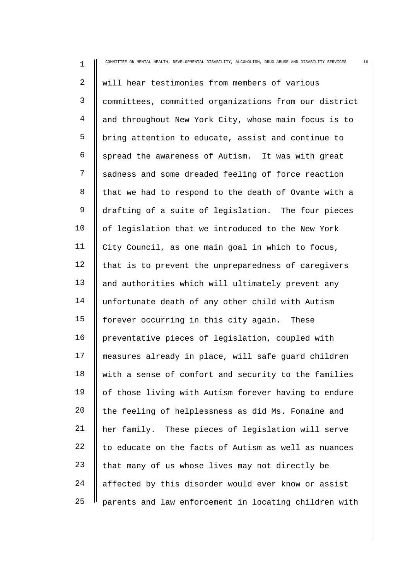| $\mathbf 1$    | COMMITTEE ON MENTAL HEALTH, DEVELOPMENTAL DISABILITY, ALCOHOLISM, DRUG ABUSE AND DISABILITY SERVICES<br>16 |
|----------------|------------------------------------------------------------------------------------------------------------|
| 2              | will hear testimonies from members of various                                                              |
| 3              | committees, committed organizations from our district                                                      |
| $\overline{4}$ | and throughout New York City, whose main focus is to                                                       |
| 5              | bring attention to educate, assist and continue to                                                         |
| 6              | spread the awareness of Autism. It was with great                                                          |
| 7              | sadness and some dreaded feeling of force reaction                                                         |
| 8              | that we had to respond to the death of Ovante with a                                                       |
| 9              | drafting of a suite of legislation. The four pieces                                                        |
| 10             | of legislation that we introduced to the New York                                                          |
| 11             | City Council, as one main goal in which to focus,                                                          |
| 12             | that is to prevent the unpreparedness of caregivers                                                        |
| 13             | and authorities which will ultimately prevent any                                                          |
| 14             | unfortunate death of any other child with Autism                                                           |
| 15             | forever occurring in this city again. These                                                                |
| 16             | preventative pieces of legislation, coupled with                                                           |
| 17             | measures already in place, will safe guard children                                                        |
| 18             | with a sense of comfort and security to the families                                                       |
| 19             | of those living with Autism forever having to endure                                                       |
| 20             | the feeling of helplessness as did Ms. Fonaine and                                                         |
| 21             | her family. These pieces of legislation will serve                                                         |
| 22             | to educate on the facts of Autism as well as nuances                                                       |
| 23             | that many of us whose lives may not directly be                                                            |
| 24             | affected by this disorder would ever know or assist                                                        |
| 25             | parents and law enforcement in locating children with                                                      |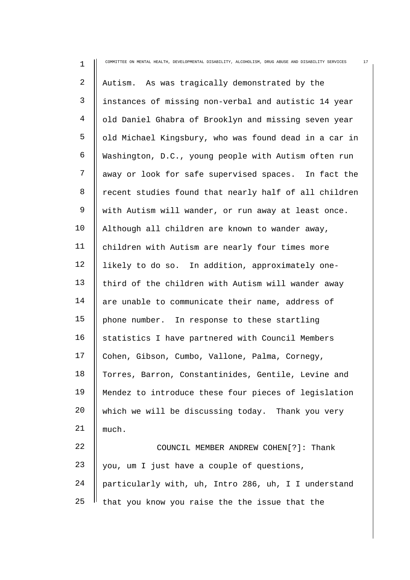| $\mathbf 1$ | 17<br>COMMITTEE ON MENTAL HEALTH, DEVELOPMENTAL DISABILITY, ALCOHOLISM, DRUG ABUSE AND DISABILITY SERVICES |
|-------------|------------------------------------------------------------------------------------------------------------|
| 2           | Autism. As was tragically demonstrated by the                                                              |
| 3           | instances of missing non-verbal and autistic 14 year                                                       |
| 4           | old Daniel Ghabra of Brooklyn and missing seven year                                                       |
| 5           | old Michael Kingsbury, who was found dead in a car in                                                      |
| 6           | Washington, D.C., young people with Autism often run                                                       |
| 7           | away or look for safe supervised spaces. In fact the                                                       |
| 8           | recent studies found that nearly half of all children                                                      |
| $\mathsf 9$ | with Autism will wander, or run away at least once.                                                        |
| 10          | Although all children are known to wander away,                                                            |
| 11          | children with Autism are nearly four times more                                                            |
| 12          | likely to do so. In addition, approximately one-                                                           |
| 13          | third of the children with Autism will wander away                                                         |
| 14          | are unable to communicate their name, address of                                                           |
| 15          | phone number. In response to these startling                                                               |
| 16          | statistics I have partnered with Council Members                                                           |
| 17          | Cohen, Gibson, Cumbo, Vallone, Palma, Cornegy,                                                             |
| 18          | Torres, Barron, Constantinides, Gentile, Levine and                                                        |
| 19          | Mendez to introduce these four pieces of legislation                                                       |
| 20          | which we will be discussing today. Thank you very                                                          |
| 21          | much.                                                                                                      |
| 22          | COUNCIL MEMBER ANDREW COHEN[?]: Thank                                                                      |
| 23          | you, um I just have a couple of questions,                                                                 |
| 24          | particularly with, uh, Intro 286, uh, I I understand                                                       |
| 25          | that you know you raise the the issue that the                                                             |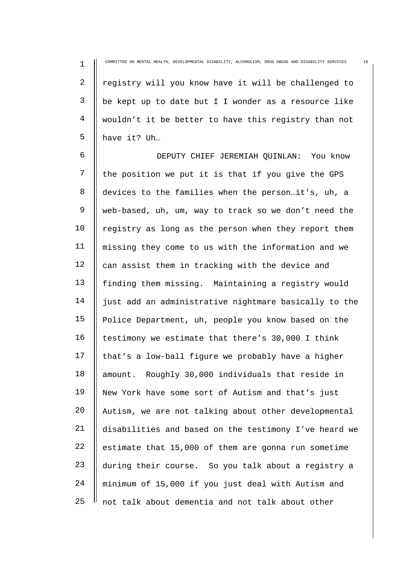1 2 3 4 5 COMMITTEE ON MENTAL HEALTH, DEVELOPMENTAL DISABILITY, ALCOHOLISM, DRUG ABUSE AND DISABILITY SERVICES 18 registry will you know have it will be challenged to be kept up to date but I I wonder as a resource like wouldn't it be better to have this registry than not have it? Uh…

6 7 8  $\mathsf{Q}$ 10 11 12 13 14 15 16 17 18 19 20 21 22 23 24 25 DEPUTY CHIEF JEREMIAH QUINLAN: You know the position we put it is that if you give the GPS devices to the families when the person…it's, uh, a web-based, uh, um, way to track so we don't need the registry as long as the person when they report them missing they come to us with the information and we can assist them in tracking with the device and finding them missing. Maintaining a registry would just add an administrative nightmare basically to the Police Department, uh, people you know based on the testimony we estimate that there's 30,000 I think that's a low-ball figure we probably have a higher amount. Roughly 30,000 individuals that reside in New York have some sort of Autism and that's just Autism, we are not talking about other developmental disabilities and based on the testimony I've heard we estimate that 15,000 of them are gonna run sometime during their course. So you talk about a registry a minimum of 15,000 if you just deal with Autism and not talk about dementia and not talk about other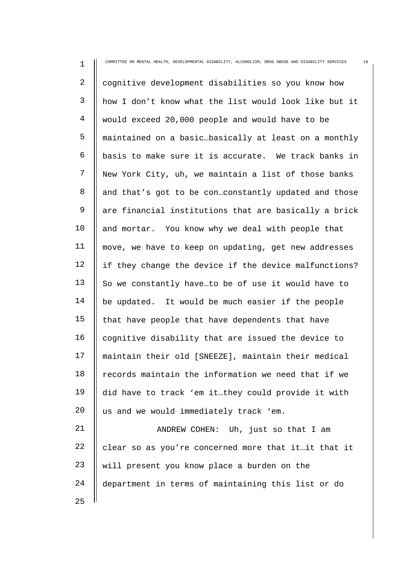| 1              | 19<br>COMMITTEE ON MENTAL HEALTH, DEVELOPMENTAL DISABILITY, ALCOHOLISM, DRUG ABUSE AND DISABILITY SERVICES |
|----------------|------------------------------------------------------------------------------------------------------------|
| $\overline{2}$ | cognitive development disabilities so you know how                                                         |
| 3              | how I don't know what the list would look like but it                                                      |
| $\overline{4}$ | would exceed 20,000 people and would have to be                                                            |
| 5              | maintained on a basicbasically at least on a monthly                                                       |
| 6              | basis to make sure it is accurate. We track banks in                                                       |
| 7              | New York City, uh, we maintain a list of those banks                                                       |
| 8              | and that's got to be conconstantly updated and those                                                       |
| 9              | are financial institutions that are basically a brick                                                      |
| 10             | and mortar. You know why we deal with people that                                                          |
| 11             | move, we have to keep on updating, get new addresses                                                       |
| 12             | if they change the device if the device malfunctions?                                                      |
| 13             | So we constantly haveto be of use it would have to                                                         |
| 14             | be updated. It would be much easier if the people                                                          |
| 15             | that have people that have dependents that have                                                            |
| 16             | cognitive disability that are issued the device to                                                         |
| 17             | maintain their old [SNEEZE], maintain their medical                                                        |
| 18             | records maintain the information we need that if we                                                        |
| 19             | did have to track 'em itthey could provide it with                                                         |
| 20             | us and we would immediately track 'em.                                                                     |
| $2\sqrt{1}$    | Uh, just so that I am<br>ANDREW COHEN:                                                                     |
| 22             | clear so as you're concerned more that itit that it                                                        |
| 23             | will present you know place a burden on the                                                                |
| 24             | department in terms of maintaining this list or do                                                         |
| 25             |                                                                                                            |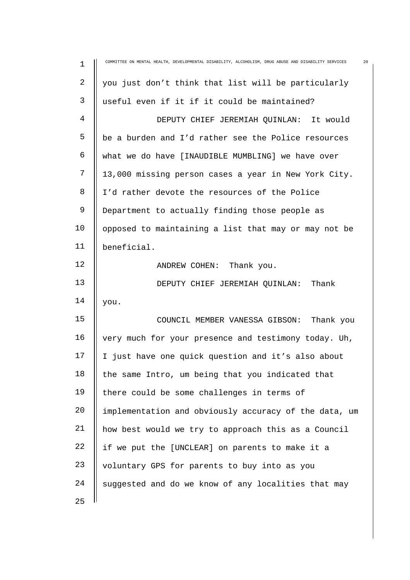| 1  | 20<br>COMMITTEE ON MENTAL HEALTH, DEVELOPMENTAL DISABILITY, ALCOHOLISM, DRUG ABUSE AND DISABILITY SERVICES |
|----|------------------------------------------------------------------------------------------------------------|
| 2  | you just don't think that list will be particularly                                                        |
| 3  | useful even if it if it could be maintained?                                                               |
| 4  | DEPUTY CHIEF JEREMIAH QUINLAN: It would                                                                    |
| 5  | be a burden and I'd rather see the Police resources                                                        |
| 6  | what we do have [INAUDIBLE MUMBLING] we have over                                                          |
| 7  | 13,000 missing person cases a year in New York City.                                                       |
| 8  | I'd rather devote the resources of the Police                                                              |
| 9  | Department to actually finding those people as                                                             |
| 10 | opposed to maintaining a list that may or may not be                                                       |
| 11 | beneficial.                                                                                                |
| 12 | ANDREW COHEN: Thank you.                                                                                   |
| 13 | DEPUTY CHIEF JEREMIAH QUINLAN: Thank                                                                       |
| 14 | you.                                                                                                       |
| 15 | COUNCIL MEMBER VANESSA GIBSON: Thank you                                                                   |
| 16 | very much for your presence and testimony today. Uh,                                                       |
| 17 | I just have one quick question and it's also about                                                         |
| 18 | the same Intro, um being that you indicated that                                                           |
| 19 | there could be some challenges in terms of                                                                 |
| 20 | implementation and obviously accuracy of the data, um                                                      |
| 21 | how best would we try to approach this as a Council                                                        |
| 22 | if we put the [UNCLEAR] on parents to make it a                                                            |
| 23 | voluntary GPS for parents to buy into as you                                                               |
| 24 | suggested and do we know of any localities that may                                                        |
| 25 |                                                                                                            |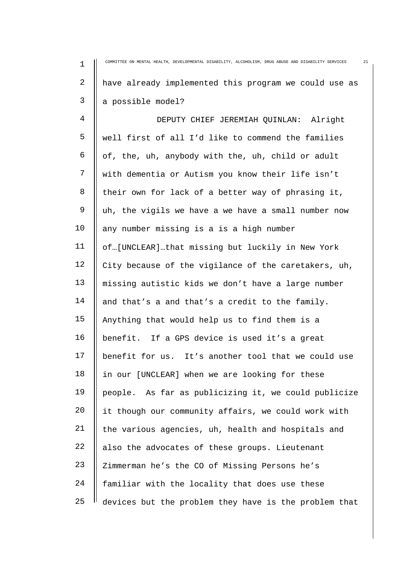| $\mathbf 1$    | COMMITTEE ON MENTAL HEALTH, DEVELOPMENTAL DISABILITY, ALCOHOLISM, DRUG ABUSE AND DISABILITY SERVICES<br>21 |
|----------------|------------------------------------------------------------------------------------------------------------|
| $\overline{a}$ | have already implemented this program we could use as                                                      |
| 3              | a possible model?                                                                                          |
| 4              | DEPUTY CHIEF JEREMIAH QUINLAN: Alright                                                                     |
| 5              | well first of all I'd like to commend the families                                                         |
| 6              | of, the, uh, anybody with the, uh, child or adult                                                          |
| 7              | with dementia or Autism you know their life isn't                                                          |
| 8              | their own for lack of a better way of phrasing it,                                                         |
| 9              | uh, the vigils we have a we have a small number now                                                        |
| 10             | any number missing is a is a high number                                                                   |
| 11             | of[UNCLEAR]that missing but luckily in New York                                                            |
| 12             | City because of the vigilance of the caretakers, uh,                                                       |
| 13             | missing autistic kids we don't have a large number                                                         |
| 14             | and that's a and that's a credit to the family.                                                            |
| 15             | Anything that would help us to find them is a                                                              |
| 16             | benefit. If a GPS device is used it's a great                                                              |
| 17             | benefit for us. It's another tool that we could use                                                        |
| 18             | in our [UNCLEAR] when we are looking for these                                                             |
| 19             | people. As far as publicizing it, we could publicize                                                       |
| 20             | it though our community affairs, we could work with                                                        |
| 21             | the various agencies, uh, health and hospitals and                                                         |
| 22             | also the advocates of these groups. Lieutenant                                                             |
| 23             | Zimmerman he's the CO of Missing Persons he's                                                              |
| 24             | familiar with the locality that does use these                                                             |
| 25             | devices but the problem they have is the problem that                                                      |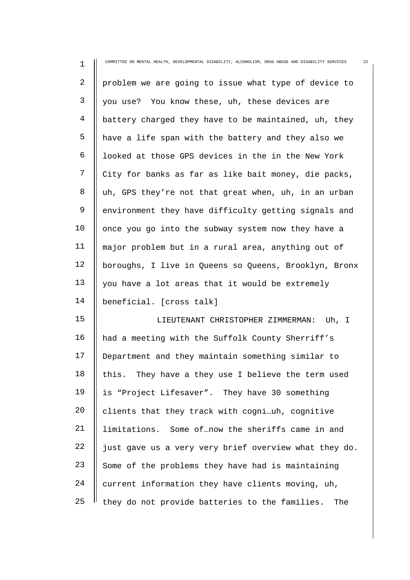| $\mathbf 1$    | 22<br>COMMITTEE ON MENTAL HEALTH, DEVELOPMENTAL DISABILITY, ALCOHOLISM, DRUG ABUSE AND DISABILITY SERVICES |
|----------------|------------------------------------------------------------------------------------------------------------|
| 2              | problem we are going to issue what type of device to                                                       |
| 3              | you use? You know these, uh, these devices are                                                             |
| $\overline{4}$ | battery charged they have to be maintained, uh, they                                                       |
| 5              | have a life span with the battery and they also we                                                         |
| 6              | looked at those GPS devices in the in the New York                                                         |
| 7              | City for banks as far as like bait money, die packs,                                                       |
| 8              | uh, GPS they're not that great when, uh, in an urban                                                       |
| 9              | environment they have difficulty getting signals and                                                       |
| 10             | once you go into the subway system now they have a                                                         |
| 11             | major problem but in a rural area, anything out of                                                         |
| 12             | boroughs, I live in Queens so Queens, Brooklyn, Bronx                                                      |
| 13             | you have a lot areas that it would be extremely                                                            |
| 14             | beneficial. [cross talk]                                                                                   |
| 15             | LIEUTENANT CHRISTOPHER ZIMMERMAN:<br>Uh, I                                                                 |
| 16             | had a meeting with the Suffolk County Sherriff's                                                           |
| 17             | Department and they maintain something similar to                                                          |
| 18             | this. They have a they use I believe the term used                                                         |
| 19             | is "Project Lifesaver". They have 30 something                                                             |
| 20             | clients that they track with cogniuh, cognitive                                                            |
| 21             | limitations. Some of  now the sheriffs came in and                                                         |
| 22             | just gave us a very very brief overview what they do.                                                      |
| 23             | Some of the problems they have had is maintaining                                                          |
| 24             | current information they have clients moving, uh,                                                          |
| 25             | they do not provide batteries to the families.<br>The                                                      |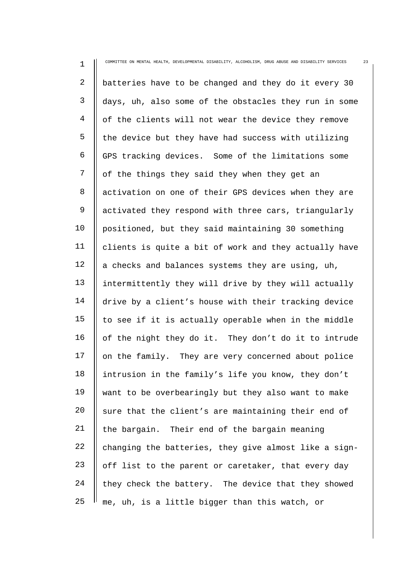| $\mathbf 1$    | COMMITTEE ON MENTAL HEALTH, DEVELOPMENTAL DISABILITY, ALCOHOLISM, DRUG ABUSE AND DISABILITY SERVICES<br>23 |
|----------------|------------------------------------------------------------------------------------------------------------|
| $\overline{2}$ | batteries have to be changed and they do it every 30                                                       |
| 3              | days, uh, also some of the obstacles they run in some                                                      |
| $\overline{4}$ | of the clients will not wear the device they remove                                                        |
| 5              | the device but they have had success with utilizing                                                        |
| 6              | GPS tracking devices. Some of the limitations some                                                         |
| 7              | of the things they said they when they get an                                                              |
| 8              | activation on one of their GPS devices when they are                                                       |
| 9              | activated they respond with three cars, triangularly                                                       |
| 10             | positioned, but they said maintaining 30 something                                                         |
| 11             | clients is quite a bit of work and they actually have                                                      |
| 12             | a checks and balances systems they are using, uh,                                                          |
| 13             | intermittently they will drive by they will actually                                                       |
| 14             | drive by a client's house with their tracking device                                                       |
| 15             | to see if it is actually operable when in the middle                                                       |
| 16             | of the night they do it. They don't do it to intrude                                                       |
| 17             | on the family. They are very concerned about police                                                        |
| 18             | intrusion in the family's life you know, they don't                                                        |
| 19             | want to be overbearingly but they also want to make                                                        |
| 20             | sure that the client's are maintaining their end of                                                        |
| 21             | the bargain. Their end of the bargain meaning                                                              |
| 22             | changing the batteries, they give almost like a sign-                                                      |
| 23             | off list to the parent or caretaker, that every day                                                        |
| 24             | they check the battery. The device that they showed                                                        |
| 25             | me, uh, is a little bigger than this watch, or                                                             |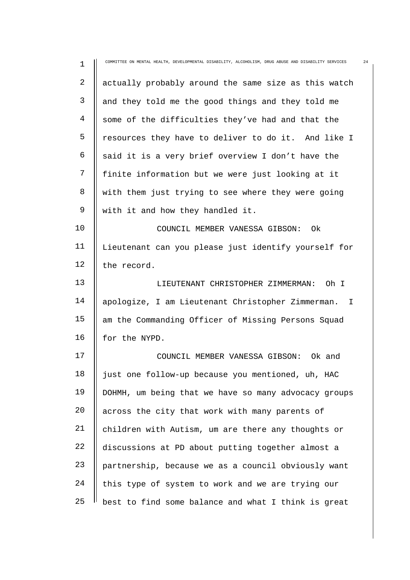| $\mathbf 1$    | 24<br>COMMITTEE ON MENTAL HEALTH, DEVELOPMENTAL DISABILITY, ALCOHOLISM, DRUG ABUSE AND DISABILITY SERVICES |
|----------------|------------------------------------------------------------------------------------------------------------|
| $\overline{2}$ | actually probably around the same size as this watch                                                       |
| 3              | and they told me the good things and they told me                                                          |
| 4              | some of the difficulties they've had and that the                                                          |
| 5              | resources they have to deliver to do it. And like I                                                        |
| 6              | said it is a very brief overview I don't have the                                                          |
| 7              | finite information but we were just looking at it                                                          |
| 8              | with them just trying to see where they were going                                                         |
| 9              | with it and how they handled it.                                                                           |
| 10             | COUNCIL MEMBER VANESSA GIBSON:<br>0k                                                                       |
| 11             | Lieutenant can you please just identify yourself for                                                       |
| 12             | the record.                                                                                                |
| 13             | LIEUTENANT CHRISTOPHER ZIMMERMAN:<br>Oh I                                                                  |
| 14             | apologize, I am Lieutenant Christopher Zimmerman. I                                                        |
| 15             | am the Commanding Officer of Missing Persons Squad                                                         |
| 16             | for the NYPD.                                                                                              |
| 17             | COUNCIL MEMBER VANESSA GIBSON: Ok and                                                                      |
| 18             | just one follow-up because you mentioned, uh, HAC                                                          |
| 19             | DOHMH, um being that we have so many advocacy groups                                                       |
| 20             | across the city that work with many parents of                                                             |
| 21             | children with Autism, um are there any thoughts or                                                         |
| 22             | discussions at PD about putting together almost a                                                          |
| 23             | partnership, because we as a council obviously want                                                        |
| 24             | this type of system to work and we are trying our                                                          |
| 25             | best to find some balance and what I think is great                                                        |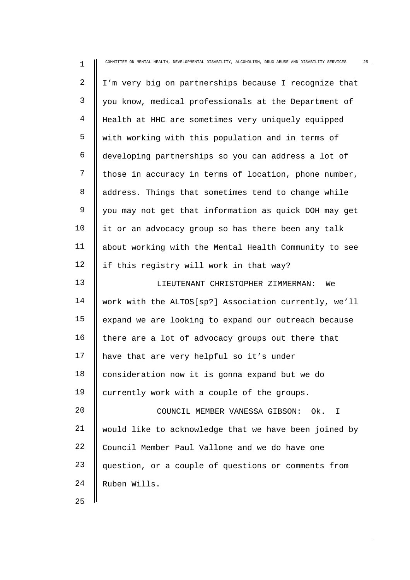| $\mathbf 1$    | 25<br>COMMITTEE ON MENTAL HEALTH, DEVELOPMENTAL DISABILITY, ALCOHOLISM, DRUG ABUSE AND DISABILITY SERVICES |
|----------------|------------------------------------------------------------------------------------------------------------|
| $\overline{2}$ | I'm very big on partnerships because I recognize that                                                      |
| $\mathsf{3}$   | you know, medical professionals at the Department of                                                       |
| $\overline{4}$ | Health at HHC are sometimes very uniquely equipped                                                         |
| 5              | with working with this population and in terms of                                                          |
| 6              | developing partnerships so you can address a lot of                                                        |
| 7              | those in accuracy in terms of location, phone number,                                                      |
| 8              | address. Things that sometimes tend to change while                                                        |
| 9              | you may not get that information as quick DOH may get                                                      |
| 10             | it or an advocacy group so has there been any talk                                                         |
| 11             | about working with the Mental Health Community to see                                                      |
| 12             | if this registry will work in that way?                                                                    |
| 13             | LIEUTENANT CHRISTOPHER ZIMMERMAN:<br>We                                                                    |
| 14             | work with the ALTOS[sp?] Association currently, we'll                                                      |
| 15             | expand we are looking to expand our outreach because                                                       |
| 16             | there are a lot of advocacy groups out there that                                                          |
| 17             | have that are very helpful so it's under                                                                   |
| 18             | consideration now it is gonna expand but we do                                                             |
| 19             | currently work with a couple of the groups.                                                                |
| 20             | COUNCIL MEMBER VANESSA GIBSON:<br>Ok. I                                                                    |
| 21             | would like to acknowledge that we have been joined by                                                      |
| 22             | Council Member Paul Vallone and we do have one                                                             |
| 23             | question, or a couple of questions or comments from                                                        |
| 24             | Ruben Wills.                                                                                               |
| 25             |                                                                                                            |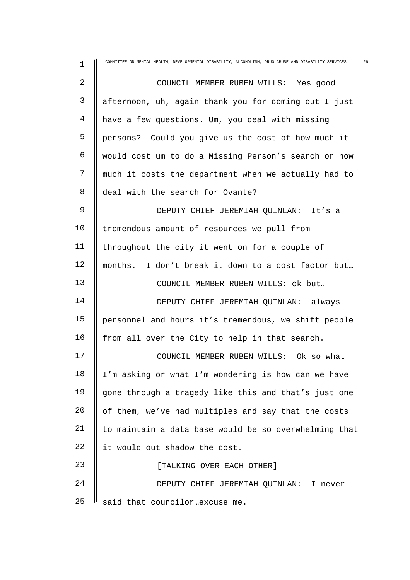| 1           | COMMITTEE ON MENTAL HEALTH, DEVELOPMENTAL DISABILITY, ALCOHOLISM, DRUG ABUSE AND DISABILITY SERVICES<br>26 |
|-------------|------------------------------------------------------------------------------------------------------------|
| 2           | COUNCIL MEMBER RUBEN WILLS: Yes good                                                                       |
| 3           | afternoon, uh, again thank you for coming out I just                                                       |
| 4           | have a few questions. Um, you deal with missing                                                            |
| 5           | persons? Could you give us the cost of how much it                                                         |
| 6           | would cost um to do a Missing Person's search or how                                                       |
| 7           | much it costs the department when we actually had to                                                       |
| 8           | deal with the search for Ovante?                                                                           |
| $\mathsf 9$ | DEPUTY CHIEF JEREMIAH QUINLAN: It's a                                                                      |
| 10          | tremendous amount of resources we pull from                                                                |
| 11          | throughout the city it went on for a couple of                                                             |
| 12          | months. I don't break it down to a cost factor but                                                         |
| 13          | COUNCIL MEMBER RUBEN WILLS: ok but                                                                         |
| 14          | DEPUTY CHIEF JEREMIAH QUINLAN: always                                                                      |
| 15          | personnel and hours it's tremendous, we shift people                                                       |
| 16          | from all over the City to help in that search.                                                             |
| 17          | COUNCIL MEMBER RUBEN WILLS: Ok so what                                                                     |
| 18          | I'm asking or what I'm wondering is how can we have                                                        |
| 19          | gone through a tragedy like this and that's just one                                                       |
| 20          | of them, we've had multiples and say that the costs                                                        |
| 21          | to maintain a data base would be so overwhelming that                                                      |
| 22          | it would out shadow the cost.                                                                              |
| 23          | [TALKING OVER EACH OTHER]                                                                                  |
| 24          | DEPUTY CHIEF JEREMIAH QUINLAN: I never                                                                     |
| 25          | said that councilorexcuse me.                                                                              |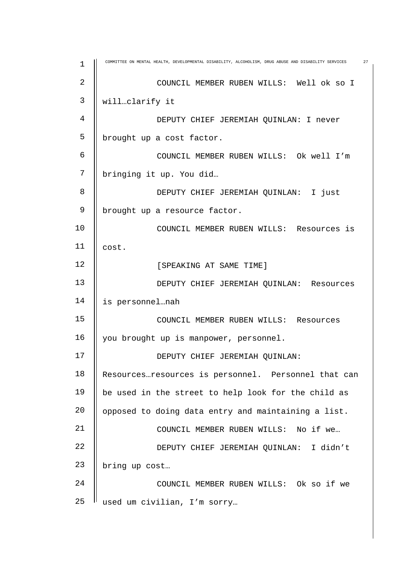| $\mathbf 1$ | COMMITTEE ON MENTAL HEALTH, DEVELOPMENTAL DISABILITY, ALCOHOLISM, DRUG ABUSE AND DISABILITY SERVICES<br>27 |
|-------------|------------------------------------------------------------------------------------------------------------|
| 2           | COUNCIL MEMBER RUBEN WILLS: Well ok so I                                                                   |
| 3           | willclarify it                                                                                             |
| 4           | DEPUTY CHIEF JEREMIAH QUINLAN: I never                                                                     |
| 5           | brought up a cost factor.                                                                                  |
| 6           | COUNCIL MEMBER RUBEN WILLS: Ok well I'm                                                                    |
| 7           | bringing it up. You did                                                                                    |
| 8           | DEPUTY CHIEF JEREMIAH QUINLAN: I just                                                                      |
| 9           | brought up a resource factor.                                                                              |
| 10          | COUNCIL MEMBER RUBEN WILLS: Resources is                                                                   |
| 11          | cost.                                                                                                      |
| 12          | [SPEAKING AT SAME TIME]                                                                                    |
| 13          | DEPUTY CHIEF JEREMIAH QUINLAN: Resources                                                                   |
| 14          | is personnelnah                                                                                            |
| 15          | COUNCIL MEMBER RUBEN WILLS: Resources                                                                      |
| 16          | you brought up is manpower, personnel.                                                                     |
| 17          | DEPUTY CHIEF JEREMIAH QUINLAN:                                                                             |
| 18          | Resourcesresources is personnel. Personnel that can                                                        |
| 19          | be used in the street to help look for the child as                                                        |
| 20          | opposed to doing data entry and maintaining a list.                                                        |
| 21          | COUNCIL MEMBER RUBEN WILLS: No if we                                                                       |
| 22          | DEPUTY CHIEF JEREMIAH QUINLAN: I didn't                                                                    |
| 23          | bring up cost                                                                                              |
| 24          | COUNCIL MEMBER RUBEN WILLS: Ok so if we                                                                    |
| 25          | used um civilian, I'm sorry                                                                                |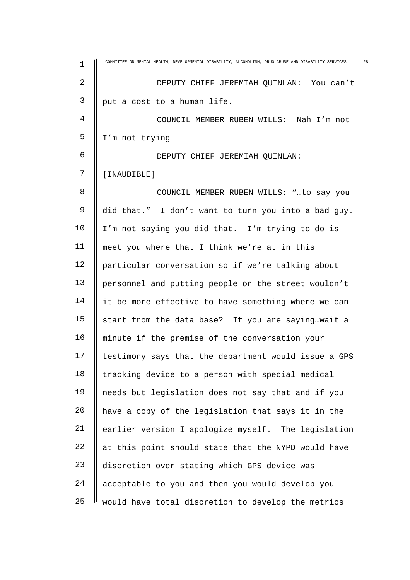| $\mathbf 1$ | COMMITTEE ON MENTAL HEALTH, DEVELOPMENTAL DISABILITY, ALCOHOLISM, DRUG ABUSE AND DISABILITY SERVICES<br>28 |
|-------------|------------------------------------------------------------------------------------------------------------|
| 2           | DEPUTY CHIEF JEREMIAH QUINLAN: You can't                                                                   |
| 3           | put a cost to a human life.                                                                                |
| 4           | COUNCIL MEMBER RUBEN WILLS: Nah I'm not                                                                    |
| 5           | I'm not trying                                                                                             |
| 6           | DEPUTY CHIEF JEREMIAH QUINLAN:                                                                             |
| 7           | [INAUDIBLE]                                                                                                |
| 8           | COUNCIL MEMBER RUBEN WILLS: "to say you                                                                    |
| 9           | did that." I don't want to turn you into a bad guy.                                                        |
| 10          | I'm not saying you did that. I'm trying to do is                                                           |
| 11          | meet you where that I think we're at in this                                                               |
| 12          | particular conversation so if we're talking about                                                          |
| 13          | personnel and putting people on the street wouldn't                                                        |
| 14          | it be more effective to have something where we can                                                        |
| 15          | start from the data base? If you are sayingwait a                                                          |
| 16          | minute if the premise of the conversation your                                                             |
| 17          | testimony says that the department would issue a GPS                                                       |
| 18          | tracking device to a person with special medical                                                           |
| 19          | needs but legislation does not say that and if you                                                         |
| 20          | have a copy of the legislation that says it in the                                                         |
| 21          | earlier version I apologize myself. The legislation                                                        |
| 22          | at this point should state that the NYPD would have                                                        |
| 23          | discretion over stating which GPS device was                                                               |
| 24          | acceptable to you and then you would develop you                                                           |
| 25          | would have total discretion to develop the metrics                                                         |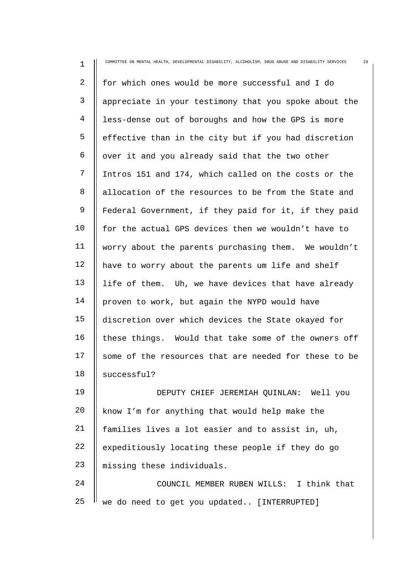| $\mathbf 1$    | COMMITTEE ON MENTAL HEALTH, DEVELOPMENTAL DISABILITY, ALCOHOLISM, DRUG ABUSE AND DISABILITY SERVICES<br>29 |
|----------------|------------------------------------------------------------------------------------------------------------|
| $\overline{2}$ | for which ones would be more successful and I do                                                           |
| 3              | appreciate in your testimony that you spoke about the                                                      |
| 4              | less-dense out of boroughs and how the GPS is more                                                         |
| 5              | effective than in the city but if you had discretion                                                       |
| 6              | over it and you already said that the two other                                                            |
| 7              | Intros 151 and 174, which called on the costs or the                                                       |
| 8              | allocation of the resources to be from the State and                                                       |
| 9              | Federal Government, if they paid for it, if they paid                                                      |
| 10             | for the actual GPS devices then we wouldn't have to                                                        |
| 11             | worry about the parents purchasing them. We wouldn't                                                       |
| 12             | have to worry about the parents um life and shelf                                                          |
| 13             | life of them. Uh, we have devices that have already                                                        |
| 14             | proven to work, but again the NYPD would have                                                              |
| 15             | discretion over which devices the State okayed for                                                         |
| 16             | these things. Would that take some of the owners off                                                       |
| 17             | some of the resources that are needed for these to be                                                      |
| 18             | successful?                                                                                                |
| 19             | DEPUTY CHIEF JEREMIAH QUINLAN: Well you                                                                    |
| 20             | know I'm for anything that would help make the                                                             |
| 21             | families lives a lot easier and to assist in, uh,                                                          |
| 22             | expeditiously locating these people if they do go                                                          |
| 23             | missing these individuals.                                                                                 |
| 24             | COUNCIL MEMBER RUBEN WILLS: I think that                                                                   |
| 25             | we do need to get you updated [INTERRUPTED]                                                                |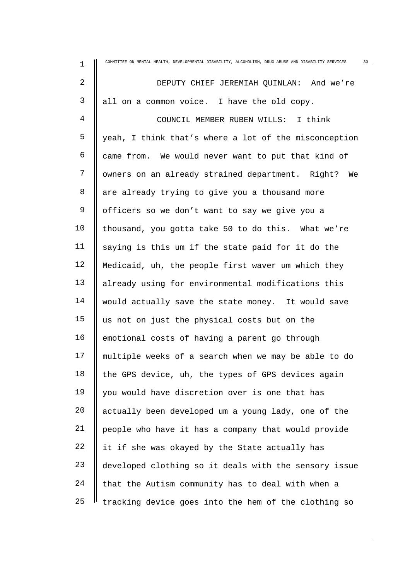| 1              | COMMITTEE ON MENTAL HEALTH, DEVELOPMENTAL DISABILITY, ALCOHOLISM, DRUG ABUSE AND DISABILITY SERVICES<br>30 |
|----------------|------------------------------------------------------------------------------------------------------------|
| 2              | DEPUTY CHIEF JEREMIAH QUINLAN: And we're                                                                   |
| 3              | all on a common voice. I have the old copy.                                                                |
| $\overline{4}$ | COUNCIL MEMBER RUBEN WILLS: I think                                                                        |
| 5              | yeah, I think that's where a lot of the misconception                                                      |
| 6              | came from. We would never want to put that kind of                                                         |
| 7              | owners on an already strained department. Right? We                                                        |
| 8              | are already trying to give you a thousand more                                                             |
| 9              | officers so we don't want to say we give you a                                                             |
| 10             | thousand, you gotta take 50 to do this. What we're                                                         |
| 11             | saying is this um if the state paid for it do the                                                          |
| 12             | Medicaid, uh, the people first waver um which they                                                         |
| 13             | already using for environmental modifications this                                                         |
| 14             | would actually save the state money. It would save                                                         |
| 15             | us not on just the physical costs but on the                                                               |
| 16             | emotional costs of having a parent go through                                                              |
| 17             | multiple weeks of a search when we may be able to do                                                       |
| 18             | the GPS device, uh, the types of GPS devices again                                                         |
| 19             | you would have discretion over is one that has                                                             |
| 20             | actually been developed um a young lady, one of the                                                        |
| 21             | people who have it has a company that would provide                                                        |
| 22             | it if she was okayed by the State actually has                                                             |
| 23             | developed clothing so it deals with the sensory issue                                                      |
| 24             | that the Autism community has to deal with when a                                                          |
| 25             | tracking device goes into the hem of the clothing so                                                       |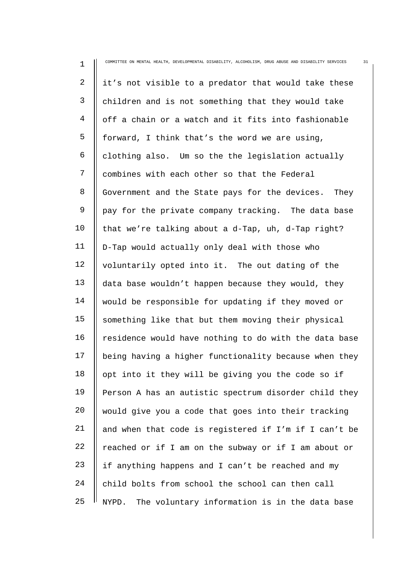| $\mathbf 1$    | COMMITTEE ON MENTAL HEALTH, DEVELOPMENTAL DISABILITY, ALCOHOLISM, DRUG ABUSE AND DISABILITY SERVICES<br>31 |
|----------------|------------------------------------------------------------------------------------------------------------|
| $\overline{2}$ | it's not visible to a predator that would take these                                                       |
| $\mathsf{3}$   | children and is not something that they would take                                                         |
| 4              | off a chain or a watch and it fits into fashionable                                                        |
| 5              | forward, I think that's the word we are using,                                                             |
| 6              | clothing also. Um so the the legislation actually                                                          |
| 7              | combines with each other so that the Federal                                                               |
| 8              | Government and the State pays for the devices.<br>They                                                     |
| 9              | pay for the private company tracking. The data base                                                        |
| 10             | that we're talking about a d-Tap, uh, d-Tap right?                                                         |
| 11             | D-Tap would actually only deal with those who                                                              |
| 12             | voluntarily opted into it. The out dating of the                                                           |
| 13             | data base wouldn't happen because they would, they                                                         |
| 14             | would be responsible for updating if they moved or                                                         |
| 15             | something like that but them moving their physical                                                         |
| 16             | residence would have nothing to do with the data base                                                      |
| 17             | being having a higher functionality because when they                                                      |
| 18             | opt into it they will be giving you the code so if                                                         |
| 19             | Person A has an autistic spectrum disorder child they                                                      |
| 20             | would give you a code that goes into their tracking                                                        |
| 21             | and when that code is registered if I'm if I can't be                                                      |
| 22             | reached or if I am on the subway or if I am about or                                                       |
| 23             | if anything happens and I can't be reached and my                                                          |
| 24             | child bolts from school the school can then call                                                           |
| 25             | The voluntary information is in the data base<br>NYPD.                                                     |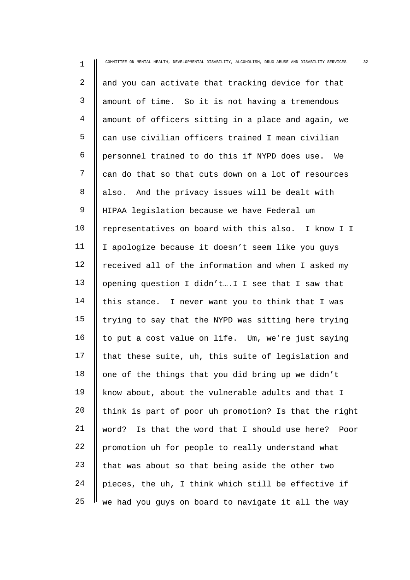| $\mathbf 1$    | COMMITTEE ON MENTAL HEALTH, DEVELOPMENTAL DISABILITY, ALCOHOLISM, DRUG ABUSE AND DISABILITY SERVICES<br>32 |
|----------------|------------------------------------------------------------------------------------------------------------|
| $\overline{2}$ | and you can activate that tracking device for that                                                         |
| 3              | amount of time. So it is not having a tremendous                                                           |
| $\overline{4}$ | amount of officers sitting in a place and again, we                                                        |
| 5              | can use civilian officers trained I mean civilian                                                          |
| 6              | personnel trained to do this if NYPD does use.<br>We                                                       |
| 7              | can do that so that cuts down on a lot of resources                                                        |
| 8              | also. And the privacy issues will be dealt with                                                            |
| $\mathsf 9$    | HIPAA legislation because we have Federal um                                                               |
| 10             | representatives on board with this also. I know I I                                                        |
| 11             | I apologize because it doesn't seem like you guys                                                          |
| 12             | received all of the information and when I asked my                                                        |
| 13             | opening question I didn'tI I see that I saw that                                                           |
| 14             | this stance. I never want you to think that I was                                                          |
| 15             | trying to say that the NYPD was sitting here trying                                                        |
| 16             | to put a cost value on life. Um, we're just saying                                                         |
| 17             | that these suite, uh, this suite of legislation and                                                        |
| 18             | one of the things that you did bring up we didn't                                                          |
| 19             | know about, about the vulnerable adults and that I                                                         |
| 20             | think is part of poor uh promotion? Is that the right                                                      |
| 21             | Is that the word that I should use here? Poor<br>word?                                                     |
| 22             | promotion uh for people to really understand what                                                          |
| 23             | that was about so that being aside the other two                                                           |
| 24             | pieces, the uh, I think which still be effective if                                                        |
| 25             | we had you guys on board to navigate it all the way                                                        |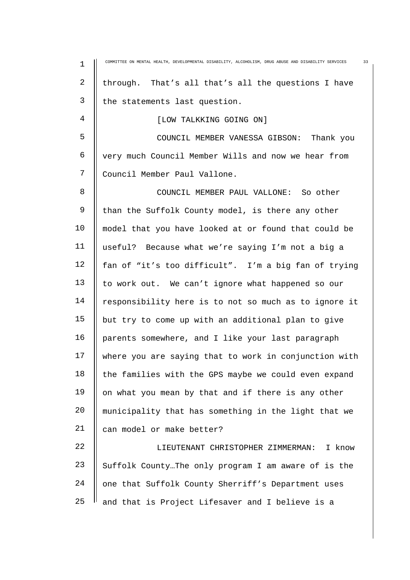| $\mathbf 1$ | 33<br>COMMITTEE ON MENTAL HEALTH, DEVELOPMENTAL DISABILITY, ALCOHOLISM, DRUG ABUSE AND DISABILITY SERVICES |
|-------------|------------------------------------------------------------------------------------------------------------|
| 2           | through. That's all that's all the questions I have                                                        |
| 3           | the statements last question.                                                                              |
| 4           | [LOW TALKKING GOING ON]                                                                                    |
| 5           | COUNCIL MEMBER VANESSA GIBSON: Thank you                                                                   |
| 6           | very much Council Member Wills and now we hear from                                                        |
| 7           | Council Member Paul Vallone.                                                                               |
| 8           | COUNCIL MEMBER PAUL VALLONE: So other                                                                      |
| 9           | than the Suffolk County model, is there any other                                                          |
| 10          | model that you have looked at or found that could be                                                       |
| 11          | useful? Because what we're saying I'm not a big a                                                          |
| 12          | fan of "it's too difficult". I'm a big fan of trying                                                       |
| 13          | to work out. We can't ignore what happened so our                                                          |
| 14          | responsibility here is to not so much as to ignore it                                                      |
| 15          | but try to come up with an additional plan to give                                                         |
| 16          | parents somewhere, and I like your last paragraph                                                          |
| 17          | where you are saying that to work in conjunction with                                                      |
| 18          | the families with the GPS maybe we could even expand                                                       |
| 19          | on what you mean by that and if there is any other                                                         |
| 20          | municipality that has something in the light that we                                                       |
| 21          | can model or make better?                                                                                  |
| 22          | LIEUTENANT CHRISTOPHER ZIMMERMAN:<br>I know                                                                |
| 23          | Suffolk CountyThe only program I am aware of is the                                                        |
| 24          | one that Suffolk County Sherriff's Department uses                                                         |
| 25          | and that is Project Lifesaver and I believe is a                                                           |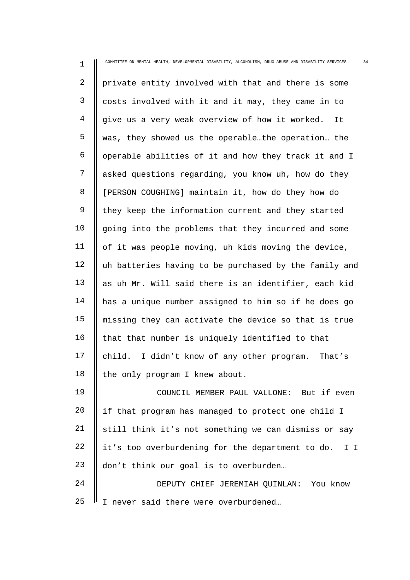| $\mathbf 1$    | COMMITTEE ON MENTAL HEALTH, DEVELOPMENTAL DISABILITY, ALCOHOLISM, DRUG ABUSE AND DISABILITY SERVICES<br>34 |
|----------------|------------------------------------------------------------------------------------------------------------|
| $\overline{2}$ | private entity involved with that and there is some                                                        |
| 3              | costs involved with it and it may, they came in to                                                         |
| $\overline{4}$ | give us a very weak overview of how it worked.<br>It                                                       |
| 5              | was, they showed us the operablethe operation the                                                          |
| 6              | operable abilities of it and how they track it and I                                                       |
| 7              | asked questions regarding, you know uh, how do they                                                        |
| 8              | [PERSON COUGHING] maintain it, how do they how do                                                          |
| 9              | they keep the information current and they started                                                         |
| 10             | going into the problems that they incurred and some                                                        |
| 11             | of it was people moving, uh kids moving the device,                                                        |
| 12             | uh batteries having to be purchased by the family and                                                      |
| 13             | as uh Mr. Will said there is an identifier, each kid                                                       |
| 14             | has a unique number assigned to him so if he does go                                                       |
| 15             | missing they can activate the device so that is true                                                       |
| 16             | that that number is uniquely identified to that                                                            |
| 17             | child. I didn't know of any other program. That's                                                          |
| 18             | the only program I knew about.                                                                             |
| 19             | COUNCIL MEMBER PAUL VALLONE: But if even                                                                   |
| 20             | if that program has managed to protect one child I                                                         |
| 21             | still think it's not something we can dismiss or say                                                       |
| 22             | it's too overburdening for the department to do. I I                                                       |
| 23             | don't think our goal is to overburden                                                                      |
| 24             | DEPUTY CHIEF JEREMIAH QUINLAN: You know                                                                    |
| 25             | I never said there were overburdened                                                                       |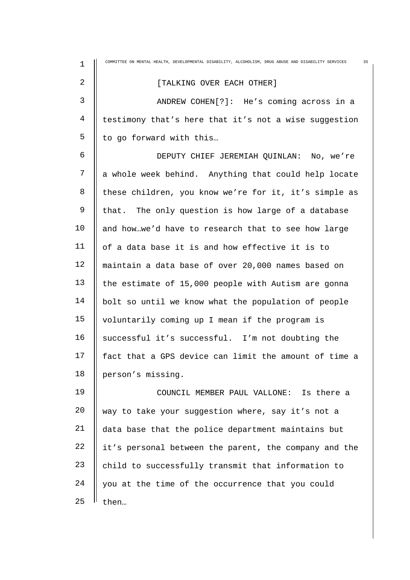| 1  | 35<br>COMMITTEE ON MENTAL HEALTH, DEVELOPMENTAL DISABILITY, ALCOHOLISM, DRUG ABUSE AND DISABILITY SERVICES |
|----|------------------------------------------------------------------------------------------------------------|
| 2  | [TALKING OVER EACH OTHER]                                                                                  |
| 3  | ANDREW COHEN[?]: He's coming across in a                                                                   |
| 4  | testimony that's here that it's not a wise suggestion                                                      |
| 5  | to go forward with this                                                                                    |
| 6  | DEPUTY CHIEF JEREMIAH QUINLAN: No, we're                                                                   |
| 7  | a whole week behind. Anything that could help locate                                                       |
| 8  | these children, you know we're for it, it's simple as                                                      |
| 9  | that. The only question is how large of a database                                                         |
| 10 | and howwe'd have to research that to see how large                                                         |
| 11 | of a data base it is and how effective it is to                                                            |
| 12 | maintain a data base of over 20,000 names based on                                                         |
| 13 | the estimate of 15,000 people with Autism are gonna                                                        |
| 14 | bolt so until we know what the population of people                                                        |
| 15 | voluntarily coming up I mean if the program is                                                             |
| 16 | successful it's successful. I'm not doubting the                                                           |
| 17 | fact that a GPS device can limit the amount of time a                                                      |
| 18 | person's missing.                                                                                          |
| 19 | COUNCIL MEMBER PAUL VALLONE: Is there a                                                                    |
| 20 | way to take your suggestion where, say it's not a                                                          |
| 21 | data base that the police department maintains but                                                         |
| 22 | it's personal between the parent, the company and the                                                      |
| 23 | child to successfully transmit that information to                                                         |
| 24 | you at the time of the occurrence that you could                                                           |
| 25 | then                                                                                                       |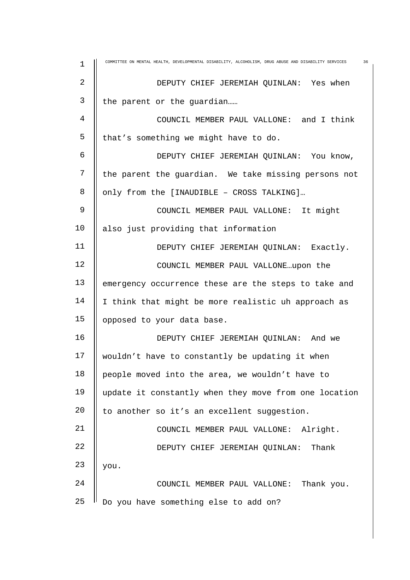| $\mathbf 1$    | COMMITTEE ON MENTAL HEALTH, DEVELOPMENTAL DISABILITY, ALCOHOLISM, DRUG ABUSE AND DISABILITY SERVICES<br>36 |
|----------------|------------------------------------------------------------------------------------------------------------|
| $\overline{2}$ | DEPUTY CHIEF JEREMIAH QUINLAN: Yes when                                                                    |
| 3              | the parent or the guardian                                                                                 |
| $\overline{4}$ | COUNCIL MEMBER PAUL VALLONE: and I think                                                                   |
| 5              | that's something we might have to do.                                                                      |
| 6              | DEPUTY CHIEF JEREMIAH QUINLAN: You know,                                                                   |
| 7              | the parent the guardian. We take missing persons not                                                       |
| 8              | only from the [INAUDIBLE - CROSS TALKING]                                                                  |
| 9              | COUNCIL MEMBER PAUL VALLONE: It might                                                                      |
| 10             | also just providing that information                                                                       |
| 11             | DEPUTY CHIEF JEREMIAH QUINLAN: Exactly.                                                                    |
| 12             | COUNCIL MEMBER PAUL VALLONEupon the                                                                        |
| 13             | emergency occurrence these are the steps to take and                                                       |
| 14             | I think that might be more realistic uh approach as                                                        |
| 15             | opposed to your data base.                                                                                 |
| 16             | DEPUTY CHIEF JEREMIAH QUINLAN: And we                                                                      |
| 17             | wouldn't have to constantly be updating it when                                                            |
| 18             | people moved into the area, we wouldn't have to                                                            |
| 19             | update it constantly when they move from one location                                                      |
| 20             | to another so it's an excellent suggestion.                                                                |
| 21             | COUNCIL MEMBER PAUL VALLONE: Alright.                                                                      |
| 22             | Thank<br>DEPUTY CHIEF JEREMIAH QUINLAN:                                                                    |
| 23             | you.                                                                                                       |
| 24             | Thank you.<br>COUNCIL MEMBER PAUL VALLONE:                                                                 |
| 25             | Do you have something else to add on?                                                                      |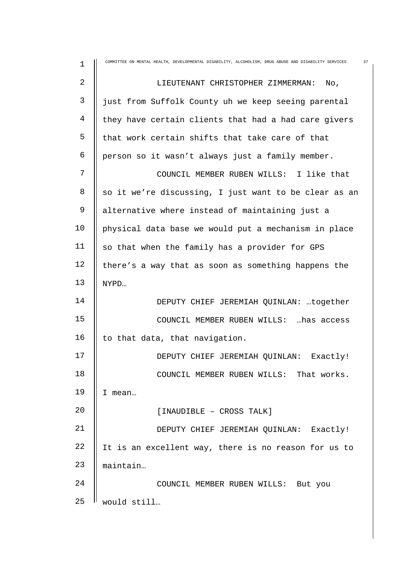| 1  | COMMITTEE ON MENTAL HEALTH, DEVELOPMENTAL DISABILITY, ALCOHOLISM, DRUG ABUSE AND DISABILITY SERVICES<br>37 |
|----|------------------------------------------------------------------------------------------------------------|
| 2  | LIEUTENANT CHRISTOPHER ZIMMERMAN:<br>No,                                                                   |
| 3  | just from Suffolk County uh we keep seeing parental                                                        |
| 4  | they have certain clients that had a had care givers                                                       |
| 5  | that work certain shifts that take care of that                                                            |
| 6  | person so it wasn't always just a family member.                                                           |
| 7  | COUNCIL MEMBER RUBEN WILLS: I like that                                                                    |
| 8  | so it we're discussing, I just want to be clear as an                                                      |
| 9  | alternative where instead of maintaining just a                                                            |
| 10 | physical data base we would put a mechanism in place                                                       |
| 11 | so that when the family has a provider for GPS                                                             |
| 12 | there's a way that as soon as something happens the                                                        |
| 13 | NYPD                                                                                                       |
| 14 | DEPUTY CHIEF JEREMIAH QUINLAN: together                                                                    |
| 15 | COUNCIL MEMBER RUBEN WILLS:  has access                                                                    |
| 16 | to that data, that navigation.                                                                             |
| 17 | DEPUTY CHIEF JEREMIAH QUINLAN: Exactly!                                                                    |
| 18 | COUNCIL MEMBER RUBEN WILLS: That works.                                                                    |
| 19 | I mean                                                                                                     |
| 20 | [INAUDIBLE - CROSS TALK]                                                                                   |
| 21 | DEPUTY CHIEF JEREMIAH QUINLAN: Exactly!                                                                    |
| 22 | It is an excellent way, there is no reason for us to                                                       |
| 23 | maintain                                                                                                   |
| 24 | COUNCIL MEMBER RUBEN WILLS: But you                                                                        |
| 25 | would still                                                                                                |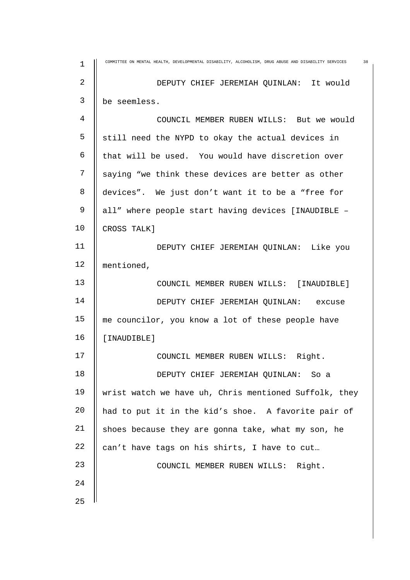| $\mathbf 1$    | COMMITTEE ON MENTAL HEALTH, DEVELOPMENTAL DISABILITY, ALCOHOLISM, DRUG ABUSE AND DISABILITY SERVICES<br>38 |
|----------------|------------------------------------------------------------------------------------------------------------|
| $\overline{2}$ | DEPUTY CHIEF JEREMIAH QUINLAN: It would                                                                    |
| 3              | be seemless.                                                                                               |
| $\overline{4}$ | COUNCIL MEMBER RUBEN WILLS: But we would                                                                   |
| 5              | still need the NYPD to okay the actual devices in                                                          |
| 6              | that will be used. You would have discretion over                                                          |
| 7              | saying "we think these devices are better as other                                                         |
| 8              | devices". We just don't want it to be a "free for                                                          |
| 9              | all" where people start having devices [INAUDIBLE -                                                        |
| 10             | CROSS TALK]                                                                                                |
| 11             | DEPUTY CHIEF JEREMIAH QUINLAN: Like you                                                                    |
| 12             | mentioned,                                                                                                 |
| 13             | COUNCIL MEMBER RUBEN WILLS: [INAUDIBLE]                                                                    |
| 14             | DEPUTY CHIEF JEREMIAH QUINLAN: excuse                                                                      |
| 15             | me councilor, you know a lot of these people have                                                          |
| 16             | [INAUDIBLE]                                                                                                |
| 17             | COUNCIL MEMBER RUBEN WILLS: Right.                                                                         |
| 18             | DEPUTY CHIEF JEREMIAH QUINLAN:<br>So a                                                                     |
| 19             | wrist watch we have uh, Chris mentioned Suffolk, they                                                      |
| 20             | had to put it in the kid's shoe. A favorite pair of                                                        |
| 21             | shoes because they are gonna take, what my son, he                                                         |
| 22             | can't have tags on his shirts, I have to cut                                                               |
| 23             | COUNCIL MEMBER RUBEN WILLS: Right.                                                                         |
| 24             |                                                                                                            |
| 25             |                                                                                                            |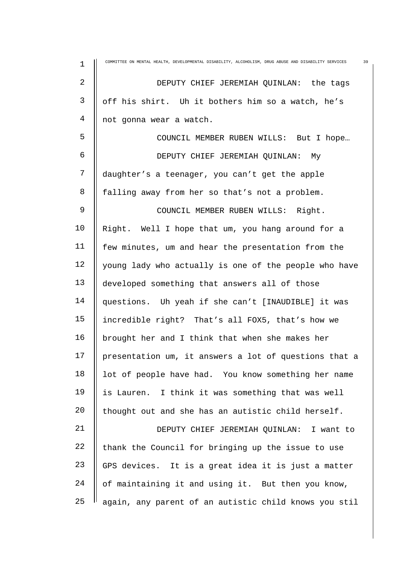| $\mathbf 1$ | COMMITTEE ON MENTAL HEALTH, DEVELOPMENTAL DISABILITY, ALCOHOLISM, DRUG ABUSE AND DISABILITY SERVICES<br>39 |
|-------------|------------------------------------------------------------------------------------------------------------|
| 2           | DEPUTY CHIEF JEREMIAH QUINLAN: the tags                                                                    |
| 3           | off his shirt. Uh it bothers him so a watch, he's                                                          |
| 4           | not gonna wear a watch.                                                                                    |
| 5           | COUNCIL MEMBER RUBEN WILLS: But I hope                                                                     |
| 6           | DEPUTY CHIEF JEREMIAH QUINLAN: My                                                                          |
| 7           | daughter's a teenager, you can't get the apple                                                             |
| 8           | falling away from her so that's not a problem.                                                             |
| $\mathsf 9$ | COUNCIL MEMBER RUBEN WILLS: Right.                                                                         |
| 10          | Right. Well I hope that um, you hang around for a                                                          |
| 11          | few minutes, um and hear the presentation from the                                                         |
| 12          | young lady who actually is one of the people who have                                                      |
| 13          | developed something that answers all of those                                                              |
| 14          | questions. Uh yeah if she can't [INAUDIBLE] it was                                                         |
| 15          | incredible right? That's all FOX5, that's how we                                                           |
| 16          | brought her and I think that when she makes her                                                            |
| 17          | presentation um, it answers a lot of questions that a                                                      |
| 18          | lot of people have had. You know something her name                                                        |
| 19          | is Lauren. I think it was something that was well                                                          |
| 20          | thought out and she has an autistic child herself.                                                         |
| 21          | DEPUTY CHIEF JEREMIAH QUINLAN: I want to                                                                   |
| 22          | thank the Council for bringing up the issue to use                                                         |
| 23          | GPS devices. It is a great idea it is just a matter                                                        |
| 24          | of maintaining it and using it. But then you know,                                                         |
| 25          | again, any parent of an autistic child knows you stil                                                      |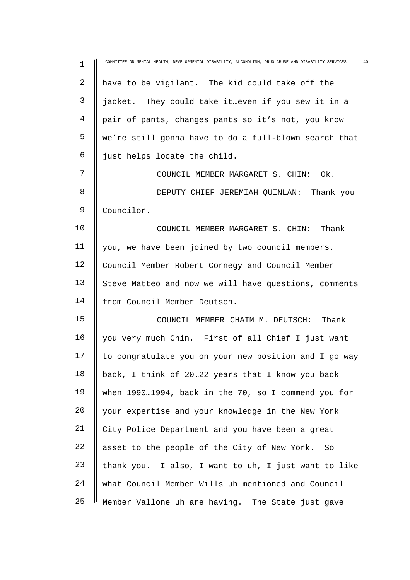| $\mathbf 1$ | COMMITTEE ON MENTAL HEALTH, DEVELOPMENTAL DISABILITY, ALCOHOLISM, DRUG ABUSE AND DISABILITY SERVICES<br>40 |
|-------------|------------------------------------------------------------------------------------------------------------|
| $\mathbf 2$ | have to be vigilant. The kid could take off the                                                            |
| 3           | jacket. They could take it even if you sew it in a                                                         |
| 4           | pair of pants, changes pants so it's not, you know                                                         |
| 5           | we're still gonna have to do a full-blown search that                                                      |
| 6           | just helps locate the child.                                                                               |
| 7           | COUNCIL MEMBER MARGARET S. CHIN: Ok.                                                                       |
| 8           | DEPUTY CHIEF JEREMIAH QUINLAN: Thank you                                                                   |
| 9           | Councilor.                                                                                                 |
| 10          | COUNCIL MEMBER MARGARET S. CHIN:<br>Thank                                                                  |
| 11          | you, we have been joined by two council members.                                                           |
| 12          | Council Member Robert Cornegy and Council Member                                                           |
| 13          | Steve Matteo and now we will have questions, comments                                                      |
| 14          | from Council Member Deutsch.                                                                               |
| 15          | COUNCIL MEMBER CHAIM M. DEUTSCH:<br>Thank                                                                  |
| 16          | you very much Chin. First of all Chief I just want                                                         |
| 17          | to congratulate you on your new position and I go way                                                      |
| 18          | back, I think of 2022 years that I know you back                                                           |
| 19          | when 19901994, back in the 70, so I commend you for                                                        |
| 20          | your expertise and your knowledge in the New York                                                          |
| 21          | City Police Department and you have been a great                                                           |
| 22          | asset to the people of the City of New York. So                                                            |
| 23          | thank you. I also, I want to uh, I just want to like                                                       |
| 24          | what Council Member Wills uh mentioned and Council                                                         |
| 25          | Member Vallone uh are having. The State just gave                                                          |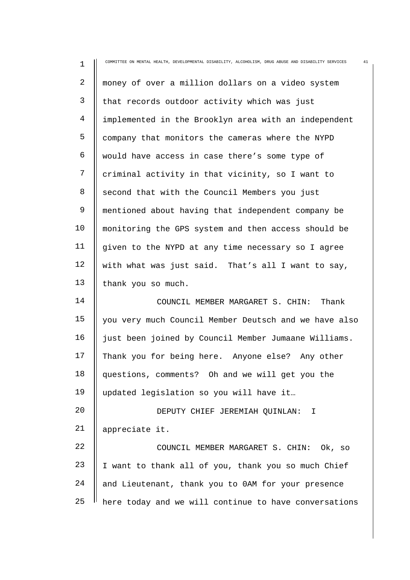| $\mathbf 1$    | COMMITTEE ON MENTAL HEALTH, DEVELOPMENTAL DISABILITY, ALCOHOLISM, DRUG ABUSE AND DISABILITY SERVICES<br>41 |
|----------------|------------------------------------------------------------------------------------------------------------|
| $\overline{a}$ | money of over a million dollars on a video system                                                          |
| 3              | that records outdoor activity which was just                                                               |
| 4              | implemented in the Brooklyn area with an independent                                                       |
| 5              | company that monitors the cameras where the NYPD                                                           |
| 6              | would have access in case there's some type of                                                             |
| 7              | criminal activity in that vicinity, so I want to                                                           |
| 8              | second that with the Council Members you just                                                              |
| 9              | mentioned about having that independent company be                                                         |
| 10             | monitoring the GPS system and then access should be                                                        |
| 11             | given to the NYPD at any time necessary so I agree                                                         |
| 12             | with what was just said. That's all I want to say,                                                         |
| 13             | thank you so much.                                                                                         |
| 14             | COUNCIL MEMBER MARGARET S. CHIN: Thank                                                                     |
| 15             | you very much Council Member Deutsch and we have also                                                      |
| 16             | just been joined by Council Member Jumaane Williams.                                                       |
| 17             | Thank you for being here. Anyone else? Any other                                                           |
| 18             | questions, comments? Oh and we will get you the                                                            |
| 19             | updated legislation so you will have it                                                                    |
| 20             | DEPUTY CHIEF JEREMIAH QUINLAN: I                                                                           |
| 21             | appreciate it.                                                                                             |
| 22             | COUNCIL MEMBER MARGARET S. CHIN: Ok, so                                                                    |
| 23             | I want to thank all of you, thank you so much Chief                                                        |
| 24             | and Lieutenant, thank you to OAM for your presence                                                         |
| 25             | here today and we will continue to have conversations                                                      |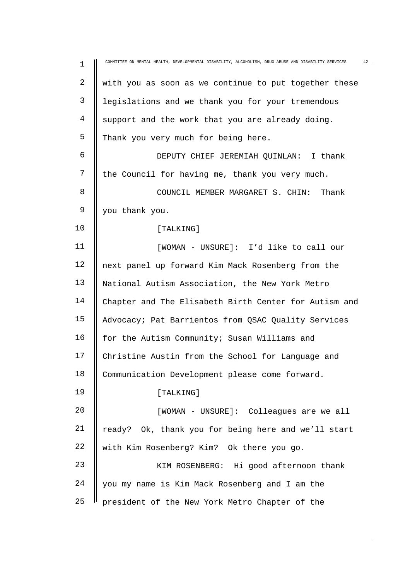| $1\,$      | 42<br>COMMITTEE ON MENTAL HEALTH, DEVELOPMENTAL DISABILITY, ALCOHOLISM, DRUG ABUSE AND DISABILITY SERVICES |
|------------|------------------------------------------------------------------------------------------------------------|
| $\sqrt{2}$ | with you as soon as we continue to put together these                                                      |
| 3          | legislations and we thank you for your tremendous                                                          |
| 4          | support and the work that you are already doing.                                                           |
| 5          | Thank you very much for being here.                                                                        |
| 6          | DEPUTY CHIEF JEREMIAH QUINLAN: I thank                                                                     |
| 7          | the Council for having me, thank you very much.                                                            |
| 8          | COUNCIL MEMBER MARGARET S. CHIN:<br>Thank                                                                  |
| 9          | you thank you.                                                                                             |
| 10         | [TALKING]                                                                                                  |
| 11         | [WOMAN - UNSURE]: I'd like to call our                                                                     |
| 12         | next panel up forward Kim Mack Rosenberg from the                                                          |
| 13         | National Autism Association, the New York Metro                                                            |
| 14         | Chapter and The Elisabeth Birth Center for Autism and                                                      |
| 15         | Advocacy; Pat Barrientos from QSAC Quality Services                                                        |
| 16         | for the Autism Community; Susan Williams and                                                               |
| 17         | Christine Austin from the School for Language and                                                          |
| 18         | Communication Development please come forward.                                                             |
| 19         | [TALKING]                                                                                                  |
| 20         | [WOMAN - UNSURE]: Colleagues are we all                                                                    |
| 21         | ready? Ok, thank you for being here and we'll start                                                        |
| 22         | with Kim Rosenberg? Kim? Ok there you go.                                                                  |
| 23         | KIM ROSENBERG: Hi good afternoon thank                                                                     |
| 24         | you my name is Kim Mack Rosenberg and I am the                                                             |
| 25         | president of the New York Metro Chapter of the                                                             |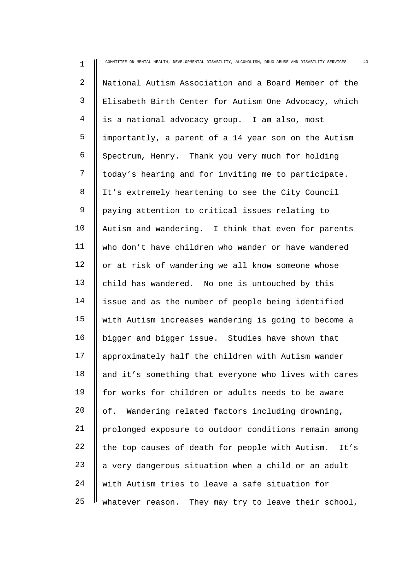| 1              | COMMITTEE ON MENTAL HEALTH, DEVELOPMENTAL DISABILITY, ALCOHOLISM, DRUG ABUSE AND DISABILITY SERVICES<br>43 |
|----------------|------------------------------------------------------------------------------------------------------------|
| $\overline{2}$ | National Autism Association and a Board Member of the                                                      |
| $\mathsf{3}$   | Elisabeth Birth Center for Autism One Advocacy, which                                                      |
| 4              | is a national advocacy group. I am also, most                                                              |
| 5              | importantly, a parent of a 14 year son on the Autism                                                       |
| 6              | Spectrum, Henry. Thank you very much for holding                                                           |
| 7              | today's hearing and for inviting me to participate.                                                        |
| 8              | It's extremely heartening to see the City Council                                                          |
| 9              | paying attention to critical issues relating to                                                            |
| 10             | Autism and wandering. I think that even for parents                                                        |
| 11             | who don't have children who wander or have wandered                                                        |
| 12             | or at risk of wandering we all know someone whose                                                          |
| 13             | child has wandered. No one is untouched by this                                                            |
| 14             | issue and as the number of people being identified                                                         |
| 15             | with Autism increases wandering is going to become a                                                       |
| 16             | bigger and bigger issue. Studies have shown that                                                           |
| 17             | approximately half the children with Autism wander                                                         |
| 18             | and it's something that everyone who lives with cares                                                      |
| 19             | for works for children or adults needs to be aware                                                         |
| 20             | of.<br>Wandering related factors including drowning,                                                       |
| 21             | prolonged exposure to outdoor conditions remain among                                                      |
| 22             | the top causes of death for people with Autism.<br>It's                                                    |
| 23             | a very dangerous situation when a child or an adult                                                        |
| 24             | with Autism tries to leave a safe situation for                                                            |
| 25             | whatever reason. They may try to leave their school,                                                       |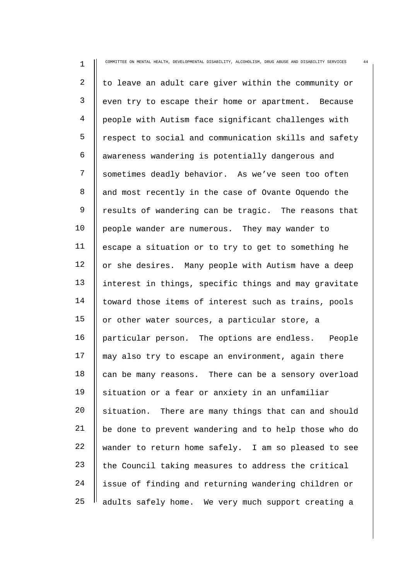| 1              | COMMITTEE ON MENTAL HEALTH, DEVELOPMENTAL DISABILITY, ALCOHOLISM, DRUG ABUSE AND DISABILITY SERVICES<br>44 |
|----------------|------------------------------------------------------------------------------------------------------------|
| $\overline{2}$ | to leave an adult care giver within the community or                                                       |
| 3              | even try to escape their home or apartment. Because                                                        |
| $\overline{4}$ | people with Autism face significant challenges with                                                        |
| 5              | respect to social and communication skills and safety                                                      |
| 6              | awareness wandering is potentially dangerous and                                                           |
| 7              | sometimes deadly behavior. As we've seen too often                                                         |
| 8              | and most recently in the case of Ovante Oquendo the                                                        |
| $\mathsf 9$    | results of wandering can be tragic. The reasons that                                                       |
| 10             | people wander are numerous. They may wander to                                                             |
| 11             | escape a situation or to try to get to something he                                                        |
| 12             | or she desires. Many people with Autism have a deep                                                        |
| 13             | interest in things, specific things and may gravitate                                                      |
| 14             | toward those items of interest such as trains, pools                                                       |
| 15             | or other water sources, a particular store, a                                                              |
| 16             | particular person. The options are endless. People                                                         |
| 17             | may also try to escape an environment, again there                                                         |
| 18             | can be many reasons. There can be a sensory overload                                                       |
| 19             | situation or a fear or anxiety in an unfamiliar                                                            |
| 20             | situation. There are many things that can and should                                                       |
| 21             | be done to prevent wandering and to help those who do                                                      |
| 22             | wander to return home safely. I am so pleased to see                                                       |
| 23             | the Council taking measures to address the critical                                                        |
| 24             | issue of finding and returning wandering children or                                                       |
| 25             | adults safely home. We very much support creating a                                                        |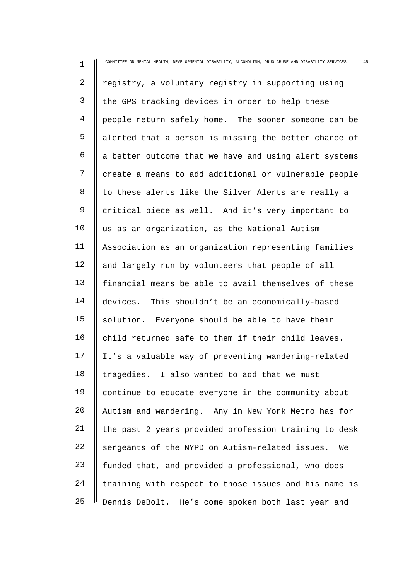| $\mathbf 1$ | 45<br>COMMITTEE ON MENTAL HEALTH, DEVELOPMENTAL DISABILITY, ALCOHOLISM, DRUG ABUSE AND DISABILITY SERVICES |
|-------------|------------------------------------------------------------------------------------------------------------|
| 2           | registry, a voluntary registry in supporting using                                                         |
| 3           | the GPS tracking devices in order to help these                                                            |
| 4           | people return safely home. The sooner someone can be                                                       |
| 5           | alerted that a person is missing the better chance of                                                      |
| 6           | a better outcome that we have and using alert systems                                                      |
| 7           | create a means to add additional or vulnerable people                                                      |
| 8           | to these alerts like the Silver Alerts are really a                                                        |
| 9           | critical piece as well. And it's very important to                                                         |
| 10          | us as an organization, as the National Autism                                                              |
| 11          | Association as an organization representing families                                                       |
| 12          | and largely run by volunteers that people of all                                                           |
| 13          | financial means be able to avail themselves of these                                                       |
| 14          | devices. This shouldn't be an economically-based                                                           |
| 15          | solution. Everyone should be able to have their                                                            |
| 16          | child returned safe to them if their child leaves.                                                         |
| 17          | It's a valuable way of preventing wandering-related                                                        |
| 18          | tragedies. I also wanted to add that we must                                                               |
| 19          | continue to educate everyone in the community about                                                        |
| 20          | Autism and wandering. Any in New York Metro has for                                                        |
| 21          | the past 2 years provided profession training to desk                                                      |
| 22          | sergeants of the NYPD on Autism-related issues.<br>We                                                      |
| 23          | funded that, and provided a professional, who does                                                         |
| 24          | training with respect to those issues and his name is                                                      |
| 25          | Dennis DeBolt. He's come spoken both last year and                                                         |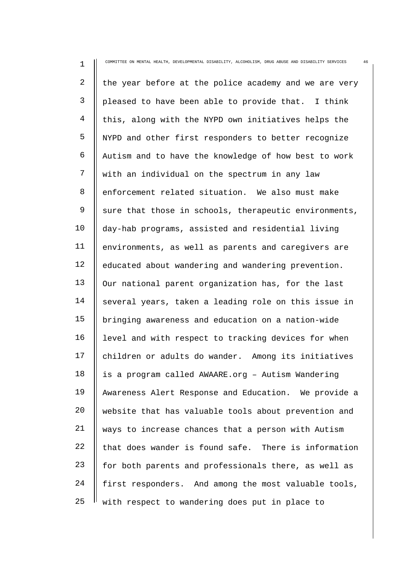| 1              | COMMITTEE ON MENTAL HEALTH, DEVELOPMENTAL DISABILITY, ALCOHOLISM, DRUG ABUSE AND DISABILITY SERVICES<br>46 |
|----------------|------------------------------------------------------------------------------------------------------------|
| $\overline{a}$ | the year before at the police academy and we are very                                                      |
| 3              | pleased to have been able to provide that. I think                                                         |
| 4              | this, along with the NYPD own initiatives helps the                                                        |
| 5              | NYPD and other first responders to better recognize                                                        |
| 6              | Autism and to have the knowledge of how best to work                                                       |
| 7              | with an individual on the spectrum in any law                                                              |
| 8              | enforcement related situation. We also must make                                                           |
| 9              | sure that those in schools, therapeutic environments,                                                      |
| 10             | day-hab programs, assisted and residential living                                                          |
| 11             | environments, as well as parents and caregivers are                                                        |
| 12             | educated about wandering and wandering prevention.                                                         |
| 13             | Our national parent organization has, for the last                                                         |
| 14             | several years, taken a leading role on this issue in                                                       |
| 15             | bringing awareness and education on a nation-wide                                                          |
| 16             | level and with respect to tracking devices for when                                                        |
| 17             | children or adults do wander. Among its initiatives                                                        |
| 18             | is a program called AWAARE.org - Autism Wandering                                                          |
| 19             | Awareness Alert Response and Education. We provide a                                                       |
| 20             | website that has valuable tools about prevention and                                                       |
| 21             | ways to increase chances that a person with Autism                                                         |
| 22             | that does wander is found safe. There is information                                                       |
| 23             | for both parents and professionals there, as well as                                                       |
| 24             | first responders. And among the most valuable tools,                                                       |
| 25             | with respect to wandering does put in place to                                                             |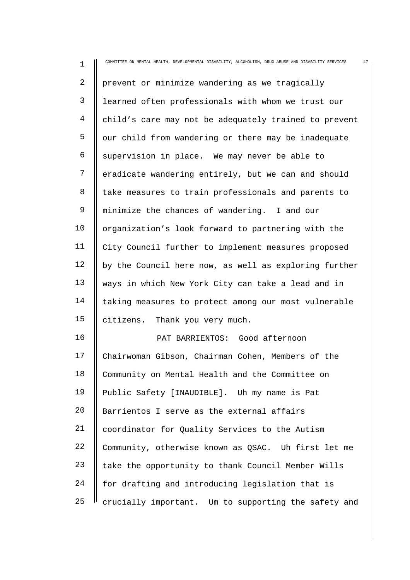| $\mathbf 1$    | COMMITTEE ON MENTAL HEALTH, DEVELOPMENTAL DISABILITY, ALCOHOLISM, DRUG ABUSE AND DISABILITY SERVICES<br>47 |
|----------------|------------------------------------------------------------------------------------------------------------|
| $\overline{2}$ | prevent or minimize wandering as we tragically                                                             |
| 3              | learned often professionals with whom we trust our                                                         |
| 4              | child's care may not be adequately trained to prevent                                                      |
| 5              | our child from wandering or there may be inadequate                                                        |
| 6              | supervision in place. We may never be able to                                                              |
| 7              | eradicate wandering entirely, but we can and should                                                        |
| 8              | take measures to train professionals and parents to                                                        |
| 9              | minimize the chances of wandering. I and our                                                               |
| 10             | organization's look forward to partnering with the                                                         |
| 11             | City Council further to implement measures proposed                                                        |
| 12             | by the Council here now, as well as exploring further                                                      |
| 13             | ways in which New York City can take a lead and in                                                         |
| 14             | taking measures to protect among our most vulnerable                                                       |
| 15             | citizens. Thank you very much.                                                                             |
| 16             | PAT BARRIENTOS: Good afternoon                                                                             |
| 17             | Chairwoman Gibson, Chairman Cohen, Members of the                                                          |
| 18             | Community on Mental Health and the Committee on                                                            |
| 19             | Public Safety [INAUDIBLE]. Uh my name is Pat                                                               |
| 20             | Barrientos I serve as the external affairs                                                                 |
| 21             | coordinator for Quality Services to the Autism                                                             |
| 22             | Community, otherwise known as QSAC. Uh first let me                                                        |
| 23             | take the opportunity to thank Council Member Wills                                                         |
| 24             | for drafting and introducing legislation that is                                                           |
| 25             | crucially important. Um to supporting the safety and                                                       |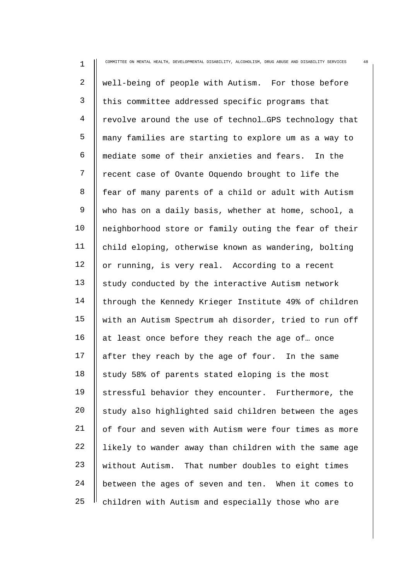| $\mathbf 1$  | COMMITTEE ON MENTAL HEALTH, DEVELOPMENTAL DISABILITY, ALCOHOLISM, DRUG ABUSE AND DISABILITY SERVICES<br>48 |
|--------------|------------------------------------------------------------------------------------------------------------|
| 2            | well-being of people with Autism. For those before                                                         |
| $\mathsf{3}$ | this committee addressed specific programs that                                                            |
| 4            | revolve around the use of technolmGPS technology that                                                      |
| 5            | many families are starting to explore um as a way to                                                       |
| 6            | mediate some of their anxieties and fears. In the                                                          |
| 7            | recent case of Ovante Oquendo brought to life the                                                          |
| 8            | fear of many parents of a child or adult with Autism                                                       |
| 9            | who has on a daily basis, whether at home, school, a                                                       |
| 10           | neighborhood store or family outing the fear of their                                                      |
| 11           | child eloping, otherwise known as wandering, bolting                                                       |
| 12           | or running, is very real. According to a recent                                                            |
| 13           | study conducted by the interactive Autism network                                                          |
| 14           | through the Kennedy Krieger Institute 49% of children                                                      |
| 15           | with an Autism Spectrum ah disorder, tried to run off                                                      |
| 16           | at least once before they reach the age of once                                                            |
| 17           | after they reach by the age of four. In the same                                                           |
| 18           | study 58% of parents stated eloping is the most                                                            |
| 19           | stressful behavior they encounter. Furthermore, the                                                        |
| 20           | study also highlighted said children between the ages                                                      |
| 21           | of four and seven with Autism were four times as more                                                      |
| 22           | likely to wander away than children with the same age                                                      |
| 23           | without Autism. That number doubles to eight times                                                         |
| 24           | between the ages of seven and ten. When it comes to                                                        |
| 25           | children with Autism and especially those who are                                                          |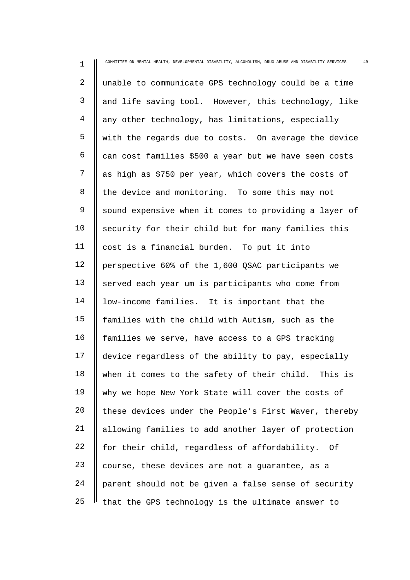| $\mathbf 1$ | 49<br>COMMITTEE ON MENTAL HEALTH, DEVELOPMENTAL DISABILITY, ALCOHOLISM, DRUG ABUSE AND DISABILITY SERVICES |
|-------------|------------------------------------------------------------------------------------------------------------|
| 2           | unable to communicate GPS technology could be a time                                                       |
| 3           | and life saving tool. However, this technology, like                                                       |
| 4           | any other technology, has limitations, especially                                                          |
| 5           | with the regards due to costs. On average the device                                                       |
| 6           | can cost families \$500 a year but we have seen costs                                                      |
| 7           | as high as \$750 per year, which covers the costs of                                                       |
| 8           | the device and monitoring. To some this may not                                                            |
| 9           | sound expensive when it comes to providing a layer of                                                      |
| 10          | security for their child but for many families this                                                        |
| 11          | cost is a financial burden. To put it into                                                                 |
| 12          | perspective 60% of the 1,600 QSAC participants we                                                          |
| 13          | served each year um is participants who come from                                                          |
| 14          | low-income families. It is important that the                                                              |
| 15          | families with the child with Autism, such as the                                                           |
| 16          | families we serve, have access to a GPS tracking                                                           |
| 17          | device regardless of the ability to pay, especially                                                        |
| 18          | when it comes to the safety of their child. This is                                                        |
| 19          | why we hope New York State will cover the costs of                                                         |
| 20          | these devices under the People's First Waver, thereby                                                      |
| 21          | allowing families to add another layer of protection                                                       |
| 22          | for their child, regardless of affordability. Of                                                           |
| 23          | course, these devices are not a guarantee, as a                                                            |
| 24          | parent should not be given a false sense of security                                                       |
| 25          | that the GPS technology is the ultimate answer to                                                          |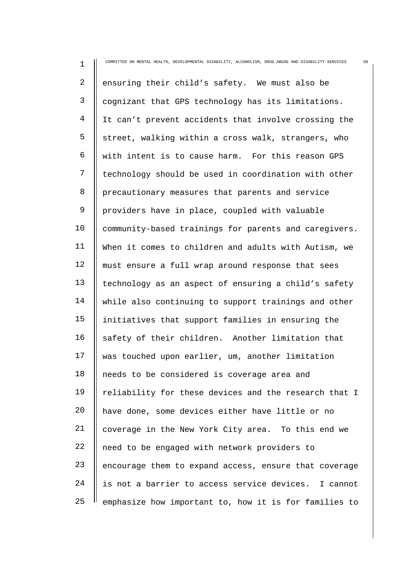| $\mathbf 1$    | 50<br>COMMITTEE ON MENTAL HEALTH, DEVELOPMENTAL DISABILITY, ALCOHOLISM, DRUG ABUSE AND DISABILITY SERVICES |
|----------------|------------------------------------------------------------------------------------------------------------|
| $\overline{2}$ | ensuring their child's safety. We must also be                                                             |
| $\mathsf{3}$   | cognizant that GPS technology has its limitations.                                                         |
| 4              | It can't prevent accidents that involve crossing the                                                       |
| 5              | street, walking within a cross walk, strangers, who                                                        |
| 6              | with intent is to cause harm. For this reason GPS                                                          |
| 7              | technology should be used in coordination with other                                                       |
| 8              | precautionary measures that parents and service                                                            |
| 9              | providers have in place, coupled with valuable                                                             |
| 10             | community-based trainings for parents and caregivers.                                                      |
| 11             | When it comes to children and adults with Autism, we                                                       |
| 12             | must ensure a full wrap around response that sees                                                          |
| 13             | technology as an aspect of ensuring a child's safety                                                       |
| 14             | while also continuing to support trainings and other                                                       |
| 15             | initiatives that support families in ensuring the                                                          |
| 16             | safety of their children. Another limitation that                                                          |
| 17             | was touched upon earlier, um, another limitation                                                           |
| 18             | needs to be considered is coverage area and                                                                |
| 19             | reliability for these devices and the research that I                                                      |
| 20             | have done, some devices either have little or no                                                           |
| 21             | coverage in the New York City area. To this end we                                                         |
| 22             | need to be engaged with network providers to                                                               |
| 23             | encourage them to expand access, ensure that coverage                                                      |
| 24             | is not a barrier to access service devices. I cannot                                                       |
| 25             | emphasize how important to, how it is for families to                                                      |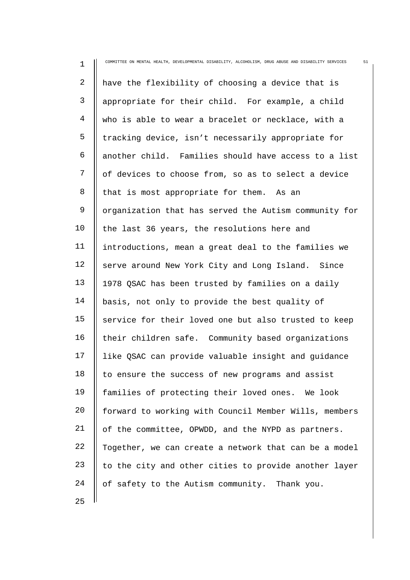| 1  | COMMITTEE ON MENTAL HEALTH, DEVELOPMENTAL DISABILITY, ALCOHOLISM, DRUG ABUSE AND DISABILITY SERVICES<br>51 |
|----|------------------------------------------------------------------------------------------------------------|
| 2  | have the flexibility of choosing a device that is                                                          |
| 3  | appropriate for their child. For example, a child                                                          |
| 4  | who is able to wear a bracelet or necklace, with a                                                         |
| 5  | tracking device, isn't necessarily appropriate for                                                         |
| 6  | another child. Families should have access to a list                                                       |
| 7  | of devices to choose from, so as to select a device                                                        |
| 8  | that is most appropriate for them. As an                                                                   |
| 9  | organization that has served the Autism community for                                                      |
| 10 | the last 36 years, the resolutions here and                                                                |
| 11 | introductions, mean a great deal to the families we                                                        |
| 12 | serve around New York City and Long Island. Since                                                          |
| 13 | 1978 QSAC has been trusted by families on a daily                                                          |
| 14 | basis, not only to provide the best quality of                                                             |
| 15 | service for their loved one but also trusted to keep                                                       |
| 16 | their children safe. Community based organizations                                                         |
| 17 | like QSAC can provide valuable insight and guidance                                                        |
| 18 | to ensure the success of new programs and assist                                                           |
| 19 | families of protecting their loved ones. We look                                                           |
| 20 | forward to working with Council Member Wills, members                                                      |
| 21 | of the committee, OPWDD, and the NYPD as partners.                                                         |
| 22 | Together, we can create a network that can be a model                                                      |
| 23 | to the city and other cities to provide another layer                                                      |
| 24 | of safety to the Autism community. Thank you.                                                              |
| 25 |                                                                                                            |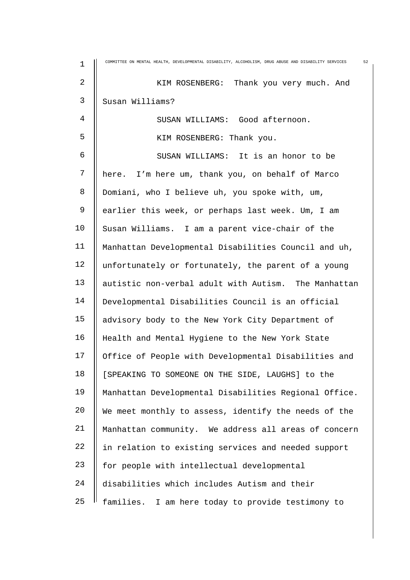| $\mathbf 1$    | COMMITTEE ON MENTAL HEALTH, DEVELOPMENTAL DISABILITY, ALCOHOLISM, DRUG ABUSE AND DISABILITY SERVICES<br>52 |
|----------------|------------------------------------------------------------------------------------------------------------|
| $\overline{2}$ | KIM ROSENBERG: Thank you very much. And                                                                    |
| 3              | Susan Williams?                                                                                            |
| 4              | SUSAN WILLIAMS: Good afternoon.                                                                            |
| 5              | KIM ROSENBERG: Thank you.                                                                                  |
| 6              | SUSAN WILLIAMS: It is an honor to be                                                                       |
| 7              | here. I'm here um, thank you, on behalf of Marco                                                           |
| 8              | Domiani, who I believe uh, you spoke with, um,                                                             |
| 9              | earlier this week, or perhaps last week. Um, I am                                                          |
| 10             | Susan Williams. I am a parent vice-chair of the                                                            |
| 11             | Manhattan Developmental Disabilities Council and uh,                                                       |
| 12             | unfortunately or fortunately, the parent of a young                                                        |
| 13             | autistic non-verbal adult with Autism. The Manhattan                                                       |
| 14             | Developmental Disabilities Council is an official                                                          |
| 15             | advisory body to the New York City Department of                                                           |
| 16             | Health and Mental Hygiene to the New York State                                                            |
| 17             | Office of People with Developmental Disabilities and                                                       |
| 18             | [SPEAKING TO SOMEONE ON THE SIDE, LAUGHS] to the                                                           |
| 19             | Manhattan Developmental Disabilities Regional Office.                                                      |
| 20             | We meet monthly to assess, identify the needs of the                                                       |
| 21             | Manhattan community. We address all areas of concern                                                       |
| 22             | in relation to existing services and needed support                                                        |
| 23             | for people with intellectual developmental                                                                 |
| 24             | disabilities which includes Autism and their                                                               |
| 25             | families. I am here today to provide testimony to                                                          |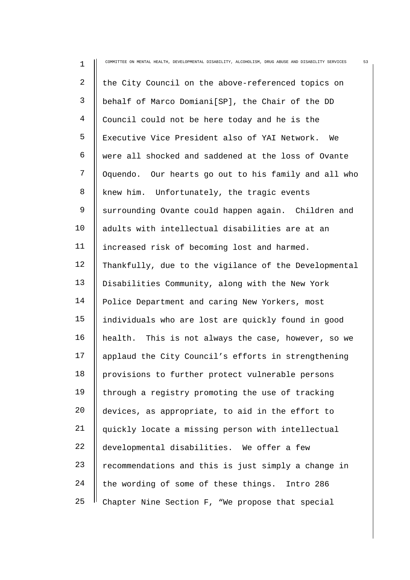| $\mathbf 1$ | COMMITTEE ON MENTAL HEALTH, DEVELOPMENTAL DISABILITY, ALCOHOLISM, DRUG ABUSE AND DISABILITY SERVICES<br>53 |
|-------------|------------------------------------------------------------------------------------------------------------|
| 2           | the City Council on the above-referenced topics on                                                         |
| 3           | behalf of Marco Domiani[SP], the Chair of the DD                                                           |
| 4           | Council could not be here today and he is the                                                              |
| 5           | Executive Vice President also of YAI Network. We                                                           |
| 6           | were all shocked and saddened at the loss of Ovante                                                        |
| 7           | Oquendo. Our hearts go out to his family and all who                                                       |
| 8           | knew him. Unfortunately, the tragic events                                                                 |
| 9           | surrounding Ovante could happen again. Children and                                                        |
| 10          | adults with intellectual disabilities are at an                                                            |
| 11          | increased risk of becoming lost and harmed.                                                                |
| 12          | Thankfully, due to the vigilance of the Developmental                                                      |
| 13          | Disabilities Community, along with the New York                                                            |
| 14          | Police Department and caring New Yorkers, most                                                             |
| 15          | individuals who are lost are quickly found in good                                                         |
| 16          | health. This is not always the case, however, so we                                                        |
| 17          | applaud the City Council's efforts in strengthening                                                        |
| 18          | provisions to further protect vulnerable persons                                                           |
| 19          | through a registry promoting the use of tracking                                                           |
| 20          | devices, as appropriate, to aid in the effort to                                                           |
| 21          | quickly locate a missing person with intellectual                                                          |
| 22          | developmental disabilities. We offer a few                                                                 |
| 23          | recommendations and this is just simply a change in                                                        |
| 24          | the wording of some of these things.<br>Intro 286                                                          |
| 25          | Chapter Nine Section F, "We propose that special                                                           |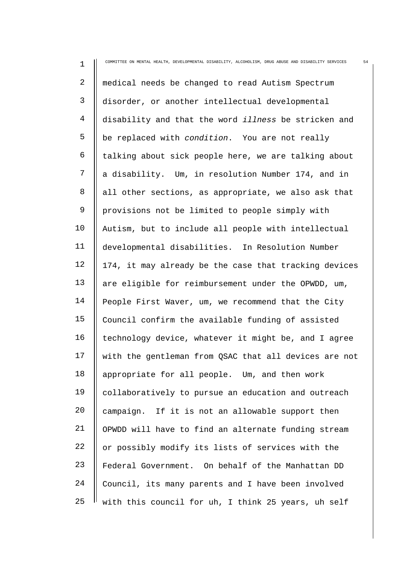| $\mathbf 1$ | 54<br>COMMITTEE ON MENTAL HEALTH, DEVELOPMENTAL DISABILITY, ALCOHOLISM, DRUG ABUSE AND DISABILITY SERVICES |
|-------------|------------------------------------------------------------------------------------------------------------|
| 2           | medical needs be changed to read Autism Spectrum                                                           |
| 3           | disorder, or another intellectual developmental                                                            |
| 4           | disability and that the word <i>illness</i> be stricken and                                                |
| 5           | be replaced with condition. You are not really                                                             |
| 6           | talking about sick people here, we are talking about                                                       |
| 7           | a disability. Um, in resolution Number 174, and in                                                         |
| 8           | all other sections, as appropriate, we also ask that                                                       |
| 9           | provisions not be limited to people simply with                                                            |
| 10          | Autism, but to include all people with intellectual                                                        |
| 11          | developmental disabilities. In Resolution Number                                                           |
| 12          | 174, it may already be the case that tracking devices                                                      |
| 13          | are eligible for reimbursement under the OPWDD, um,                                                        |
| 14          | People First Waver, um, we recommend that the City                                                         |
| 15          | Council confirm the available funding of assisted                                                          |
| 16          | technology device, whatever it might be, and I agree                                                       |
| 17          | with the gentleman from QSAC that all devices are not                                                      |
| 18          | appropriate for all people. Um, and then work                                                              |
| 19          | collaboratively to pursue an education and outreach                                                        |
| 20          | campaign. If it is not an allowable support then                                                           |
| 21          | OPWDD will have to find an alternate funding stream                                                        |
| 22          | or possibly modify its lists of services with the                                                          |
| 23          | Federal Government. On behalf of the Manhattan DD                                                          |
| 24          | Council, its many parents and I have been involved                                                         |
| 25          | with this council for uh, I think 25 years, uh self                                                        |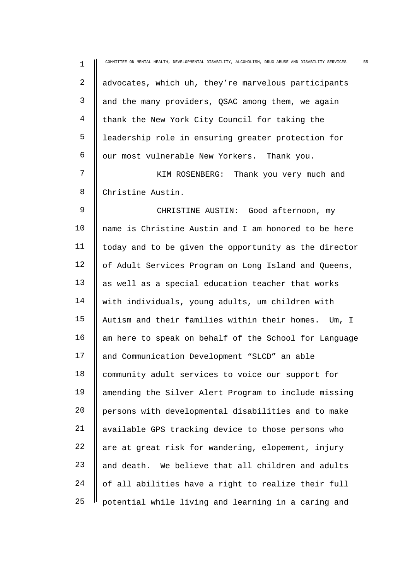| $\mathbf 1$ | 55<br>COMMITTEE ON MENTAL HEALTH, DEVELOPMENTAL DISABILITY, ALCOHOLISM, DRUG ABUSE AND DISABILITY SERVICES |
|-------------|------------------------------------------------------------------------------------------------------------|
| 2           | advocates, which uh, they're marvelous participants                                                        |
| 3           | and the many providers, QSAC among them, we again                                                          |
| 4           | thank the New York City Council for taking the                                                             |
| 5           | leadership role in ensuring greater protection for                                                         |
| 6           | our most vulnerable New Yorkers. Thank you.                                                                |
| 7           | KIM ROSENBERG: Thank you very much and                                                                     |
| 8           | Christine Austin.                                                                                          |
| 9           | CHRISTINE AUSTIN: Good afternoon, my                                                                       |
| 10          | name is Christine Austin and I am honored to be here                                                       |
| 11          | today and to be given the opportunity as the director                                                      |
| 12          | of Adult Services Program on Long Island and Queens,                                                       |
| 13          | as well as a special education teacher that works                                                          |
| 14          | with individuals, young adults, um children with                                                           |
| 15          | Autism and their families within their homes. Um, I                                                        |
| 16          | am here to speak on behalf of the School for Language                                                      |
| 17          | and Communication Development "SLCD" an able                                                               |
| 18          | community adult services to voice our support for                                                          |
| 19          | amending the Silver Alert Program to include missing                                                       |
| 20          | persons with developmental disabilities and to make                                                        |
| 21          | available GPS tracking device to those persons who                                                         |
| 22          | are at great risk for wandering, elopement, injury                                                         |
| 23          | and death. We believe that all children and adults                                                         |
| 24          | of all abilities have a right to realize their full                                                        |
| 25          | potential while living and learning in a caring and                                                        |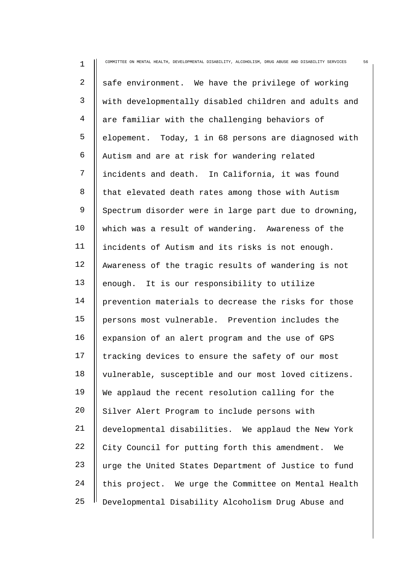| $\mathbf 1$ | 56<br>COMMITTEE ON MENTAL HEALTH, DEVELOPMENTAL DISABILITY, ALCOHOLISM, DRUG ABUSE AND DISABILITY SERVICES |
|-------------|------------------------------------------------------------------------------------------------------------|
| 2           | safe environment. We have the privilege of working                                                         |
| 3           | with developmentally disabled children and adults and                                                      |
| 4           | are familiar with the challenging behaviors of                                                             |
| 5           | elopement. Today, 1 in 68 persons are diagnosed with                                                       |
| 6           | Autism and are at risk for wandering related                                                               |
| 7           | incidents and death. In California, it was found                                                           |
| 8           | that elevated death rates among those with Autism                                                          |
| 9           | Spectrum disorder were in large part due to drowning,                                                      |
| 10          | which was a result of wandering. Awareness of the                                                          |
| 11          | incidents of Autism and its risks is not enough.                                                           |
| 12          | Awareness of the tragic results of wandering is not                                                        |
| 13          | enough. It is our responsibility to utilize                                                                |
| 14          | prevention materials to decrease the risks for those                                                       |
| 15          | persons most vulnerable. Prevention includes the                                                           |
| 16          | expansion of an alert program and the use of GPS                                                           |
| 17          | tracking devices to ensure the safety of our most                                                          |
| 18          | vulnerable, susceptible and our most loved citizens.                                                       |
| 19          | We applaud the recent resolution calling for the                                                           |
| 20          | Silver Alert Program to include persons with                                                               |
| 21          | developmental disabilities. We applaud the New York                                                        |
| 22          | City Council for putting forth this amendment.<br>We                                                       |
| 23          | urge the United States Department of Justice to fund                                                       |
| 24          | this project. We urge the Committee on Mental Health                                                       |
| 25          | Developmental Disability Alcoholism Drug Abuse and                                                         |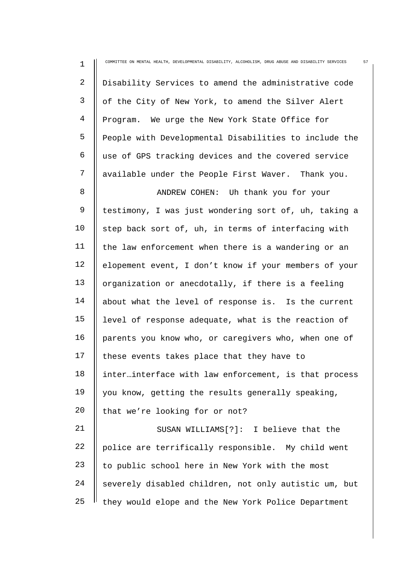| $\mathbf 1$  | 57<br>COMMITTEE ON MENTAL HEALTH, DEVELOPMENTAL DISABILITY, ALCOHOLISM, DRUG ABUSE AND DISABILITY SERVICES |
|--------------|------------------------------------------------------------------------------------------------------------|
| 2            | Disability Services to amend the administrative code                                                       |
| $\mathsf{3}$ | of the City of New York, to amend the Silver Alert                                                         |
| 4            | Program. We urge the New York State Office for                                                             |
| 5            | People with Developmental Disabilities to include the                                                      |
| 6            | use of GPS tracking devices and the covered service                                                        |
| 7            | available under the People First Waver. Thank you.                                                         |
| 8            | ANDREW COHEN: Uh thank you for your                                                                        |
| 9            | testimony, I was just wondering sort of, uh, taking a                                                      |
| 10           | step back sort of, uh, in terms of interfacing with                                                        |
| 11           | the law enforcement when there is a wandering or an                                                        |
| 12           | elopement event, I don't know if your members of your                                                      |
| 13           | organization or anecdotally, if there is a feeling                                                         |
| 14           | about what the level of response is. Is the current                                                        |
| 15           | level of response adequate, what is the reaction of                                                        |
| 16           | parents you know who, or caregivers who, when one of                                                       |
| 17           | these events takes place that they have to                                                                 |
| 18           | inter.interface with law enforcement, is that process                                                      |
| 19           | you know, getting the results generally speaking,                                                          |
| 20           | that we're looking for or not?                                                                             |
| 21           | SUSAN WILLIAMS[?]: I believe that the                                                                      |
| 22           | police are terrifically responsible. My child went                                                         |
| 23           | to public school here in New York with the most                                                            |
| 24           | severely disabled children, not only autistic um, but                                                      |
| 25           | they would elope and the New York Police Department                                                        |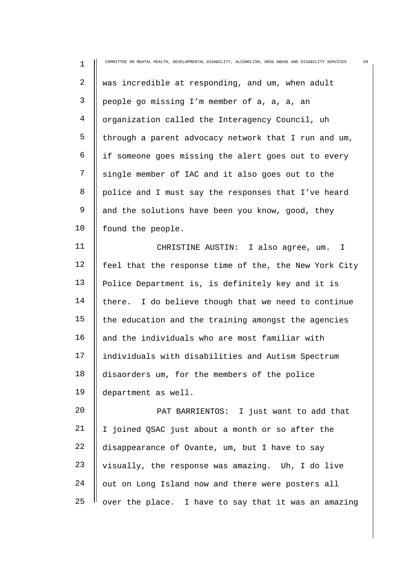| $1\,$          | 58<br>COMMITTEE ON MENTAL HEALTH, DEVELOPMENTAL DISABILITY, ALCOHOLISM, DRUG ABUSE AND DISABILITY SERVICES |
|----------------|------------------------------------------------------------------------------------------------------------|
| $\overline{c}$ | was incredible at responding, and um, when adult                                                           |
| 3              | people go missing I'm member of a, a, a, an                                                                |
| $\overline{4}$ | organization called the Interagency Council, uh                                                            |
| 5              | through a parent advocacy network that I run and um,                                                       |
| 6              | if someone goes missing the alert goes out to every                                                        |
| 7              | single member of IAC and it also goes out to the                                                           |
| 8              | police and I must say the responses that I've heard                                                        |
| 9              | and the solutions have been you know, good, they                                                           |
| 10             | found the people.                                                                                          |
| 11             | CHRISTINE AUSTIN: I also agree, um. I                                                                      |
| 12             | feel that the response time of the, the New York City                                                      |
| 13             | Police Department is, is definitely key and it is                                                          |
| 14             | there. I do believe though that we need to continue                                                        |
| 15             | the education and the training amongst the agencies                                                        |
| 16             | and the individuals who are most familiar with                                                             |
| 17             | individuals with disabilities and Autism Spectrum                                                          |
| 18             | disaorders um, for the members of the police                                                               |
| 19             | department as well.                                                                                        |
| 20             | PAT BARRIENTOS: I just want to add that                                                                    |
| 21             | I joined QSAC just about a month or so after the                                                           |
| 22             | disappearance of Ovante, um, but I have to say                                                             |
| 23             | visually, the response was amazing. Uh, I do live                                                          |
| 24             | out on Long Island now and there were posters all                                                          |
| 25             | over the place. I have to say that it was an amazing                                                       |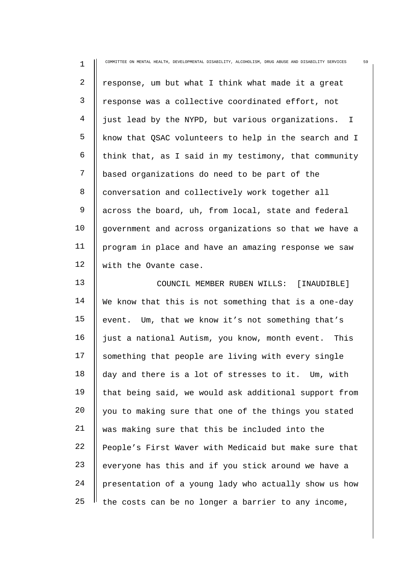| $\mathbf 1$    | 59<br>COMMITTEE ON MENTAL HEALTH, DEVELOPMENTAL DISABILITY, ALCOHOLISM, DRUG ABUSE AND DISABILITY SERVICES |
|----------------|------------------------------------------------------------------------------------------------------------|
| 2              | response, um but what I think what made it a great                                                         |
| 3              | response was a collective coordinated effort, not                                                          |
| $\overline{4}$ | just lead by the NYPD, but various organizations. I                                                        |
| 5              | know that QSAC volunteers to help in the search and I                                                      |
| 6              | think that, as I said in my testimony, that community                                                      |
| 7              | based organizations do need to be part of the                                                              |
| 8              | conversation and collectively work together all                                                            |
| 9              | across the board, uh, from local, state and federal                                                        |
| 10             | government and across organizations so that we have a                                                      |
| 11             | program in place and have an amazing response we saw                                                       |
| 12             | with the Ovante case.                                                                                      |
| 13             | COUNCIL MEMBER RUBEN WILLS: [INAUDIBLE]                                                                    |
| 14             | We know that this is not something that is a one-day                                                       |
| 15             | event. Um, that we know it's not something that's                                                          |
| 16             | just a national Autism, you know, month event. This                                                        |
| 17             | something that people are living with every single                                                         |
| 18             | day and there is a lot of stresses to it. Um, with                                                         |
| 19             | that being said, we would ask additional support from                                                      |
| 20             | you to making sure that one of the things you stated                                                       |
| 21             | was making sure that this be included into the                                                             |
| 22             | People's First Waver with Medicaid but make sure that                                                      |
| 23             | everyone has this and if you stick around we have a                                                        |
| 24             | presentation of a young lady who actually show us how                                                      |
| 25             | the costs can be no longer a barrier to any income,                                                        |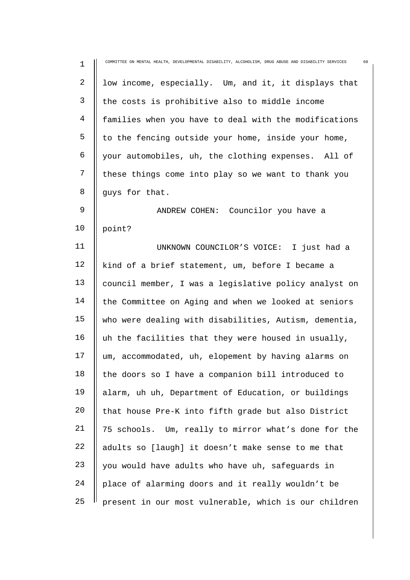| $\mathbf 1$ | COMMITTEE ON MENTAL HEALTH, DEVELOPMENTAL DISABILITY, ALCOHOLISM, DRUG ABUSE AND DISABILITY SERVICES<br>60 |
|-------------|------------------------------------------------------------------------------------------------------------|
| 2           | low income, especially. Um, and it, it displays that                                                       |
| 3           | the costs is prohibitive also to middle income                                                             |
| 4           | families when you have to deal with the modifications                                                      |
| 5           | to the fencing outside your home, inside your home,                                                        |
| 6           | your automobiles, uh, the clothing expenses. All of                                                        |
| 7           | these things come into play so we want to thank you                                                        |
| 8           | guys for that.                                                                                             |
| 9           | ANDREW COHEN: Councilor you have a                                                                         |
| 10          | point?                                                                                                     |
| 11          | UNKNOWN COUNCILOR'S VOICE: I just had a                                                                    |
| 12          | kind of a brief statement, um, before I became a                                                           |
| 13          | council member, I was a legislative policy analyst on                                                      |
| 14          | the Committee on Aging and when we looked at seniors                                                       |
| 15          | who were dealing with disabilities, Autism, dementia,                                                      |
| 16          | uh the facilities that they were housed in usually,                                                        |
| 17          | um, accommodated, uh, elopement by having alarms on                                                        |
| 18          | the doors so I have a companion bill introduced to                                                         |
| 19          | alarm, uh uh, Department of Education, or buildings                                                        |
| 20          | that house Pre-K into fifth grade but also District                                                        |
| 21          | 75 schools. Um, really to mirror what's done for the                                                       |
| 22          | adults so [laugh] it doesn't make sense to me that                                                         |
| 23          | you would have adults who have uh, safeguards in                                                           |
| 24          | place of alarming doors and it really wouldn't be                                                          |
| 25          | present in our most vulnerable, which is our children                                                      |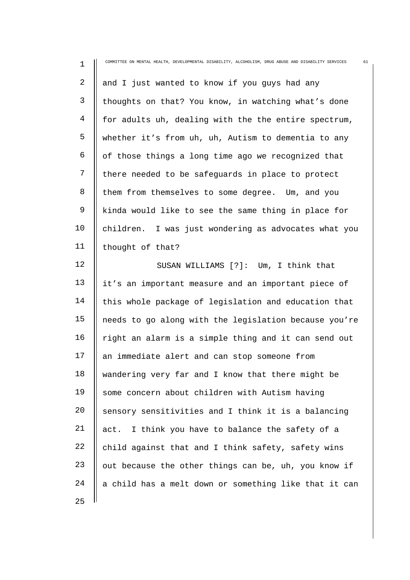| $\mathbf 1$    | 61<br>COMMITTEE ON MENTAL HEALTH, DEVELOPMENTAL DISABILITY, ALCOHOLISM, DRUG ABUSE AND DISABILITY SERVICES |
|----------------|------------------------------------------------------------------------------------------------------------|
| $\overline{a}$ | and I just wanted to know if you guys had any                                                              |
| 3              | thoughts on that? You know, in watching what's done                                                        |
| 4              | for adults uh, dealing with the the entire spectrum,                                                       |
| 5              | whether it's from uh, uh, Autism to dementia to any                                                        |
| 6              | of those things a long time ago we recognized that                                                         |
| 7              | there needed to be safeguards in place to protect                                                          |
| 8              | them from themselves to some degree. Um, and you                                                           |
| 9              | kinda would like to see the same thing in place for                                                        |
| 10             | children. I was just wondering as advocates what you                                                       |
| 11             | thought of that?                                                                                           |
| 12             | SUSAN WILLIAMS [?]: Um, I think that                                                                       |
| 13             | it's an important measure and an important piece of                                                        |
| 14             | this whole package of legislation and education that                                                       |
| 15             | needs to go along with the legislation because you're                                                      |
| 16             | right an alarm is a simple thing and it can send out                                                       |
| 17             | an immediate alert and can stop someone from                                                               |
| 18             | wandering very far and I know that there might be                                                          |
| 19             | some concern about children with Autism having                                                             |
| 20             | sensory sensitivities and I think it is a balancing                                                        |
| 21             | act. I think you have to balance the safety of a                                                           |
| 22             | child against that and I think safety, safety wins                                                         |
| 23             | out because the other things can be, uh, you know if                                                       |
| 24             | a child has a melt down or something like that it can                                                      |
| 25             |                                                                                                            |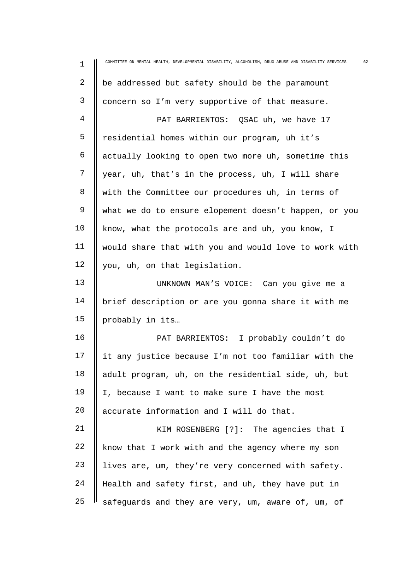| $\mathbf 1$ | 62<br>COMMITTEE ON MENTAL HEALTH, DEVELOPMENTAL DISABILITY, ALCOHOLISM, DRUG ABUSE AND DISABILITY SERVICES |
|-------------|------------------------------------------------------------------------------------------------------------|
| 2           | be addressed but safety should be the paramount                                                            |
| 3           | concern so I'm very supportive of that measure.                                                            |
| 4           | PAT BARRIENTOS: QSAC uh, we have 17                                                                        |
| 5           | residential homes within our program, uh it's                                                              |
| 6           | actually looking to open two more uh, sometime this                                                        |
| 7           | year, uh, that's in the process, uh, I will share                                                          |
| 8           | with the Committee our procedures uh, in terms of                                                          |
| 9           | what we do to ensure elopement doesn't happen, or you                                                      |
| 10          | know, what the protocols are and uh, you know, I                                                           |
| 11          | would share that with you and would love to work with                                                      |
| 12          | you, uh, on that legislation.                                                                              |
| 13          | UNKNOWN MAN'S VOICE: Can you give me a                                                                     |
| 14          | brief description or are you gonna share it with me                                                        |
| 15          | probably in its                                                                                            |
| 16          | PAT BARRIENTOS: I probably couldn't do                                                                     |
| 17          | it any justice because I'm not too familiar with the                                                       |
| 18          | adult program, uh, on the residential side, uh, but                                                        |
| 19          | I, because I want to make sure I have the most                                                             |
| 20          | accurate information and I will do that.                                                                   |
| 21          | KIM ROSENBERG [?]: The agencies that I                                                                     |
| 22          | know that I work with and the agency where my son                                                          |
| 23          | lives are, um, they're very concerned with safety.                                                         |
| 24          | Health and safety first, and uh, they have put in                                                          |
| 25          | safeguards and they are very, um, aware of, um, of                                                         |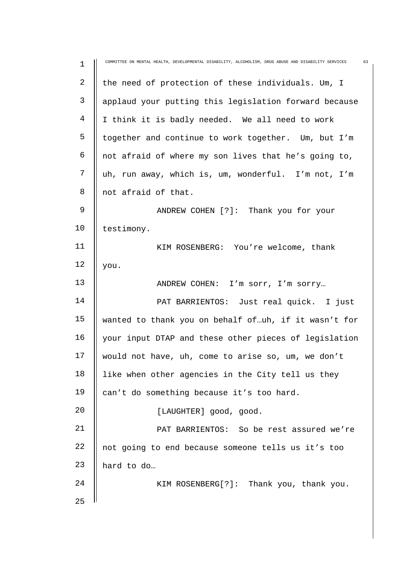| $\mathbf 1$    | COMMITTEE ON MENTAL HEALTH, DEVELOPMENTAL DISABILITY, ALCOHOLISM, DRUG ABUSE AND DISABILITY SERVICES<br>63 |
|----------------|------------------------------------------------------------------------------------------------------------|
| $\sqrt{2}$     | the need of protection of these individuals. Um, I                                                         |
| $\mathsf{3}$   | applaud your putting this legislation forward because                                                      |
| $\overline{4}$ | I think it is badly needed. We all need to work                                                            |
| 5              | together and continue to work together. Um, but I'm                                                        |
| 6              | not afraid of where my son lives that he's going to,                                                       |
| 7              | uh, run away, which is, um, wonderful. I'm not, I'm                                                        |
| 8              | not afraid of that.                                                                                        |
| 9              | ANDREW COHEN [?]: Thank you for your                                                                       |
| 10             | testimony.                                                                                                 |
| 11             | KIM ROSENBERG: You're welcome, thank                                                                       |
| 12             | you.                                                                                                       |
| 13             | ANDREW COHEN: I'm sorr, I'm sorry                                                                          |
| 14             | PAT BARRIENTOS: Just real quick. I just                                                                    |
| 15             | wanted to thank you on behalf of uh, if it wasn't for                                                      |
| 16             | your input DTAP and these other pieces of legislation                                                      |
| 17             | would not have, uh, come to arise so, um, we don't                                                         |
| 18             | like when other agencies in the City tell us they                                                          |
| 19             | can't do something because it's too hard.                                                                  |
| 20             | [LAUGHTER] good, good.                                                                                     |
| 21             | PAT BARRIENTOS: So be rest assured we're                                                                   |
| 22             | not going to end because someone tells us it's too                                                         |
| 23             | hard to do                                                                                                 |
| 24             | KIM ROSENBERG[?]: Thank you, thank you.                                                                    |
| 25             |                                                                                                            |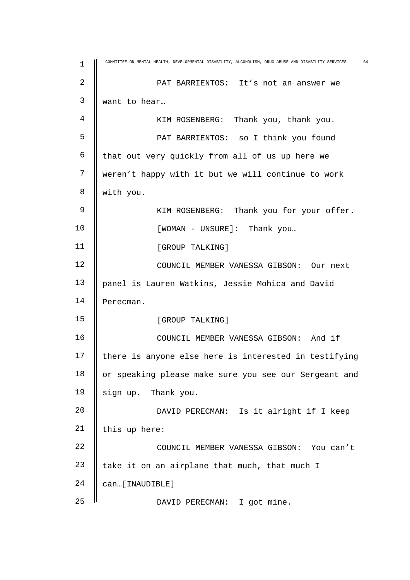| 1  | COMMITTEE ON MENTAL HEALTH, DEVELOPMENTAL DISABILITY, ALCOHOLISM, DRUG ABUSE AND DISABILITY SERVICES<br>64 |
|----|------------------------------------------------------------------------------------------------------------|
| 2  | PAT BARRIENTOS: It's not an answer we                                                                      |
| 3  | want to hear                                                                                               |
| 4  | KIM ROSENBERG: Thank you, thank you.                                                                       |
| 5  | PAT BARRIENTOS: so I think you found                                                                       |
| 6  | that out very quickly from all of us up here we                                                            |
| 7  | weren't happy with it but we will continue to work                                                         |
| 8  | with you.                                                                                                  |
| 9  | KIM ROSENBERG: Thank you for your offer.                                                                   |
| 10 | [WOMAN - UNSURE]: Thank you                                                                                |
| 11 | [GROUP TALKING]                                                                                            |
| 12 | COUNCIL MEMBER VANESSA GIBSON: Our next                                                                    |
| 13 | panel is Lauren Watkins, Jessie Mohica and David                                                           |
| 14 | Perecman.                                                                                                  |
| 15 | [GROUP TALKING]                                                                                            |
| 16 | COUNCIL MEMBER VANESSA GIBSON: And if                                                                      |
| 17 | there is anyone else here is interested in testifying                                                      |
| 18 | or speaking please make sure you see our Sergeant and                                                      |
| 19 | sign up. Thank you.                                                                                        |
| 20 | DAVID PERECMAN: Is it alright if I keep                                                                    |
| 21 | this up here:                                                                                              |
| 22 | COUNCIL MEMBER VANESSA GIBSON: You can't                                                                   |
| 23 | take it on an airplane that much, that much I                                                              |
| 24 | can[INAUDIBLE]                                                                                             |
| 25 | DAVID PERECMAN: I got mine.                                                                                |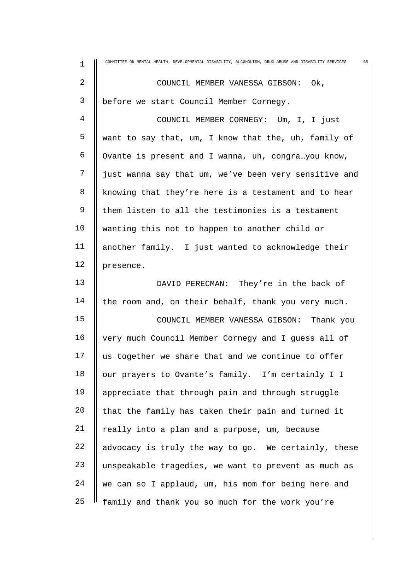| $\mathbf 1$    | COMMITTEE ON MENTAL HEALTH, DEVELOPMENTAL DISABILITY, ALCOHOLISM, DRUG ABUSE AND DISABILITY SERVICES<br>65 |
|----------------|------------------------------------------------------------------------------------------------------------|
| $\overline{2}$ | COUNCIL MEMBER VANESSA GIBSON: Ok,                                                                         |
| 3              | before we start Council Member Cornegy.                                                                    |
| 4              | COUNCIL MEMBER CORNEGY: Um, I, I just                                                                      |
| 5              | want to say that, um, I know that the, uh, family of                                                       |
| 6              | Ovante is present and I wanna, uh, congrayou know,                                                         |
| 7              | just wanna say that um, we've been very sensitive and                                                      |
| 8              | knowing that they're here is a testament and to hear                                                       |
| $\mathsf 9$    | them listen to all the testimonies is a testament                                                          |
| 10             | wanting this not to happen to another child or                                                             |
| 11             | another family. I just wanted to acknowledge their                                                         |
| 12             | presence.                                                                                                  |
| 13             | DAVID PERECMAN: They're in the back of                                                                     |
| 14             | the room and, on their behalf, thank you very much.                                                        |
| 15             | COUNCIL MEMBER VANESSA GIBSON: Thank you                                                                   |
| 16             | very much Council Member Cornegy and I guess all of                                                        |
| 17             | us together we share that and we continue to offer                                                         |
| 18             | our prayers to Ovante's family. I'm certainly I I                                                          |
| 19             | appreciate that through pain and through struggle                                                          |
| 20             | that the family has taken their pain and turned it                                                         |
| 21             | really into a plan and a purpose, um, because                                                              |
| 22             | advocacy is truly the way to go. We certainly, these                                                       |
| 23             | unspeakable tragedies, we want to prevent as much as                                                       |
| 24             | we can so I applaud, um, his mom for being here and                                                        |
| 25             | family and thank you so much for the work you're                                                           |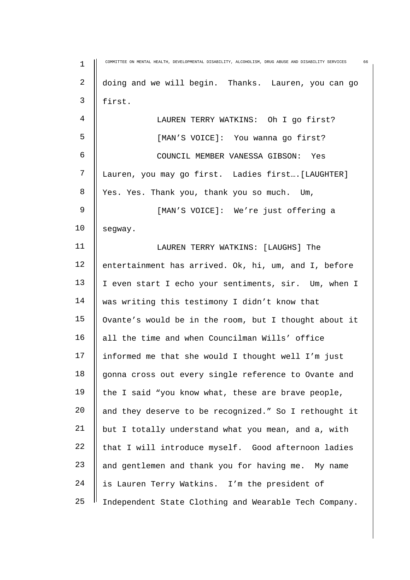| $\mathbf 1$ | COMMITTEE ON MENTAL HEALTH, DEVELOPMENTAL DISABILITY, ALCOHOLISM, DRUG ABUSE AND DISABILITY SERVICES<br>66 |
|-------------|------------------------------------------------------------------------------------------------------------|
| 2           | doing and we will begin. Thanks. Lauren, you can go                                                        |
| 3           | first.                                                                                                     |
| 4           | LAUREN TERRY WATKINS: Oh I go first?                                                                       |
| 5           | [MAN'S VOICE]: You wanna go first?                                                                         |
| 6           | COUNCIL MEMBER VANESSA GIBSON: Yes                                                                         |
| 7           | Lauren, you may go first. Ladies first [LAUGHTER]                                                          |
| 8           | Yes. Yes. Thank you, thank you so much. Um,                                                                |
| 9           | [MAN'S VOICE]: We're just offering a                                                                       |
| 10          | segway.                                                                                                    |
| 11          | LAUREN TERRY WATKINS: [LAUGHS] The                                                                         |
| 12          | entertainment has arrived. Ok, hi, um, and I, before                                                       |
| 13          | I even start I echo your sentiments, sir. Um, when I                                                       |
| 14          | was writing this testimony I didn't know that                                                              |
| 15          | Ovante's would be in the room, but I thought about it                                                      |
| 16          | all the time and when Councilman Wills' office                                                             |
| 17          | informed me that she would I thought well I'm just                                                         |
| 18          | gonna cross out every single reference to Ovante and                                                       |
| 19          | the I said "you know what, these are brave people,                                                         |
| 20          | and they deserve to be recognized." So I rethought it                                                      |
| 21          | but I totally understand what you mean, and a, with                                                        |
| 22          | that I will introduce myself. Good afternoon ladies                                                        |
| 23          | and gentlemen and thank you for having me. My name                                                         |
| 24          | is Lauren Terry Watkins. I'm the president of                                                              |
| 25          | Independent State Clothing and Wearable Tech Company.                                                      |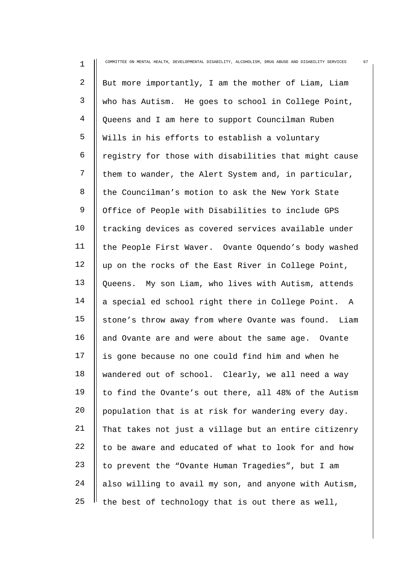| $\mathbf 1$ | COMMITTEE ON MENTAL HEALTH, DEVELOPMENTAL DISABILITY, ALCOHOLISM, DRUG ABUSE AND DISABILITY SERVICES<br>67 |
|-------------|------------------------------------------------------------------------------------------------------------|
| 2           | But more importantly, I am the mother of Liam, Liam                                                        |
| 3           | who has Autism. He goes to school in College Point,                                                        |
| 4           | Queens and I am here to support Councilman Ruben                                                           |
| 5           | Wills in his efforts to establish a voluntary                                                              |
| 6           | registry for those with disabilities that might cause                                                      |
| 7           | them to wander, the Alert System and, in particular,                                                       |
| 8           | the Councilman's motion to ask the New York State                                                          |
| 9           | Office of People with Disabilities to include GPS                                                          |
| 10          | tracking devices as covered services available under                                                       |
| 11          | the People First Waver. Ovante Oquendo's body washed                                                       |
| 12          | up on the rocks of the East River in College Point,                                                        |
| 13          | Queens. My son Liam, who lives with Autism, attends                                                        |
| 14          | a special ed school right there in College Point. A                                                        |
| 15          | stone's throw away from where Ovante was found. Liam                                                       |
| 16          | and Ovante are and were about the same age. Ovante                                                         |
| 17          | is gone because no one could find him and when he                                                          |
| 18          | wandered out of school. Clearly, we all need a way                                                         |
| 19          | to find the Ovante's out there, all 48% of the Autism                                                      |
| 20          | population that is at risk for wandering every day.                                                        |
| 21          | That takes not just a village but an entire citizenry                                                      |
| 22          | to be aware and educated of what to look for and how                                                       |
| 23          | to prevent the "Ovante Human Tragedies", but I am                                                          |
| 24          | also willing to avail my son, and anyone with Autism,                                                      |
| 25          | the best of technology that is out there as well,                                                          |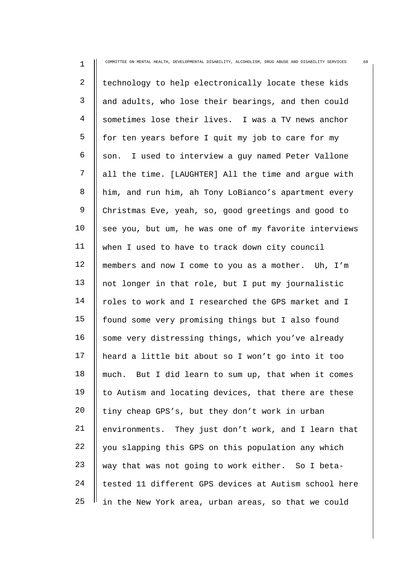| $\mathbf 1$ | COMMITTEE ON MENTAL HEALTH, DEVELOPMENTAL DISABILITY, ALCOHOLISM, DRUG ABUSE AND DISABILITY SERVICES<br>68 |
|-------------|------------------------------------------------------------------------------------------------------------|
| 2           | technology to help electronically locate these kids                                                        |
| 3           | and adults, who lose their bearings, and then could                                                        |
| 4           | sometimes lose their lives. I was a TV news anchor                                                         |
| 5           | for ten years before I quit my job to care for my                                                          |
| 6           | son. I used to interview a guy named Peter Vallone                                                         |
| 7           | all the time. [LAUGHTER] All the time and argue with                                                       |
| 8           | him, and run him, ah Tony LoBianco's apartment every                                                       |
| 9           | Christmas Eve, yeah, so, good greetings and good to                                                        |
| 10          | see you, but um, he was one of my favorite interviews                                                      |
| 11          | when I used to have to track down city council                                                             |
| 12          | members and now I come to you as a mother. Uh, I'm                                                         |
| 13          | not longer in that role, but I put my journalistic                                                         |
| 14          | roles to work and I researched the GPS market and I                                                        |
| 15          | found some very promising things but I also found                                                          |
| 16          | some very distressing things, which you've already                                                         |
| 17          | heard a little bit about so I won't go into it too                                                         |
| 18          | But I did learn to sum up, that when it comes<br>much.                                                     |
| 19          | to Autism and locating devices, that there are these                                                       |
| 20          | tiny cheap GPS's, but they don't work in urban                                                             |
| 21          | environments. They just don't work, and I learn that                                                       |
| 22          | you slapping this GPS on this population any which                                                         |
| 23          | way that was not going to work either. So I beta-                                                          |
| 24          | tested 11 different GPS devices at Autism school here                                                      |
| 25          | in the New York area, urban areas, so that we could                                                        |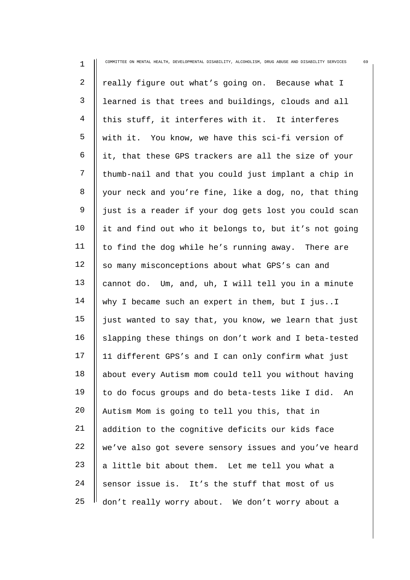| $\mathbf 1$    | COMMITTEE ON MENTAL HEALTH, DEVELOPMENTAL DISABILITY, ALCOHOLISM, DRUG ABUSE AND DISABILITY SERVICES<br>69 |
|----------------|------------------------------------------------------------------------------------------------------------|
| $\overline{2}$ | really figure out what's going on. Because what I                                                          |
| 3              | learned is that trees and buildings, clouds and all                                                        |
| 4              | this stuff, it interferes with it. It interferes                                                           |
| 5              | with it. You know, we have this sci-fi version of                                                          |
| 6              | it, that these GPS trackers are all the size of your                                                       |
| 7              | thumb-nail and that you could just implant a chip in                                                       |
| 8              | your neck and you're fine, like a dog, no, that thing                                                      |
| 9              | just is a reader if your dog gets lost you could scan                                                      |
| 10             | it and find out who it belongs to, but it's not going                                                      |
| 11             | to find the dog while he's running away. There are                                                         |
| 12             | so many misconceptions about what GPS's can and                                                            |
| 13             | cannot do. Um, and, uh, I will tell you in a minute                                                        |
| 14             | why I became such an expert in them, but I jusI                                                            |
| 15             | just wanted to say that, you know, we learn that just                                                      |
| 16             | slapping these things on don't work and I beta-tested                                                      |
| 17             | 11 different GPS's and I can only confirm what just                                                        |
| 18             | about every Autism mom could tell you without having                                                       |
| 19             | to do focus groups and do beta-tests like I did.<br>An                                                     |
| 20             | Autism Mom is going to tell you this, that in                                                              |
| 21             | addition to the cognitive deficits our kids face                                                           |
| 22             | we've also got severe sensory issues and you've heard                                                      |
| 23             | a little bit about them. Let me tell you what a                                                            |
| 24             | sensor issue is. It's the stuff that most of us                                                            |
| 25             | don't really worry about. We don't worry about a                                                           |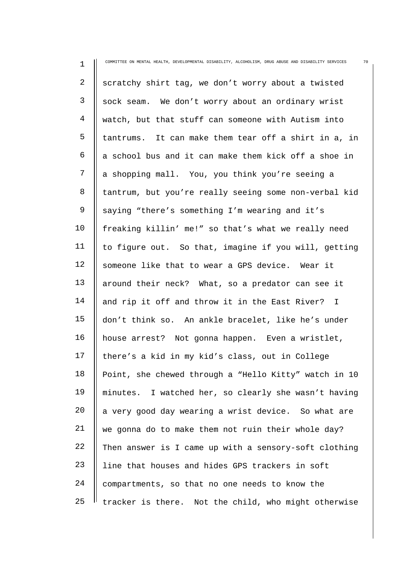1 2 3 4 5 6 7 8 9 10 11 12 13 14 15 16 17 18 19 20 21 22 23 24 25 COMMITTEE ON MENTAL HEALTH, DEVELOPMENTAL DISABILITY, ALCOHOLISM, DRUG ABUSE AND DISABILITY SERVICES 70 scratchy shirt tag, we don't worry about a twisted sock seam. We don't worry about an ordinary wrist watch, but that stuff can someone with Autism into tantrums. It can make them tear off a shirt in a, in a school bus and it can make them kick off a shoe in a shopping mall. You, you think you're seeing a tantrum, but you're really seeing some non-verbal kid saying "there's something I'm wearing and it's freaking killin' me!" so that's what we really need to figure out. So that, imagine if you will, getting someone like that to wear a GPS device. Wear it around their neck? What, so a predator can see it and rip it off and throw it in the East River? I don't think so. An ankle bracelet, like he's under house arrest? Not gonna happen. Even a wristlet, there's a kid in my kid's class, out in College Point, she chewed through a "Hello Kitty" watch in 10 minutes. I watched her, so clearly she wasn't having a very good day wearing a wrist device. So what are we gonna do to make them not ruin their whole day? Then answer is I came up with a sensory-soft clothing line that houses and hides GPS trackers in soft compartments, so that no one needs to know the tracker is there. Not the child, who might otherwise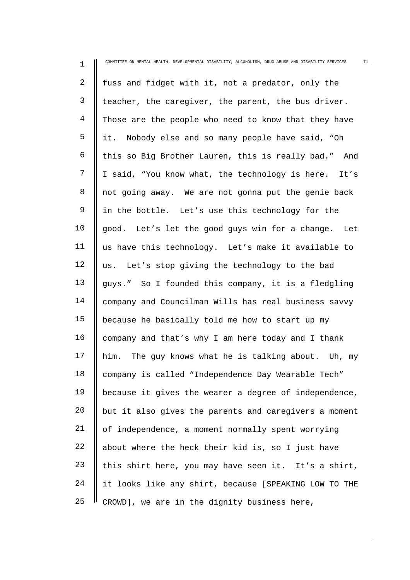| $\mathbf 1$  | COMMITTEE ON MENTAL HEALTH, DEVELOPMENTAL DISABILITY, ALCOHOLISM, DRUG ABUSE AND DISABILITY SERVICES<br>71 |
|--------------|------------------------------------------------------------------------------------------------------------|
| 2            | fuss and fidget with it, not a predator, only the                                                          |
| $\mathsf{3}$ | teacher, the caregiver, the parent, the bus driver.                                                        |
| 4            | Those are the people who need to know that they have                                                       |
| 5            | it. Nobody else and so many people have said, "Oh                                                          |
| 6            | this so Big Brother Lauren, this is really bad." And                                                       |
| 7            | I said, "You know what, the technology is here. It's                                                       |
| 8            | not going away. We are not gonna put the genie back                                                        |
| 9            | in the bottle. Let's use this technology for the                                                           |
| 10           | good. Let's let the good guys win for a change. Let                                                        |
| 11           | us have this technology. Let's make it available to                                                        |
| 12           | us. Let's stop giving the technology to the bad                                                            |
| 13           | guys." So I founded this company, it is a fledgling                                                        |
| 14           | company and Councilman Wills has real business savvy                                                       |
| 15           | because he basically told me how to start up my                                                            |
| 16           | company and that's why I am here today and I thank                                                         |
| 17           | him. The guy knows what he is talking about. Uh, my                                                        |
| 18           | company is called "Independence Day Wearable Tech"                                                         |
| 19           | because it gives the wearer a degree of independence,                                                      |
| 20           | but it also gives the parents and caregivers a moment                                                      |
| 21           | of independence, a moment normally spent worrying                                                          |
| 22           | about where the heck their kid is, so I just have                                                          |
| 23           | this shirt here, you may have seen it. It's a shirt,                                                       |
| 24           | it looks like any shirt, because [SPEAKING LOW TO THE                                                      |
| 25           | CROWD], we are in the dignity business here,                                                               |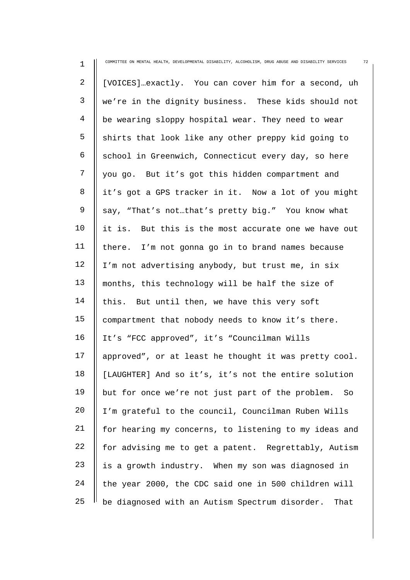| $\mathbf 1$    | COMMITTEE ON MENTAL HEALTH, DEVELOPMENTAL DISABILITY, ALCOHOLISM, DRUG ABUSE AND DISABILITY SERVICES<br>72 |
|----------------|------------------------------------------------------------------------------------------------------------|
| 2              | [VOICES]exactly. You can cover him for a second, uh                                                        |
| $\mathsf{3}$   | we're in the dignity business. These kids should not                                                       |
| $\overline{4}$ | be wearing sloppy hospital wear. They need to wear                                                         |
| 5              | shirts that look like any other preppy kid going to                                                        |
| 6              | school in Greenwich, Connecticut every day, so here                                                        |
| 7              | you go. But it's got this hidden compartment and                                                           |
| 8              | it's got a GPS tracker in it. Now a lot of you might                                                       |
| 9              | say, "That's notthat's pretty big." You know what                                                          |
| 10             | it is. But this is the most accurate one we have out                                                       |
| 11             | there. I'm not gonna go in to brand names because                                                          |
| 12             | I'm not advertising anybody, but trust me, in six                                                          |
| 13             | months, this technology will be half the size of                                                           |
| 14             | this. But until then, we have this very soft                                                               |
| 15             | compartment that nobody needs to know it's there.                                                          |
| 16             | It's "FCC approved", it's "Councilman Wills                                                                |
| 17             | approved", or at least he thought it was pretty cool.                                                      |
| 18             | [LAUGHTER] And so it's, it's not the entire solution                                                       |
| 19             | but for once we're not just part of the problem.<br>So                                                     |
| 20             | I'm grateful to the council, Councilman Ruben Wills                                                        |
| 21             | for hearing my concerns, to listening to my ideas and                                                      |
| 22             | for advising me to get a patent. Regrettably, Autism                                                       |
| 23             | is a growth industry. When my son was diagnosed in                                                         |
| 24             | the year 2000, the CDC said one in 500 children will                                                       |
| 25             | be diagnosed with an Autism Spectrum disorder.<br>That                                                     |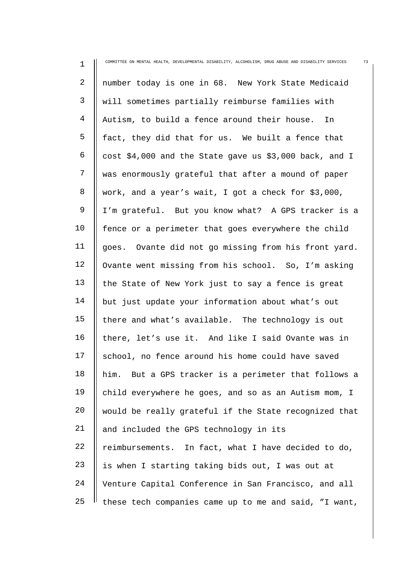| $\mathbf 1$    | 73<br>COMMITTEE ON MENTAL HEALTH, DEVELOPMENTAL DISABILITY, ALCOHOLISM, DRUG ABUSE AND DISABILITY SERVICES |
|----------------|------------------------------------------------------------------------------------------------------------|
| 2              | number today is one in 68. New York State Medicaid                                                         |
| $\mathsf{3}$   | will sometimes partially reimburse families with                                                           |
| $\overline{4}$ | Autism, to build a fence around their house.<br>In                                                         |
| 5              | fact, they did that for us. We built a fence that                                                          |
| 6              | cost \$4,000 and the State gave us \$3,000 back, and I                                                     |
| 7              | was enormously grateful that after a mound of paper                                                        |
| 8              | work, and a year's wait, I got a check for \$3,000,                                                        |
| 9              | I'm grateful. But you know what? A GPS tracker is a                                                        |
| 10             | fence or a perimeter that goes everywhere the child                                                        |
| 11             | goes. Ovante did not go missing from his front yard.                                                       |
| 12             | Ovante went missing from his school. So, I'm asking                                                        |
| 13             | the State of New York just to say a fence is great                                                         |
| 14             | but just update your information about what's out                                                          |
| 15             | there and what's available. The technology is out                                                          |
| 16             | there, let's use it. And like I said Ovante was in                                                         |
| 17             | school, no fence around his home could have saved                                                          |
| 18             | But a GPS tracker is a perimeter that follows a<br>him.                                                    |
| 19             | child everywhere he goes, and so as an Autism mom, I                                                       |
| 20             | would be really grateful if the State recognized that                                                      |
| 21             | and included the GPS technology in its                                                                     |
| 22             | reimbursements. In fact, what I have decided to do,                                                        |
| 23             | is when I starting taking bids out, I was out at                                                           |
| 24             | Venture Capital Conference in San Francisco, and all                                                       |
| 25             | these tech companies came up to me and said, "I want,                                                      |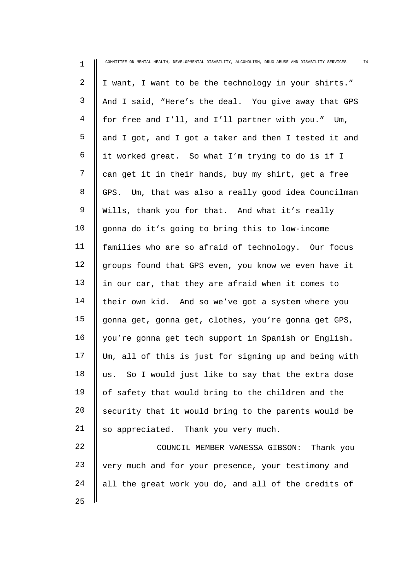| 1  | COMMITTEE ON MENTAL HEALTH, DEVELOPMENTAL DISABILITY, ALCOHOLISM, DRUG ABUSE AND DISABILITY SERVICES<br>74 |
|----|------------------------------------------------------------------------------------------------------------|
| 2  | I want, I want to be the technology in your shirts."                                                       |
| 3  | And I said, "Here's the deal. You give away that GPS                                                       |
| 4  | for free and I'll, and I'll partner with you." Um,                                                         |
| 5  | and I got, and I got a taker and then I tested it and                                                      |
| 6  | it worked great. So what I'm trying to do is if I                                                          |
| 7  | can get it in their hands, buy my shirt, get a free                                                        |
| 8  | GPS. Um, that was also a really good idea Councilman                                                       |
| 9  | Wills, thank you for that. And what it's really                                                            |
| 10 | gonna do it's going to bring this to low-income                                                            |
| 11 | families who are so afraid of technology. Our focus                                                        |
| 12 | groups found that GPS even, you know we even have it                                                       |
| 13 | in our car, that they are afraid when it comes to                                                          |
| 14 | their own kid. And so we've got a system where you                                                         |
| 15 | gonna get, gonna get, clothes, you're gonna get GPS,                                                       |
| 16 | you're gonna get tech support in Spanish or English.                                                       |
| 17 | Um, all of this is just for signing up and being with                                                      |
| 18 | So I would just like to say that the extra dose<br>us.                                                     |
| 19 | of safety that would bring to the children and the                                                         |
| 20 | security that it would bring to the parents would be                                                       |
| 21 | so appreciated. Thank you very much.                                                                       |
| 22 | Thank you<br>COUNCIL MEMBER VANESSA GIBSON:                                                                |
| 23 | very much and for your presence, your testimony and                                                        |
| 24 | all the great work you do, and all of the credits of                                                       |
| 25 |                                                                                                            |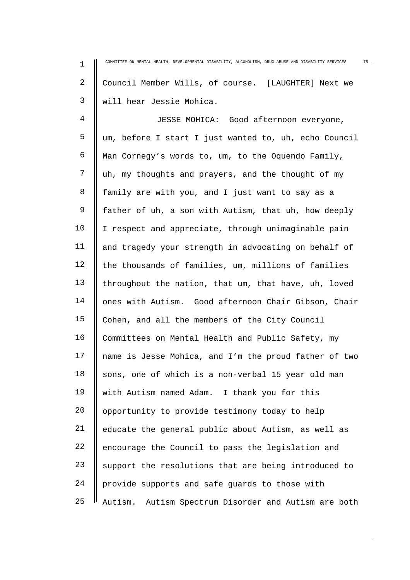1 2 3 4 5 6 7 8 9 10 11 12 13 14 15 16 17 18 19 20 21 22 23 24 25 COMMITTEE ON MENTAL HEALTH, DEVELOPMENTAL DISABILITY, ALCOHOLISM, DRUG ABUSE AND DISABILITY SERVICES 75 Council Member Wills, of course. [LAUGHTER] Next we will hear Jessie Mohica. JESSE MOHICA: Good afternoon everyone, um, before I start I just wanted to, uh, echo Council Man Cornegy's words to, um, to the Oquendo Family, uh, my thoughts and prayers, and the thought of my family are with you, and I just want to say as a father of uh, a son with Autism, that uh, how deeply I respect and appreciate, through unimaginable pain and tragedy your strength in advocating on behalf of the thousands of families, um, millions of families throughout the nation, that um, that have, uh, loved ones with Autism. Good afternoon Chair Gibson, Chair Cohen, and all the members of the City Council Committees on Mental Health and Public Safety, my name is Jesse Mohica, and I'm the proud father of two sons, one of which is a non-verbal 15 year old man with Autism named Adam. I thank you for this opportunity to provide testimony today to help educate the general public about Autism, as well as encourage the Council to pass the legislation and support the resolutions that are being introduced to provide supports and safe guards to those with Autism. Autism Spectrum Disorder and Autism are both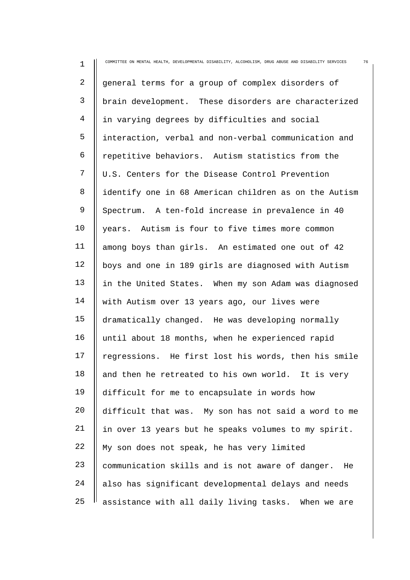| $\mathbf 1$    | COMMITTEE ON MENTAL HEALTH, DEVELOPMENTAL DISABILITY, ALCOHOLISM, DRUG ABUSE AND DISABILITY SERVICES<br>76 |
|----------------|------------------------------------------------------------------------------------------------------------|
| $\overline{a}$ | general terms for a group of complex disorders of                                                          |
| 3              | brain development. These disorders are characterized                                                       |
| 4              | in varying degrees by difficulties and social                                                              |
| 5              | interaction, verbal and non-verbal communication and                                                       |
| 6              | repetitive behaviors. Autism statistics from the                                                           |
| 7              | U.S. Centers for the Disease Control Prevention                                                            |
| 8              | identify one in 68 American children as on the Autism                                                      |
| $\mathsf 9$    | Spectrum. A ten-fold increase in prevalence in 40                                                          |
| 10             | years. Autism is four to five times more common                                                            |
| 11             | among boys than girls. An estimated one out of 42                                                          |
| 12             | boys and one in 189 girls are diagnosed with Autism                                                        |
| 13             | in the United States. When my son Adam was diagnosed                                                       |
| 14             | with Autism over 13 years ago, our lives were                                                              |
| 15             | dramatically changed. He was developing normally                                                           |
| 16             | until about 18 months, when he experienced rapid                                                           |
| 17             | regressions. He first lost his words, then his smile                                                       |
| 18             | and then he retreated to his own world. It is very                                                         |
| 19             | difficult for me to encapsulate in words how                                                               |
| 20             | difficult that was. My son has not said a word to me                                                       |
| 21             | in over 13 years but he speaks volumes to my spirit.                                                       |
| 22             | My son does not speak, he has very limited                                                                 |
| 23             | communication skills and is not aware of danger.<br>He                                                     |
| 24             | also has significant developmental delays and needs                                                        |
| 25             | assistance with all daily living tasks. When we are                                                        |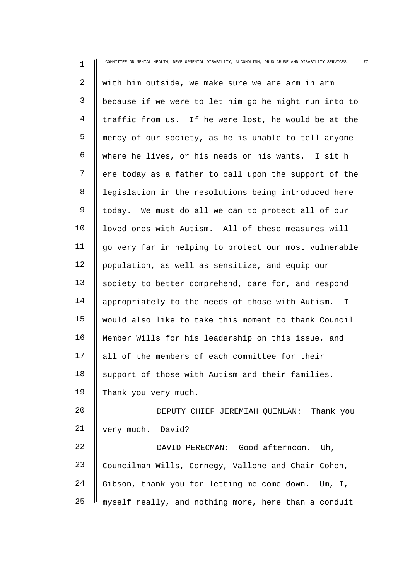| $\mathbf 1$    | 77<br>COMMITTEE ON MENTAL HEALTH, DEVELOPMENTAL DISABILITY, ALCOHOLISM, DRUG ABUSE AND DISABILITY SERVICES |
|----------------|------------------------------------------------------------------------------------------------------------|
| $\overline{2}$ | with him outside, we make sure we are arm in arm                                                           |
| 3              | because if we were to let him go he might run into to                                                      |
| 4              | traffic from us. If he were lost, he would be at the                                                       |
| 5              | mercy of our society, as he is unable to tell anyone                                                       |
| 6              | where he lives, or his needs or his wants. I sit h                                                         |
| 7              | ere today as a father to call upon the support of the                                                      |
| 8              | legislation in the resolutions being introduced here                                                       |
| $\mathsf 9$    | today. We must do all we can to protect all of our                                                         |
| 10             | loved ones with Autism. All of these measures will                                                         |
| 11             | go very far in helping to protect our most vulnerable                                                      |
| 12             | population, as well as sensitize, and equip our                                                            |
| 13             | society to better comprehend, care for, and respond                                                        |
| 14             | appropriately to the needs of those with Autism.<br>$\mathbb{I}$                                           |
| 15             | would also like to take this moment to thank Council                                                       |
| 16             | Member Wills for his leadership on this issue, and                                                         |
| 17             | all of the members of each committee for their                                                             |
| 18             | support of those with Autism and their families.                                                           |
| 19             | Thank you very much.                                                                                       |
| 20             | DEPUTY CHIEF JEREMIAH QUINLAN: Thank you                                                                   |
| 21             | very much. David?                                                                                          |
| 22             | DAVID PERECMAN: Good afternoon. Uh,                                                                        |
| 23             | Councilman Wills, Cornegy, Vallone and Chair Cohen,                                                        |
| 24             | Gibson, thank you for letting me come down. Um, I,                                                         |
| 25             | myself really, and nothing more, here than a conduit                                                       |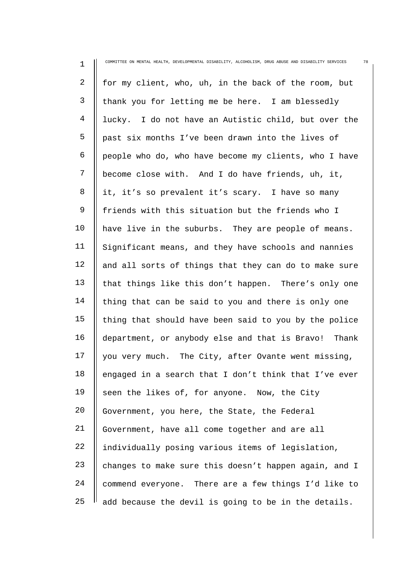| $\mathbf 1$ | COMMITTEE ON MENTAL HEALTH, DEVELOPMENTAL DISABILITY, ALCOHOLISM, DRUG ABUSE AND DISABILITY SERVICES<br>78 |
|-------------|------------------------------------------------------------------------------------------------------------|
| 2           | for my client, who, uh, in the back of the room, but                                                       |
| 3           | thank you for letting me be here. I am blessedly                                                           |
| 4           | lucky. I do not have an Autistic child, but over the                                                       |
| 5           | past six months I've been drawn into the lives of                                                          |
| 6           | people who do, who have become my clients, who I have                                                      |
| 7           | become close with. And I do have friends, uh, it,                                                          |
| 8           | it, it's so prevalent it's scary. I have so many                                                           |
| $\mathsf 9$ | friends with this situation but the friends who I                                                          |
| 10          | have live in the suburbs. They are people of means.                                                        |
| 11          | Significant means, and they have schools and nannies                                                       |
| 12          | and all sorts of things that they can do to make sure                                                      |
| 13          | that things like this don't happen. There's only one                                                       |
| 14          | thing that can be said to you and there is only one                                                        |
| 15          | thing that should have been said to you by the police                                                      |
| 16          | department, or anybody else and that is Bravo! Thank                                                       |
| 17          | you very much. The City, after Ovante went missing,                                                        |
| 18          | engaged in a search that I don't think that I've ever                                                      |
| 19          | seen the likes of, for anyone. Now, the City                                                               |
| 20          | Government, you here, the State, the Federal                                                               |
| 21          | Government, have all come together and are all                                                             |
| 22          | individually posing various items of legislation,                                                          |
| 23          | changes to make sure this doesn't happen again, and I                                                      |
| 24          | commend everyone. There are a few things I'd like to                                                       |
| 25          | add because the devil is going to be in the details.                                                       |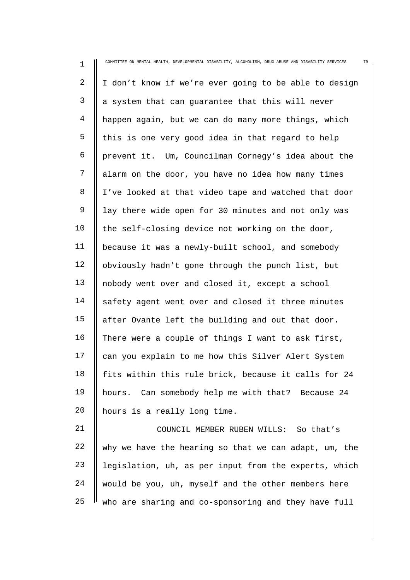| $\mathbf 1$ | COMMITTEE ON MENTAL HEALTH, DEVELOPMENTAL DISABILITY, ALCOHOLISM, DRUG ABUSE AND DISABILITY SERVICES<br>79 |
|-------------|------------------------------------------------------------------------------------------------------------|
| 2           | I don't know if we're ever going to be able to design                                                      |
| 3           | a system that can guarantee that this will never                                                           |
| 4           | happen again, but we can do many more things, which                                                        |
| 5           | this is one very good idea in that regard to help                                                          |
| 6           | prevent it. Um, Councilman Cornegy's idea about the                                                        |
| 7           | alarm on the door, you have no idea how many times                                                         |
| 8           | I've looked at that video tape and watched that door                                                       |
| 9           | lay there wide open for 30 minutes and not only was                                                        |
| 10          | the self-closing device not working on the door,                                                           |
| 11          | because it was a newly-built school, and somebody                                                          |
| 12          | obviously hadn't gone through the punch list, but                                                          |
| 13          | nobody went over and closed it, except a school                                                            |
| 14          | safety agent went over and closed it three minutes                                                         |
| 15          | after Ovante left the building and out that door.                                                          |
| 16          | There were a couple of things I want to ask first,                                                         |
| 17          | can you explain to me how this Silver Alert System                                                         |
| 18          | fits within this rule brick, because it calls for 24                                                       |
| 19          | hours. Can somebody help me with that? Because 24                                                          |
| 20          | hours is a really long time.                                                                               |
| 21          | COUNCIL MEMBER RUBEN WILLS: So that's                                                                      |
| 22          | why we have the hearing so that we can adapt, um, the                                                      |
| 23          | legislation, uh, as per input from the experts, which                                                      |
| 24          | would be you, uh, myself and the other members here                                                        |

25 who are sharing and co-sponsoring and they have full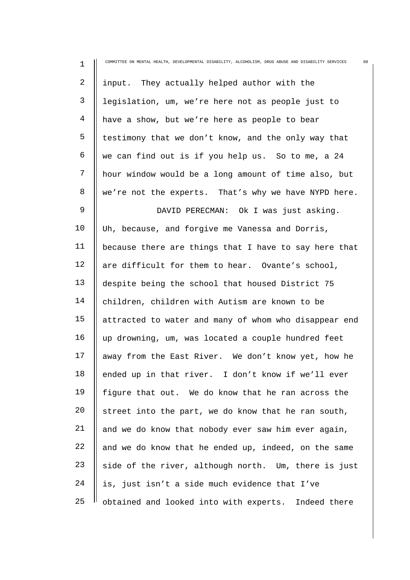| $\mathbf 1$    | COMMITTEE ON MENTAL HEALTH, DEVELOPMENTAL DISABILITY, ALCOHOLISM, DRUG ABUSE AND DISABILITY SERVICES<br>80 |
|----------------|------------------------------------------------------------------------------------------------------------|
| $\overline{2}$ | input. They actually helped author with the                                                                |
| 3              | legislation, um, we're here not as people just to                                                          |
| $\overline{4}$ | have a show, but we're here as people to bear                                                              |
| 5              | testimony that we don't know, and the only way that                                                        |
| 6              | we can find out is if you help us. So to me, a 24                                                          |
| 7              | hour window would be a long amount of time also, but                                                       |
| 8              | we're not the experts. That's why we have NYPD here.                                                       |
| $\mathsf 9$    | DAVID PERECMAN: Ok I was just asking.                                                                      |
| 10             | Uh, because, and forgive me Vanessa and Dorris,                                                            |
| 11             | because there are things that I have to say here that                                                      |
| 12             | are difficult for them to hear. Ovante's school,                                                           |
| 13             | despite being the school that housed District 75                                                           |
| 14             | children, children with Autism are known to be                                                             |
| 15             | attracted to water and many of whom who disappear end                                                      |
| 16             | up drowning, um, was located a couple hundred feet                                                         |
| 17             | away from the East River. We don't know yet, how he                                                        |
| 18             | ended up in that river. I don't know if we'll ever                                                         |
| 19             | figure that out. We do know that he ran across the                                                         |
| 20             | street into the part, we do know that he ran south,                                                        |
| 21             | and we do know that nobody ever saw him ever again,                                                        |
| 22             | and we do know that he ended up, indeed, on the same                                                       |
| 23             | side of the river, although north. Um, there is just                                                       |
| 24             | is, just isn't a side much evidence that I've                                                              |
| 25             | obtained and looked into with experts. Indeed there                                                        |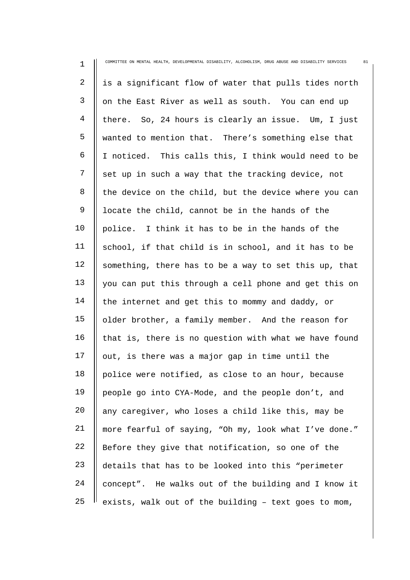| $\mathbf 1$    | COMMITTEE ON MENTAL HEALTH, DEVELOPMENTAL DISABILITY, ALCOHOLISM, DRUG ABUSE AND DISABILITY SERVICES<br>81 |
|----------------|------------------------------------------------------------------------------------------------------------|
| $\overline{a}$ | is a significant flow of water that pulls tides north                                                      |
| 3              | on the East River as well as south. You can end up                                                         |
| 4              | there. So, 24 hours is clearly an issue. Um, I just                                                        |
| 5              | wanted to mention that. There's something else that                                                        |
| 6              | I noticed. This calls this, I think would need to be                                                       |
| 7              | set up in such a way that the tracking device, not                                                         |
| 8              | the device on the child, but the device where you can                                                      |
| 9              | locate the child, cannot be in the hands of the                                                            |
| 10             | police. I think it has to be in the hands of the                                                           |
| 11             | school, if that child is in school, and it has to be                                                       |
| 12             | something, there has to be a way to set this up, that                                                      |
| 13             | you can put this through a cell phone and get this on                                                      |
| 14             | the internet and get this to mommy and daddy, or                                                           |
| 15             | older brother, a family member. And the reason for                                                         |
| 16             | that is, there is no question with what we have found                                                      |
| 17             | out, is there was a major gap in time until the                                                            |
| 18             | police were notified, as close to an hour, because                                                         |
| 19             | people go into CYA-Mode, and the people don't, and                                                         |
| 20             | any caregiver, who loses a child like this, may be                                                         |
| 21             | more fearful of saying, "Oh my, look what I've done."                                                      |
| 22             | Before they give that notification, so one of the                                                          |
| 23             | details that has to be looked into this "perimeter                                                         |
| 24             | concept". He walks out of the building and I know it                                                       |
| 25             | exists, walk out of the building - text goes to mom,                                                       |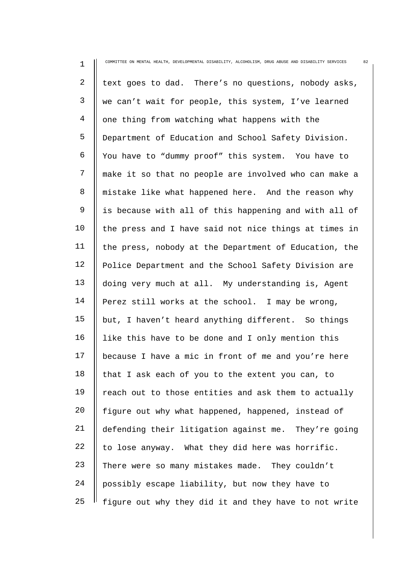| $\mathbf 1$    | COMMITTEE ON MENTAL HEALTH, DEVELOPMENTAL DISABILITY, ALCOHOLISM, DRUG ABUSE AND DISABILITY SERVICES<br>82 |
|----------------|------------------------------------------------------------------------------------------------------------|
| $\overline{2}$ | text goes to dad. There's no questions, nobody asks,                                                       |
| $\mathsf{3}$   | we can't wait for people, this system, I've learned                                                        |
| 4              | one thing from watching what happens with the                                                              |
| 5              | Department of Education and School Safety Division.                                                        |
| 6              | You have to "dummy proof" this system. You have to                                                         |
| 7              | make it so that no people are involved who can make a                                                      |
| 8              | mistake like what happened here. And the reason why                                                        |
| $\mathsf 9$    | is because with all of this happening and with all of                                                      |
| 10             | the press and I have said not nice things at times in                                                      |
| 11             | the press, nobody at the Department of Education, the                                                      |
| 12             | Police Department and the School Safety Division are                                                       |
| 13             | doing very much at all. My understanding is, Agent                                                         |
| 14             | Perez still works at the school. I may be wrong,                                                           |
| 15             | but, I haven't heard anything different. So things                                                         |
| 16             | like this have to be done and I only mention this                                                          |
| 17             | because I have a mic in front of me and you're here                                                        |
| 18             | that I ask each of you to the extent you can, to                                                           |
| 19             | reach out to those entities and ask them to actually                                                       |
| 20             | figure out why what happened, happened, instead of                                                         |
| 21             | defending their litigation against me. They're going                                                       |
| 22             | to lose anyway. What they did here was horrific.                                                           |
| 23             | There were so many mistakes made. They couldn't                                                            |
| 24             | possibly escape liability, but now they have to                                                            |
| 25             | figure out why they did it and they have to not write                                                      |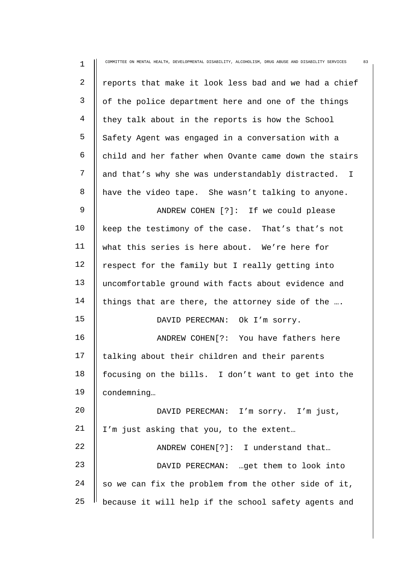| $\mathbf 1$    | 83<br>COMMITTEE ON MENTAL HEALTH, DEVELOPMENTAL DISABILITY, ALCOHOLISM, DRUG ABUSE AND DISABILITY SERVICES |
|----------------|------------------------------------------------------------------------------------------------------------|
| $\overline{2}$ | reports that make it look less bad and we had a chief                                                      |
| 3              | of the police department here and one of the things                                                        |
| 4              | they talk about in the reports is how the School                                                           |
| 5              | Safety Agent was engaged in a conversation with a                                                          |
| 6              | child and her father when Ovante came down the stairs                                                      |
| 7              | and that's why she was understandably distracted. I                                                        |
| 8              | have the video tape. She wasn't talking to anyone.                                                         |
| 9              | ANDREW COHEN [?]: If we could please                                                                       |
| 10             | keep the testimony of the case. That's that's not                                                          |
| 11             | what this series is here about. We're here for                                                             |
| 12             | respect for the family but I really getting into                                                           |
| 13             | uncomfortable ground with facts about evidence and                                                         |
| 14             | things that are there, the attorney side of the                                                            |
| 15             | DAVID PERECMAN: Ok I'm sorry.                                                                              |
| 16             | ANDREW COHEN[?: You have fathers here                                                                      |
| 17             | talking about their children and their parents                                                             |
| 18             | focusing on the bills. I don't want to get into the                                                        |
| 19             | condemning                                                                                                 |
| 20             | DAVID PERECMAN: I'm sorry. I'm just,                                                                       |
| 21             | I'm just asking that you, to the extent                                                                    |
| 22             | ANDREW COHEN[?]: I understand that                                                                         |
| 23             | DAVID PERECMAN:  get them to look into                                                                     |
| 24             | so we can fix the problem from the other side of it,                                                       |
| 25             | because it will help if the school safety agents and                                                       |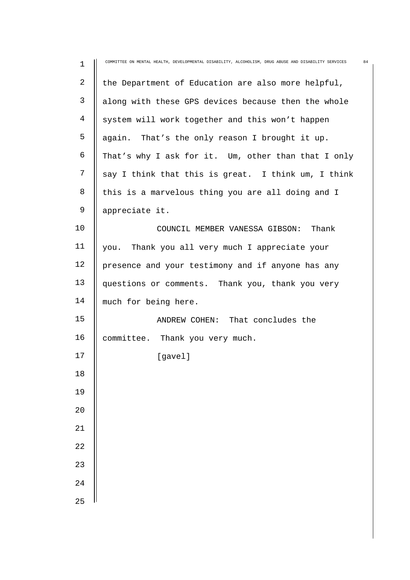| $\mathbf 1$     | COMMITTEE ON MENTAL HEALTH, DEVELOPMENTAL DISABILITY, ALCOHOLISM, DRUG ABUSE AND DISABILITY SERVICES | 84 |
|-----------------|------------------------------------------------------------------------------------------------------|----|
| $\overline{2}$  | the Department of Education are also more helpful,                                                   |    |
| 3               | along with these GPS devices because then the whole                                                  |    |
| 4               | system will work together and this won't happen                                                      |    |
| 5               | again. That's the only reason I brought it up.                                                       |    |
| 6               | That's why I ask for it. Um, other than that I only                                                  |    |
| 7               | say I think that this is great. I think um, I think                                                  |    |
| 8               | this is a marvelous thing you are all doing and I                                                    |    |
| 9               | appreciate it.                                                                                       |    |
| 10              | COUNCIL MEMBER VANESSA GIBSON: Thank                                                                 |    |
| 11              | you. Thank you all very much I appreciate your                                                       |    |
| 12              | presence and your testimony and if anyone has any                                                    |    |
| 13              | questions or comments. Thank you, thank you very                                                     |    |
| 14              | much for being here.                                                                                 |    |
| 15              | ANDREW COHEN: That concludes the                                                                     |    |
| 16              | committee. Thank you very much.                                                                      |    |
| 17              | [gavel]                                                                                              |    |
| 18              |                                                                                                      |    |
| 19              |                                                                                                      |    |
| 20              |                                                                                                      |    |
| 21              |                                                                                                      |    |
| $\overline{2}2$ |                                                                                                      |    |
| 23              |                                                                                                      |    |
| 24              |                                                                                                      |    |
| 25              |                                                                                                      |    |